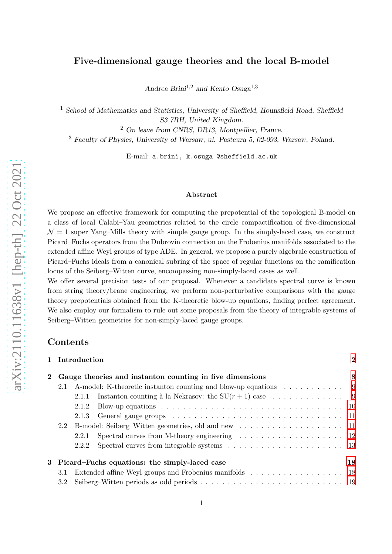# Five-dimensional gauge theories and the local B-model

Andrea Brini<sup>1,2</sup> and Kento Osuga<sup>1,3</sup>

<sup>1</sup> School of Mathematics and Statistics, University of Sheffield, Hounsfield Road, Sheffield S3 7RH, United Kingdom.

<sup>2</sup> On leave from CNRS, DR13, Montpellier, France.

<sup>3</sup> Faculty of Physics, University of Warsaw, ul. Pasteura 5, 02-093, Warsaw, Poland.

E-mail: a.brini, k.osuga @sheffield.ac.uk

#### Abstract

We propose an effective framework for computing the prepotential of the topological B-model on a class of local Calabi–Yau geometries related to the circle compactification of five-dimensional  $\mathcal{N} = 1$  super Yang–Mills theory with simple gauge group. In the simply-laced case, we construct Picard–Fuchs operators from the Dubrovin connection on the Frobenius manifolds associated to the extended affine Weyl groups of type ADE. In general, we propose a purely algebraic construction of Picard–Fuchs ideals from a canonical subring of the space of regular functions on the ramification locus of the Seiberg–Witten curve, encompassing non-simply-laced cases as well.

We offer several precision tests of our proposal. Whenever a candidate spectral curve is known from string theory/brane engineering, we perform non-perturbative comparisons with the gauge theory prepotentials obtained from the K-theoretic blow-up equations, finding perfect agreement. We also employ our formalism to rule out some proposals from the theory of integrable systems of Seiberg–Witten geometries for non-simply-laced gauge groups.

# Contents

|   |                                                          | 1 Introduction                                      |                                                                                                      | $\bf{2}$ |  |  |
|---|----------------------------------------------------------|-----------------------------------------------------|------------------------------------------------------------------------------------------------------|----------|--|--|
|   | Gauge theories and instanton counting in five dimensions |                                                     |                                                                                                      |          |  |  |
|   | 2.1                                                      |                                                     | A-model: K-theoretic instanton counting and blow-up equations 9                                      |          |  |  |
|   |                                                          | 2.1.1                                               |                                                                                                      |          |  |  |
|   |                                                          | 2.1.2                                               |                                                                                                      |          |  |  |
|   |                                                          | 2.1.3                                               |                                                                                                      |          |  |  |
|   | 2.2                                                      |                                                     |                                                                                                      |          |  |  |
|   |                                                          | 2.2.1                                               | Spectral curves from M-theory engineering $\dots \dots \dots \dots \dots \dots \dots \dots \dots$ 12 |          |  |  |
|   |                                                          | 2.2.2                                               |                                                                                                      |          |  |  |
| 3 |                                                          | Picard–Fuchs equations: the simply-laced case<br>18 |                                                                                                      |          |  |  |
|   | 3.1                                                      |                                                     |                                                                                                      |          |  |  |
|   | 3.2                                                      |                                                     |                                                                                                      |          |  |  |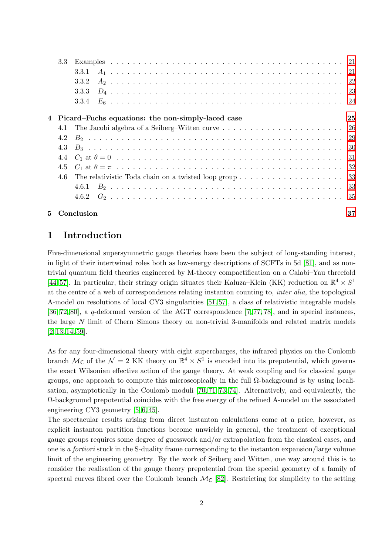| 5. |                  | Conclusion                                                                                               | 37 |
|----|------------------|----------------------------------------------------------------------------------------------------------|----|
|    |                  |                                                                                                          |    |
|    |                  |                                                                                                          |    |
|    | 4.6              | The relativistic Toda chain on a twisted loop group $\dots \dots \dots \dots \dots \dots \dots \dots$ 33 |    |
|    |                  |                                                                                                          |    |
|    |                  |                                                                                                          |    |
|    |                  |                                                                                                          |    |
|    |                  |                                                                                                          |    |
|    | 4.1              |                                                                                                          |    |
|    |                  | Picard–Fuchs equations: the non-simply-laced case                                                        | 25 |
|    |                  |                                                                                                          |    |
|    |                  |                                                                                                          |    |
|    |                  | 3.3.2                                                                                                    |    |
|    |                  |                                                                                                          |    |
|    | $3.3\phantom{0}$ |                                                                                                          |    |
|    |                  |                                                                                                          |    |

# <span id="page-1-0"></span>1 Introduction

Five-dimensional supersymmetric gauge theories have been the subject of long-standing interest, in light of their intertwined roles both as low-energy descriptions of SCFTs in 5d [\[81\]](#page-41-0), and as nontrivial quantum field theories engineered by M-theory compactification on a Calabi–Yau threefold [\[44,](#page-39-0)57]. In particular, their stringy origin situates their Kaluza–Klein (KK) reduction on  $\mathbb{R}^4 \times S^1$ at the centre of a web of correspondences relating instanton counting to, inter alia, the topological A-model on resolutions of local CY3 singularities [\[51,](#page-39-1) [57\]](#page-40-0), a class of relativistic integrable models [\[36,](#page-39-2) [72,](#page-40-1) [80\]](#page-41-1), a q-deformed version of the AGT correspondence [\[7,](#page-38-0) [77,](#page-40-2) [78\]](#page-40-3), and in special instances, the large N limit of Chern–Simons theory on non-trivial 3-manifolds and related matrix models  $[2, 13, 14, 59]$  $[2, 13, 14, 59]$  $[2, 13, 14, 59]$  $[2, 13, 14, 59]$ .

As for any four-dimensional theory with eight supercharges, the infrared physics on the Coulomb branch  $M_C$  of the  $\mathcal{N} = 2$  KK theory on  $\mathbb{R}^4 \times S^1$  is encoded into its prepotential, which governs the exact Wilsonian effective action of the gauge theory. At weak coupling and for classical gauge groups, one approach to compute this microscopically in the full  $\Omega$ -background is by using localisation, asymptotically in the Coulomb moduli [\[70,](#page-40-5) [71,](#page-40-6) [73,](#page-40-7) [74\]](#page-40-8). Alternatively, and equivalently, the  $\Omega$ -background prepotential coincides with the free energy of the refined A-model on the associated engineering CY3 geometry [\[5,](#page-38-4) [6,](#page-38-5) [45\]](#page-39-3).

The spectacular results arising from direct instanton calculations come at a price, however, as explicit instanton partition functions become unwieldy in general, the treatment of exceptional gauge groups requires some degree of guesswork and/or extrapolation from the classical cases, and one is a fortiori stuck in the S-duality frame corresponding to the instanton expansion/large volume limit of the engineering geometry. By the work of Seiberg and Witten, one way around this is to consider the realisation of the gauge theory prepotential from the special geometry of a family of spectral curves fibred over the Coulomb branch  $\mathcal{M}_{\mathbb{C}}$  [\[82\]](#page-41-2). Restricting for simplicity to the setting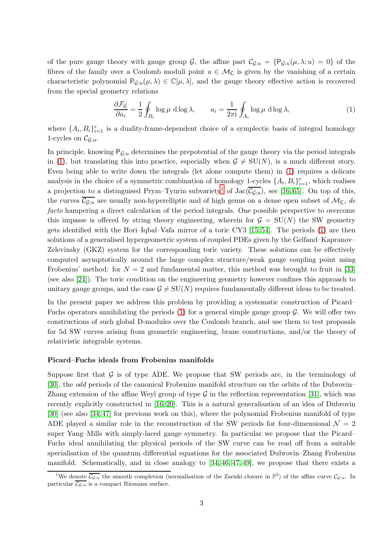of the pure gauge theory with gauge group G, the affine part  $\mathcal{C}_{\mathcal{G};u} = \{P_{\mathcal{G};u}(\mu,\lambda;u) = 0\}$  of the fibres of the family over a Coulomb moduli point  $u \in \mathcal{M}_C$  is given by the vanishing of a certain characteristic polynomial  $P_{\mathcal{G};u}(\mu,\lambda) \in \mathbb{C}[\mu,\lambda]$ , and the gauge theory effective action is recovered from the special geometry relations

<span id="page-2-0"></span>
$$
\frac{\partial \mathcal{F}_{\mathcal{G}}}{\partial a_i} = \frac{1}{2} \oint_{B_i} \log \mu \, d \log \lambda, \qquad a_i = \frac{1}{2\pi i} \oint_{A_i} \log \mu \, d \log \lambda,\tag{1}
$$

where  $\{A_i, B_i\}_{i=1}^r$  is a duality-frame-dependent choice of a symplectic basis of integral homology 1-cycles on  $\mathcal{C}_{\mathcal{G};u}$ .

In principle, knowing  $P_{G;u}$  determines the prepotential of the gauge theory via the period integrals in [\(1\)](#page-2-0), but translating this into practice, especially when  $G \neq SU(N)$ , is a much different story. Even being able to write down the integrals (let alone compute them) in [\(1\)](#page-2-0) requires a delicate analysis in the choice of a symmetric combination of homology 1-cycles  $\{A_i, B_i\}_{i=1}^r$ , which realises a projection to a distinguised Prym–Tyurin subvariety<sup>[1](#page-2-1)</sup> of Jac $(\overline{\mathcal{C}_{\mathcal{G};u}})$ , see [\[16,](#page-38-6)65]. On top of this, the curves  $\overline{\mathcal{C}_{\mathcal{G};u}}$  are usually non-hyperelliptic and of high genus on a dense open subset of  $\mathcal{M}_{\mathsf{C}}$ , de facto hampering a direct calculation of the period integrals. One possible perspective to overcome this impasse is offered by string theory engineering, wherein for  $G = SU(N)$  the SW geometry gets identified with the Hori–Iqbal–Vafa mirror of a toric CY3 [\[15,](#page-38-7) [54\]](#page-40-10). The periods [\(1\)](#page-2-0) are then solutions of a generalised hypergeometric system of coupled PDEs given by the Gelfand–Kapranov– Zelevinsky (GKZ) system for the corresponding toric variety. These solutions can be effectively computed asymptotically around the large complex structure/weak gauge coupling point using Frobenius' method: for  $N = 2$  and fundamental matter, this method was brought to fruit in [\[33\]](#page-39-4) (see also [\[24\]](#page-38-8)). The toric condition on the engineering geometry however confines this approach to unitary gauge groups, and the case  $G \neq SU(N)$  requires fundamentally different ideas to be treated.

In the present paper we address this problem by providing a systematic construction of Picard– Fuchs operators annihilating the periods  $(1)$  for a general simple gauge group  $\mathcal G$ . We will offer two constructions of such global D-modules over the Coulomb branch, and use them to test proposals for 5d SW curves arising from geometric engineering, brane constructions, and/or the theory of relativistic integrable systems.

### Picard–Fuchs ideals from Frobenius manifolds

Suppose first that  $G$  is of type ADE. We propose that SW periods are, in the terminology of [\[30\]](#page-39-5), the odd periods of the canonical Frobenius manifold structure on the orbits of the Dubrovin– Zhang extension of the affine Weyl group of type  $\mathcal G$  in the reflection representation [\[31\]](#page-39-6), which was recently explicitly constructed in [\[16,](#page-38-6) [20\]](#page-38-9). This is a natural generalisation of an idea of Dubrovin [\[30\]](#page-39-5) (see also [\[34,](#page-39-7) [47\]](#page-39-8) for previous work on this), where the polynomial Frobenius manifold of type ADE played a similar role in the reconstruction of the SW periods for four-dimensional  $\mathcal{N} = 2$ super Yang–Mills with simply-laced gauge symmetry. In particular we propose that the Picard– Fuchs ideal annihilating the physical periods of the SW curve can be read off from a suitable specialisation of the quantum differential equations for the associated Dubrovin–Zhang Frobenius manifold. Schematically, and in close analogy to [\[34,](#page-39-7) [46,](#page-39-9) [47,](#page-39-8) [49\]](#page-39-10), we propose that there exists a

<span id="page-2-1"></span><sup>&</sup>lt;sup>1</sup>We denote  $\overline{\mathcal{C}_{\mathcal{G};u}}$  the smooth completion (normalisation of the Zariski closure in  $\mathbb{P}^2$ ) of the affine curve  $\mathcal{C}_{\mathcal{G};u}$ . In particular  $\overline{\mathcal{C}_{\mathcal{G};u}}$  is a compact Riemann surface.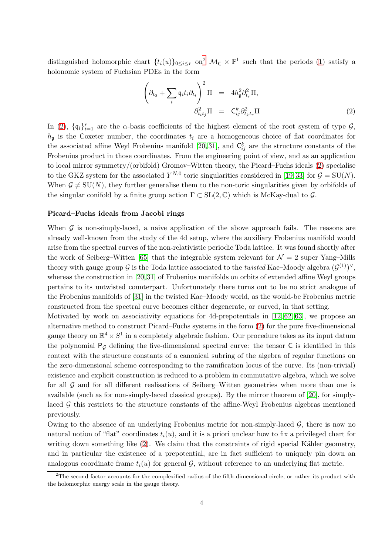distinguished holomorphic chart  $\{t_i(u)\}_{0\leq i\leq r}$  on<sup>[2](#page-3-0)</sup>  $\mathcal{M}_{\mathsf{C}} \times \mathbb{P}^1$  such that the periods [\(1\)](#page-2-0) satisfy a holonomic system of Fuchsian PDEs in the form

<span id="page-3-1"></span>
$$
\left(\partial_{t_0} + \sum_i \mathfrak{q}_i t_i \partial_{t_i}\right)^2 \Pi = 4h_{\mathfrak{g}}^2 \partial_{t_r}^2 \Pi,
$$
  

$$
\partial_{t_i t_j}^2 \Pi = C_{ij}^k \partial_{t_k t_r}^2 \Pi
$$
 (2)

In [\(2\)](#page-3-1),  $\{\mathfrak{q}_i\}_{i=1}^r$  are the  $\alpha$ -basis coefficients of the highest element of the root system of type  $\mathcal{G}$ ,  $h_{\mathfrak{g}}$  is the Coxeter number, the coordinates  $t_i$  are a homogeneous choice of flat coordinates for the associated affine Weyl Frobenius manifold [\[20,](#page-38-9) [31\]](#page-39-6), and  $\mathsf{C}_{ij}^k$  are the structure constants of the Frobenius product in those coordinates. From the engineering point of view, and as an application to local mirror symmetry/(orbifold) Gromov–Witten theory, the Picard–Fuchs ideals [\(2\)](#page-3-1) specialise to the GKZ system for the associated  $Y^{N,0}$  toric singularities considered in [\[19,](#page-38-10)33] for  $\mathcal{G} = SU(N)$ . When  $\mathcal{G} \neq \text{SU}(N)$ , they further generalise them to the non-toric singularities given by orbifolds of the singular conifold by a finite group action  $\Gamma \subset SL(2,\mathbb{C})$  which is McKay-dual to  $\mathcal G$ .

#### Picard–Fuchs ideals from Jacobi rings

When  $\mathcal G$  is non-simply-laced, a naive application of the above approach fails. The reasons are already well-known from the study of the 4d setup, where the auxiliary Frobenius manifold would arise from the spectral curves of the non-relativistic periodic Toda lattice. It was found shortly after the work of Seiberg–Witten [\[65\]](#page-40-9) that the integrable system relevant for  $\mathcal{N}=2$  super Yang–Mills theory with gauge group G is the Toda lattice associated to the *twisted* Kac–Moody algebra  $(\mathcal{G}^{(1)})^{\vee}$ , whereas the construction in [\[20,](#page-38-9) [31\]](#page-39-6) of Frobenius manifolds on orbits of extended affine Weyl groups pertains to its untwisted counterpart. Unfortunately there turns out to be no strict analogue of the Frobenius manifolds of [\[31\]](#page-39-6) in the twisted Kac–Moody world, as the would-be Frobenius metric constructed from the spectral curve becomes either degenerate, or curved, in that setting.

Motivated by work on associativity equations for 4d-prepotentials in  $[12, 62, 63]$  $[12, 62, 63]$  $[12, 62, 63]$ , we propose an alternative method to construct Picard–Fuchs systems in the form [\(2\)](#page-3-1) for the pure five-dimensional gauge theory on  $\mathbb{R}^4 \times S^1$  in a completely algebraic fashion. Our procedure takes as its input datum the polynomial  $P_G$  defining the five-dimensional spectral curve: the tensor  $C$  is identified in this context with the structure constants of a canonical subring of the algebra of regular functions on the zero-dimensional scheme corresponding to the ramification locus of the curve. Its (non-trivial) existence and explicit construction is reduced to a problem in commutative algebra, which we solve for all G and for all different realisations of Seiberg–Witten geometries when more than one is available (such as for non-simply-laced classical groups). By the mirror theorem of [\[20\]](#page-38-9), for simplylaced  $\mathcal G$  this restricts to the structure constants of the affine-Weyl Frobenius algebras mentioned previously.

Owing to the absence of an underlying Frobenius metric for non-simply-laced  $\mathcal{G}$ , there is now no natural notion of "flat" coordinates  $t_i(u)$ , and it is a priori unclear how to fix a privileged chart for writing down something like  $(2)$ . We claim that the constraints of rigid special Kähler geometry, and in particular the existence of a prepotential, are in fact sufficient to uniquely pin down an analogous coordinate frame  $t_i(u)$  for general G, without reference to an underlying flat metric.

<span id="page-3-0"></span> $^{2}$ The second factor accounts for the complexified radius of the fifth-dimensional circle, or rather its product with the holomorphic energy scale in the gauge theory.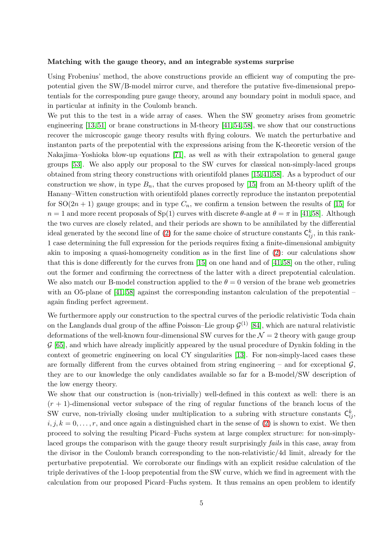#### Matching with the gauge theory, and an integrable systems surprise

Using Frobenius' method, the above constructions provide an efficient way of computing the prepotential given the SW/B-model mirror curve, and therefore the putative five-dimensional prepotentials for the corresponding pure gauge theory, around any boundary point in moduli space, and in particular at infinity in the Coulomb branch.

We put this to the test in a wide array of cases. When the SW geometry arises from geometric engineering [\[13,](#page-38-2) [51\]](#page-39-1) or brane constructions in M-theory [\[41,](#page-39-11) [54,](#page-40-10) [58\]](#page-40-13), we show that our constructions recover the microscopic gauge theory results with flying colours. We match the perturbative and instanton parts of the prepotential with the expressions arising from the K-theoretic version of the Nakajima–Yoshioka blow-up equations [\[71\]](#page-40-6), as well as with their extrapolation to general gauge groups [\[53\]](#page-40-14). We also apply our proposal to the SW curves for classical non-simply-laced groups obtained from string theory constructions with orientifold planes [\[15,](#page-38-7) [41,](#page-39-11) [58\]](#page-40-13). As a byproduct of our construction we show, in type  $B_n$ , that the curves proposed by [\[15\]](#page-38-7) from an M-theory uplift of the Hanany–Witten construction with orientifold planes correctly reproduce the instanton prepotential for  $SO(2n + 1)$  gauge groups; and in type  $C_n$ , we confirm a tension between the results of [\[15\]](#page-38-7) for  $n = 1$  and more recent proposals of Sp(1) curves with discrete  $\theta$ -angle at  $\theta = \pi$  in [\[41,](#page-39-11)[58\]](#page-40-13). Although the two curves are closely related, and their periods are shown to be annihilated by the differential ideal generated by the second line of [\(2\)](#page-3-1) for the same choice of structure constants  $\mathsf{C}_{ij}^k$ , in this rank-1 case determining the full expression for the periods requires fixing a finite-dimensional ambiguity akin to imposing a quasi-homogeneity condition as in the first line of [\(2\)](#page-3-1): our calculations show that this is done differently for the curves from [\[15\]](#page-38-7) on one hand and of [\[41,](#page-39-11) [58\]](#page-40-13) on the other, ruling out the former and confirming the correctness of the latter with a direct prepotential calculation. We also match our B-model construction applied to the  $\theta = 0$  version of the brane web geometries with an O5-plane of [\[41,](#page-39-11) [58\]](#page-40-13) against the corresponding instanton calculation of the prepotential – again finding perfect agreement.

We furthermore apply our construction to the spectral curves of the periodic relativistic Toda chain on the Langlands dual group of the affine Poisson–Lie group  $\mathcal{G}^{(1)}$  [\[84\]](#page-41-3), which are natural relativistic deformations of the well-known four-dimensional SW curves for the  $\mathcal{N}=2$  theory with gauge group  $\mathcal{G}$  [\[65\]](#page-40-9), and which have already implicitly appeared by the usual procedure of Dynkin folding in the context of geometric engineering on local CY singularities [\[13\]](#page-38-2). For non-simply-laced cases these are formally different from the curves obtained from string engineering – and for exceptional  $\mathcal{G}$ , they are to our knowledge the only candidates available so far for a B-model/SW description of the low energy theory.

We show that our construction is (non-trivially) well-defined in this context as well: there is an  $(r + 1)$ -dimensional vector subspace of the ring of regular functions of the branch locus of the SW curve, non-trivially closing under multiplication to a subring with structure constants  $\mathsf{C}_{ij}^k$ ,  $i, j, k = 0, \ldots, r$ , and once again a distinguished chart in the sense of [\(2\)](#page-3-1) is shown to exist. We then proceed to solving the resulting Picard–Fuchs system at large complex structure: for non-simplylaced groups the comparison with the gauge theory result surprisingly *fails* in this case, away from the divisor in the Coulomb branch corresponding to the non-relativistic/4d limit, already for the perturbative prepotential. We corroborate our findings with an explicit residue calculation of the triple derivatives of the 1-loop prepotential from the SW curve, which we find in agreement with the calculation from our proposed Picard–Fuchs system. It thus remains an open problem to identify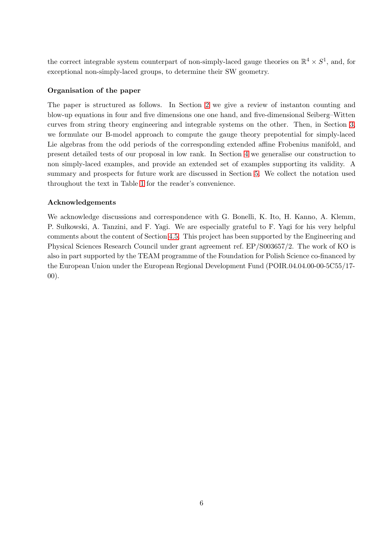the correct integrable system counterpart of non-simply-laced gauge theories on  $\mathbb{R}^4 \times S^1$ , and, for exceptional non-simply-laced groups, to determine their SW geometry.

# Organisation of the paper

The paper is structured as follows. In Section [2](#page-7-0) we give a review of instanton counting and blow-up equations in four and five dimensions one one hand, and five-dimensional Seiberg–Witten curves from string theory engineering and integrable systems on the other. Then, in Section [3,](#page-17-0) we formulate our B-model approach to compute the gauge theory prepotential for simply-laced Lie algebras from the odd periods of the corresponding extended affine Frobenius manifold, and present detailed tests of our proposal in low rank. In Section [4](#page-24-0) we generalise our construction to non simply-laced examples, and provide an extended set of examples supporting its validity. A summary and prospects for future work are discussed in Section [5.](#page-36-0) We collect the notation used throughout the text in Table [1](#page-6-0) for the reader's convenience.

## Acknowledgements

We acknowledge discussions and correspondence with G. Bonelli, K. Ito, H. Kanno, A. Klemm, P. Su lkowski, A. Tanzini, and F. Yagi. We are especially grateful to F. Yagi for his very helpful comments about the content of Section [4.5.](#page-31-0) This project has been supported by the Engineering and Physical Sciences Research Council under grant agreement ref. EP/S003657/2. The work of KO is also in part supported by the TEAM programme of the Foundation for Polish Science co-financed by the European Union under the European Regional Development Fund (POIR.04.04.00-00-5C55/17- 00).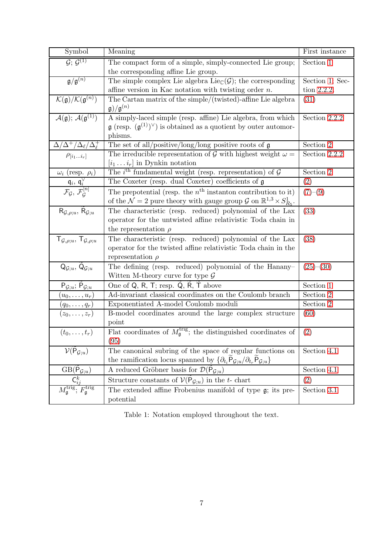<span id="page-6-0"></span>

| Symbol                                                                                                     | Meaning                                                                                                    | First instance    |
|------------------------------------------------------------------------------------------------------------|------------------------------------------------------------------------------------------------------------|-------------------|
| $\mathcal{G}$ ; $\mathcal{G}^{(1)}$                                                                        | The compact form of a simple, simply-connected Lie group;                                                  | Section 1         |
|                                                                                                            | the corresponding affine Lie group.                                                                        |                   |
| $\mathfrak{g}/\mathfrak{g}^{(n)}$                                                                          | The simple complex Lie algebra $Lie_{\mathbb{C}}(\mathcal{G})$ ; the corresponding                         | Section 1; Sec-   |
|                                                                                                            | affine version in Kac notation with twisting order $n$ .                                                   | tion 2.2.2.       |
| $\overline{\mathcal{K}(\mathfrak{g})/\mathcal{K}(\mathfrak{g}^{(n)})}$                                     | The Cartan matrix of the simple/(twisted)-affine Lie algebra                                               | (31)              |
|                                                                                                            | $\mathfrak{g})/\mathfrak{g}^{(n)}$                                                                         |                   |
| $\overline{\mathcal{A}(\mathfrak{g})$ ; $\overline{\mathcal{A}(\mathfrak{g}^{(1)})}$                       | A simply-laced simple (resp. affine) Lie algebra, from which                                               | Section 2.2.2     |
|                                                                                                            | $\mathfrak{g}$ (resp. $(\mathfrak{g}^{(1)})^{\vee}$ ) is obtained as a quotient by outer automor-          |                   |
|                                                                                                            | phisms.                                                                                                    |                   |
| $\Delta/\Delta^+/\Delta_\ell/\Delta_\ell^+$                                                                | The set of all/positive/long/long positive roots of $\mathfrak g$                                          | Section 2         |
| $\rho_{[i_1i_r]}$                                                                                          | The irreducible representation of G with highest weight $\omega =$                                         | Section $2.2.2\,$ |
|                                                                                                            | $[i_1 \dots i_r]$ in Dynkin notation                                                                       |                   |
| $\omega_i$ (resp. $\rho_i$ )                                                                               | The <i>i</i> <sup>th</sup> fundamental weight (resp. representation) of $\mathcal{G}$                      | Section 2         |
| $\frac{\mathfrak{q}_i,\,\mathfrak{q}_i^\vee}{\mathcal{F}_{\mathcal{G}},\,\mathcal{F}_{\mathcal{G}}^{[n]}}$ | The Coxeter (resp. dual Coxeter) coefficients of $\mathfrak g$                                             | $\left( 2\right)$ |
|                                                                                                            | The prepotential (resp. the $n^{\text{th}}$ instanton contribution to it)                                  | $(7)-(9)$         |
|                                                                                                            | of the $\mathcal{N}=2$ pure theory with gauge group $\mathcal{G}$ on $\mathbb{R}^{1,3} \times S^1_{R_5}$ . |                   |
| $R_{\mathcal{G},\rho;u}, R_{\mathcal{G};u}$                                                                | The characteristic (resp. reduced) polynomial of the Lax                                                   | (33)              |
|                                                                                                            | operator for the untwisted affine relativistic Toda chain in                                               |                   |
|                                                                                                            | the representation $\rho$                                                                                  |                   |
| $T_{\mathcal{G},\rho;u}$ , $T_{\mathcal{G},\rho;u}$                                                        | The characteristic (resp. reduced) polynomial of the Lax                                                   | (38)              |
|                                                                                                            | operator for the twisted affine relativistic Toda chain in the                                             |                   |
|                                                                                                            | representation $\rho$                                                                                      |                   |
| $\mathsf{Q}_{\mathcal{G};u},\,\mathsf{Q}_{\mathcal{G};u}$                                                  | The defining (resp. reduced) polynomial of the Hanany-                                                     | $(25)-(30)$       |
|                                                                                                            | Witten M-theory curve for type $\mathcal G$                                                                |                   |
| $P_{\mathcal{G};u}$ ; $P_{\mathcal{G};u}$                                                                  | One of Q, R, T; resp. Q, R, T above                                                                        | Section 1         |
| $(u_0,\ldots,u_r)$                                                                                         | Ad-invariant classical coordinates on the Coulomb branch                                                   | Section 2         |
| $(q_0,\ldots,q_r)$                                                                                         | Exponentiated A-model Coulomb moduli                                                                       | Section 2         |
| $(z_0,\ldots,z_r)$                                                                                         | B-model coordinates around the large complex structure                                                     | (60)              |
|                                                                                                            | point                                                                                                      |                   |
| $(t_0,\ldots,t_r)$                                                                                         | Flat coordinates of $M_{\mathfrak{g}}^{\text{trig}}$ ; the distinguished coordinates of                    | (2)               |
|                                                                                                            | (95)                                                                                                       |                   |
| $V(\overline{P}_{\mathcal{G};u})$                                                                          | The canonical subring of the space of regular functions on                                                 | Section 4.1       |
|                                                                                                            | the ramification locus spanned by $\{\partial_{t_i} P_{\mathcal{G};u}/\partial_{t_r} P_{\mathcal{G};u}\}$  |                   |
| $GB(P_{\mathcal{G};u})$                                                                                    | A reduced Gröbner basis for $\mathcal{D}(\mathsf{P}_{\mathcal{G};u})$                                      | Section 4.1       |
|                                                                                                            | Structure constants of $V(\overline{P}_{\mathcal{G};u})$ in the t- chart                                   | (2)               |
| $M_{\mathfrak{g}}^{\mathrm{trig}}, F_{\mathfrak{g}}^{\mathrm{trig}}$                                       | The extended affine Frobenius manifold of type $\mathfrak{g}$ ; its pre-                                   | Section 3.1       |
|                                                                                                            | potential                                                                                                  |                   |

Table 1: Notation employed throughout the text.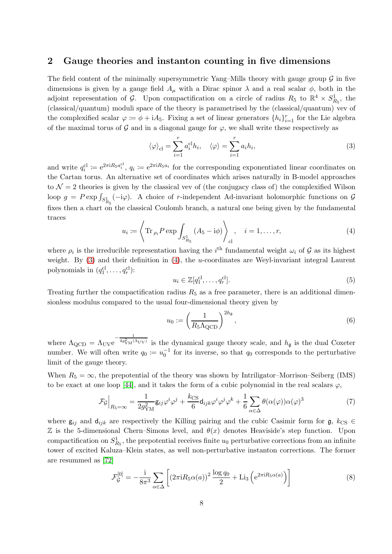# <span id="page-7-0"></span>2 Gauge theories and instanton counting in five dimensions

The field content of the minimally supersymmetric Yang–Mills theory with gauge group  $\mathcal G$  in five dimensions is given by a gauge field  $A_\mu$  with a Dirac spinor  $\lambda$  and a real scalar  $\phi$ , both in the adjoint representation of G. Upon compactification on a circle of radius  $R_5$  to  $\mathbb{R}^4 \times S^1_{R_5}$ , the (classical/quantum) moduli space of the theory is parametrised by the (classical/quantum) vev of the complexified scalar  $\varphi := \phi + iA_5$ . Fixing a set of linear generators  $\{h_i\}_{i=1}^r$  for the Lie algebra of the maximal torus of  $\mathcal G$  and in a diagonal gauge for  $\varphi$ , we shall write these respectively as

<span id="page-7-2"></span>
$$
\langle \varphi \rangle_{\text{cl}} = \sum_{i=1}^{r} a_i^{\text{cl}} h_i, \quad \langle \varphi \rangle = \sum_{i=1}^{r} a_i h_i,
$$
 (3)

and write  $q_i^{\text{cl}} \coloneqq e^{2\pi i R_5 a_i^{\text{cl}}}$ ,  $q_i \coloneqq e^{2\pi i R_5 a_i}$  for the corresponding exponentiated linear coordinates on the Cartan torus. An alternative set of coordinates which arises naturally in B-model approaches to  $\mathcal{N}=2$  theories is given by the classical vev of (the conjugacy class of) the complexified Wilson loop  $g = P \exp \int_{S_{R_5}^1} (-i\varphi)$ . A choice of r-independent Ad-invariant holomorphic functions on  $\mathcal{G}$ fixes then a chart on the classical Coulomb branch, a natural one being given by the fundamental traces

<span id="page-7-3"></span>
$$
u_i := \left\langle \operatorname{Tr}_{\rho_i} P \exp \int_{S_{R_5}^1} (A_5 - i\phi) \right\rangle_{\text{cl}}, \quad i = 1, \dots, r,
$$
 (4)

where  $\rho_i$  is the irreducible representation having the  $i^{\text{th}}$  fundamental weight  $\omega_i$  of  $\mathcal G$  as its highest weight. By [\(3\)](#page-7-2) and their definition in [\(4\)](#page-7-3), the *u*-coordinates are Weyl-invariant integral Laurent polynomials in  $(q_1^{\text{cl}}, \ldots, q_r^{\text{cl}})$ :

$$
u_i \in \mathbb{Z}[q_1^{\text{cl}}, \dots, q_r^{\text{cl}}].\tag{5}
$$

Treating further the compactification radius  $R_5$  as a free parameter, there is an additional dimensionless modulus compared to the usual four-dimensional theory given by

<span id="page-7-4"></span>
$$
u_0 := \left(\frac{1}{R_5 \Lambda_{\text{QCD}}}\right)^{2h_{\mathfrak{g}}},\tag{6}
$$

where  $\Lambda_{\text{QCD}} = \Lambda_{\text{UV}} e^{-\frac{1}{4g_{\text{YM}}^2(\Lambda_{\text{UV}})}}$  is the dynamical gauge theory scale, and  $h_{\mathfrak{g}}$  is the dual Coxeter number. We will often write  $q_0 \coloneqq u_0^{-1}$  for its inverse, so that  $q_0$  corresponds to the perturbative limit of the gauge theory.

When  $R_5 = \infty$ , the prepotential of the theory was shown by Intriligator–Morrison–Seiberg (IMS) to be exact at one loop [\[44\]](#page-39-0), and it takes the form of a cubic polynomial in the real scalars  $\varphi$ ,

<span id="page-7-1"></span>
$$
\mathcal{F}_{\mathcal{G}}\Big|_{R_5=\infty} = \frac{1}{2g_{\rm YM}^2} \mathsf{g}_{ij} \varphi^i \varphi^j + \frac{k_{\rm CS}}{6} \mathsf{d}_{ijk} \varphi^i \varphi^j \varphi^k + \frac{1}{6} \sum_{\alpha \in \Delta} \theta(\alpha(\varphi)) \alpha(\varphi)^3 \tag{7}
$$

where  $g_{ij}$  and  $d_{ijk}$  are respectively the Killing pairing and the cubic Casimir form for  $g, k_{CS} \in$  $\mathbb Z$  is the 5-dimensional Chern–Simons level, and  $\theta(x)$  denotes Heaviside's step function. Upon compactification on  $S^1_{R_5}$ , the prepotential receives finite  $u_0$  perturbative corrections from an infinite tower of excited Kaluza–Klein states, as well non-perturbative instanton corrections. The former are resummed as [\[72\]](#page-40-1)

$$
\mathcal{F}_{\mathcal{G}}^{[0]} = -\frac{\mathrm{i}}{8\pi^3} \sum_{\alpha \in \Delta} \left[ \left( 2\pi \mathrm{i} R_5 \alpha(a) \right)^2 \frac{\log q_0}{2} + \mathrm{Li}_3 \left( e^{2\pi \mathrm{i} R_5 \alpha(a)} \right) \right] \tag{8}
$$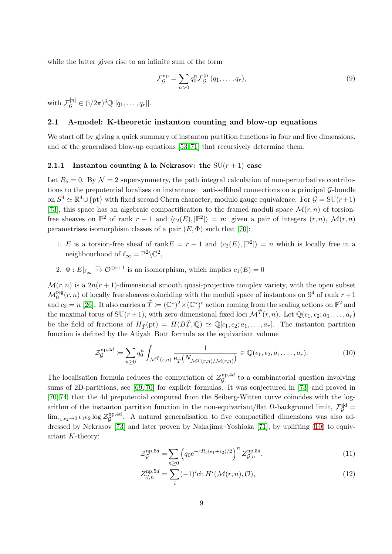while the latter gives rise to an infinite sum of the form

<span id="page-8-2"></span>
$$
\mathcal{F}_{\mathcal{G}}^{\text{np}} = \sum_{n>0} q_0^n \mathcal{F}_{\mathcal{G}}^{[n]}(q_1, \dots, q_r),\tag{9}
$$

with  $\mathcal{F}_{\mathcal{G}}^{[n]} \in (i/2\pi)^3 \mathbb{Q}[[q_1,\ldots,q_r]].$ 

### <span id="page-8-0"></span>2.1 A-model: K-theoretic instanton counting and blow-up equations

We start off by giving a quick summary of instanton partition functions in four and five dimensions, and of the generalised blow-up equations [\[53,](#page-40-14) [71\]](#page-40-6) that recursively determine them.

### <span id="page-8-1"></span>2.1.1 Instanton counting à la Nekrasov: the  $SU(r + 1)$  case

Let  $R_5 = 0$ . By  $\mathcal{N} = 2$  supersymmetry, the path integral calculation of non-perturbative contributions to the prepotential localises on instantons – anti-selfdual connections on a principal  $\mathcal{G}\text{-}$ bundle on  $S^4 \simeq \mathbb{R}^4 \cup \{pt\}$  with fixed second Chern character, modulo gauge equivalence. For  $\mathcal{G} = SU(r+1)$ [\[73\]](#page-40-7), this space has an algebraic compactification to the framed moduli space  $\mathcal{M}(r, n)$  of torsionfree sheaves on  $\mathbb{P}^2$  of rank  $r+1$  and  $\langle c_2(E), [\mathbb{P}^2] \rangle = n$ : given a pair of integers  $(r, n)$ ,  $\mathcal{M}(r, n)$ parametrises isomorphism classes of a pair  $(E, \Phi)$  such that [\[70\]](#page-40-5):

- 1. E is a torsion-free sheaf of rank  $E = r + 1$  and  $\langle c_2(E), [\mathbb{P}^2] \rangle = n$  which is locally free in a neighbourhood of  $\ell_{\infty} = \mathbb{P}^2 \backslash \mathbb{C}^2$ ,
- 2.  $\Phi: E|_{\ell_\infty} \xrightarrow{\sim} \mathcal{O}^{\oplus r+1}$  is an isomorphism, which implies  $c_1(E) = 0$

 $\mathcal{M}(r, n)$  is a  $2n(r + 1)$ -dimensional smooth quasi-projective complex variety, with the open subset  $\mathcal{M}_0^{\text{reg}}(r,n)$  of locally free sheaves coinciding with the moduli space of instantons on  $\mathbb{S}^4$  of rank  $r+1$ and  $c_2 = n$  [\[26\]](#page-39-12). It also carries a  $\tilde{T} := (\mathbb{C}^*)^2 \times (\mathbb{C}^*)^r$  action coming from the scaling actions on  $\mathbb{P}^2$  and the maximal torus of  $SU(r+1)$ , with zero-dimensional fixed loci  $\mathcal{M}^{\tilde{T}}(r,n)$ . Let  $\mathbb{Q}(\epsilon_1,\epsilon_2;a_1,\ldots,a_r)$ be the field of fractions of  $H_{\tilde{T}}(\text{pt}) = H(B\tilde{T}, \mathbb{Q}) \simeq \mathbb{Q}[\epsilon_1, \epsilon_2; a_1, \ldots, a_r].$  The instanton partition function is defined by the Atiyah–Bott formula as the equivariant volume

<span id="page-8-3"></span>
$$
\mathcal{Z}_{\mathcal{G}}^{\text{np},4d} \coloneqq \sum_{n\geq 0} q_0^n \int_{\mathcal{M}^{\tilde{T}}(r,n)} \frac{1}{\mathbf{e}_{\tilde{T}}(N_{\mathcal{M}^{\tilde{T}}(r,n)/\mathcal{M}(r,n)})} \in \mathbb{Q}(\epsilon_1, \epsilon_2, a_1, \dots, a_r). \tag{10}
$$

The localisation formula reduces the computation of  $\mathcal{Z}_{\mathcal{G}}^{\text{np},4d}$  $\mathcal{G}^{\text{np},4a}$  to a combinatorial question involving sums of 2D-partitions, see [\[69,](#page-40-15) [70\]](#page-40-5) for explicit formulas. It was conjectured in [\[73\]](#page-40-7) and proved in [\[70,](#page-40-5) [74\]](#page-40-8) that the 4d prepotential computed from the Seiberg-Witten curve coincides with the logarithm of the instanton partition function in the non-equivariant/flat  $\Omega$ -background limit,  $\mathcal{F}_{\mathcal{G}}^{\text{4d}}$  $\lim_{\epsilon_1,\epsilon_2\to 0}\epsilon_1\epsilon_2\log\mathcal{Z}^{\rm np,4d}_\mathcal{G}$  $\mathcal{G}^{\text{np},\text{4d}}$ . A natural generalisation to five compactified dimensions was also addressed by Nekrasov [\[73\]](#page-40-7) and later proven by Nakajima–Yoshioka [\[71\]](#page-40-6), by uplifting [\(10\)](#page-8-3) to equivariant K-theory:

$$
\mathcal{Z}_{\mathcal{G}}^{\text{np},5d} = \sum_{n\geq 0} \left( q_0 e^{-rR_5(\epsilon_1 + \epsilon_2)/2} \right)^n \mathcal{Z}_{\mathcal{G},n}^{\text{np},5d},\tag{11}
$$

<span id="page-8-4"></span>
$$
Z_{\mathcal{G},n}^{\text{np},5d} = \sum_{i} (-1)^i \text{ch } H^i(\mathcal{M}(r,n), \mathcal{O}), \tag{12}
$$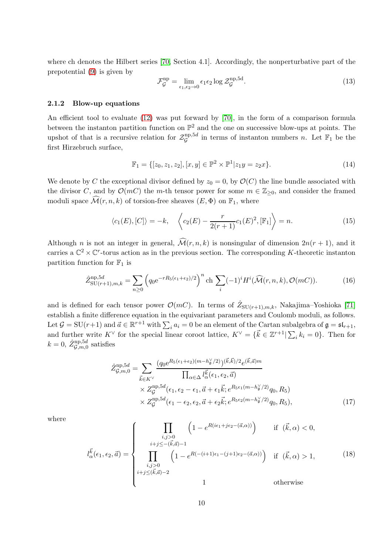where ch denotes the Hilbert series [\[70,](#page-40-5) Section 4.1]. Accordingly, the nonperturbative part of the prepotential [\(9\)](#page-8-2) is given by

<span id="page-9-3"></span>
$$
\mathcal{F}_{\mathcal{G}}^{\text{np}} = \lim_{\epsilon_1, \epsilon_2 \to 0} \epsilon_1 \epsilon_2 \log \mathcal{Z}_{\mathcal{G}}^{\text{np}, \text{5d}}.
$$
 (13)

### <span id="page-9-0"></span>2.1.2 Blow-up equations

An efficient tool to evaluate [\(12\)](#page-8-4) was put forward by [\[70\]](#page-40-5), in the form of a comparison formula between the instanton partition function on  $\mathbb{P}^2$  and the one on successive blow-ups at points. The upshot of that is a recursive relation for  $\mathcal{Z}_{\mathcal{G}}^{\text{np},5d}$  $\mathcal{G}^{\text{np}, \text{bd}}$  in terms of instanton numbers n. Let  $\mathbb{F}_1$  be the first Hirzebruch surface,

$$
\mathbb{F}_1 = \{ [z_0, z_1, z_2], [x, y] \in \mathbb{P}^2 \times \mathbb{P}^1 | z_1 y = z_2 x \}.
$$
\n(14)

We denote by C the exceptional divisor defined by  $z_0 = 0$ , by  $\mathcal{O}(C)$  the line bundle associated with the divisor C, and by  $\mathcal{O}(mC)$  the m-th tensor power for some  $m \in \mathbb{Z}_{\geq 0}$ , and consider the framed moduli space  $\widehat{\mathcal{M}}(r, n, k)$  of torsion-free sheaves  $(E, \Phi)$  on  $\mathbb{F}_1$ , where

$$
\langle c_1(E), [C] \rangle = -k, \quad \left\langle c_2(E) - \frac{r}{2(r+1)} c_1(E)^2, [\mathbb{F}_1] \right\rangle = n. \tag{15}
$$

Although *n* is not an integer in general,  $\widehat{\mathcal{M}}(r, n, k)$  is nonsingular of dimension  $2n(r + 1)$ , and it carries a  $\mathbb{C}^2 \times \mathbb{C}^r$ -torus action as in the previous section. The corresponding K-theoretic instanton partition function for  $\mathbb{F}_1$  is

<span id="page-9-2"></span>
$$
\hat{Z}_{\text{SU}(r+1),m,k}^{\text{np},5d} = \sum_{n\geq 0} \left( q_0 e^{-rR_5(\epsilon_1+\epsilon_2)/2} \right)^n \text{ch} \sum_i (-1)^i H^i(\widehat{\mathcal{M}}(r,n,k), \mathcal{O}(mC)). \tag{16}
$$

and is defined for each tensor power  $\mathcal{O}(mC)$ . In terms of  $\hat{Z}_{\text{SU}(r+1),m,k}$ , Nakajima–Yoshioka [\[71\]](#page-40-6) establish a finite difference equation in the equivariant parameters and Coulomb moduli, as follows. Let  $\mathcal{G} = \text{SU}(r+1)$  and  $\vec{a} \in \mathbb{R}^{r+1}$  with  $\sum_i a_i = 0$  be an element of the Cartan subalgebra of  $\mathfrak{g} = \mathfrak{sl}_{r+1}$ , and further write  $K^{\vee}$  for the special linear coroot lattice,  $K^{\vee} = {\{\vec{k} \in \mathbb{Z}^{r+1} | \sum_{i} k_i = 0\}}$ . Then for  $k = 0, \ \hat{Z}_{\mathcal{G},m,0}^{\text{np},5d}$  satisfies

<span id="page-9-1"></span>
$$
\hat{Z}_{\mathcal{G},m,0}^{\text{np},5d} = \sum_{\vec{k}\in K^{\vee}} \frac{(q_0 e^{R_5(\epsilon_1+\epsilon_2)(m-h_{\mathfrak{g}}^{\vee}/2)})^{(\vec{k},\vec{k})/2} e^{(\vec{k},\vec{a})m}}{\prod_{\alpha\in\Delta} l_{\alpha}^{\vec{k}}(\epsilon_1,\epsilon_2,\vec{a})} \times Z_{\mathcal{G}}^{\text{np},5d}(\epsilon_1,\epsilon_2-\epsilon_1,\vec{a}+\epsilon_1\vec{k};e^{R_5\epsilon_1(m-h_{\mathfrak{g}}^{\vee}/2)}q_0,R_5) \times Z_{\mathcal{G}}^{\text{np},5d}(\epsilon_1-\epsilon_2,\epsilon_2,\vec{a}+\epsilon_2\vec{k};e^{R_5\epsilon_2(m-h_{\mathfrak{g}}^{\vee}/2)}q_0,R_5),
$$
\n(17)

where

$$
l_{\alpha}^{\vec{k}}(\epsilon_1, \epsilon_2, \vec{a}) = \begin{cases} \prod_{\substack{i,j>0 \\ i+j \leq -(\vec{k}, \vec{a})-1}} \left(1 - e^{R(i\epsilon_1 + j\epsilon_2 - (\vec{a}, \alpha))}\right) & \text{if } (\vec{k}, \alpha) < 0, \\ \prod_{\substack{i,j>0 \\ i+j \leq (\vec{k}, \vec{a})-2}} \left(1 - e^{R(-(i+1)\epsilon_1 - (j+1)\epsilon_2 - (\vec{a}, \alpha))}\right) & \text{if } (\vec{k}, \alpha) > 1, \end{cases}
$$
(18)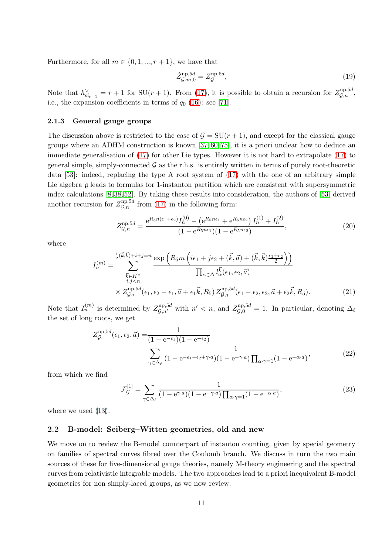Furthermore, for all  $m \in \{0, 1, ..., r + 1\}$ , we have that

$$
\hat{Z}_{\mathcal{G},m,0}^{\text{np},5d} = Z_{\mathcal{G}}^{\text{np},5d},\tag{19}
$$

Note that  $h_{\mathfrak{sl}_{r+1}}^{\vee} = r + 1$  for  $SU(r + 1)$ . From [\(17\)](#page-9-1), it is possible to obtain a recursion for  $Z_{\mathcal{G},n}^{\text{np},5d}$ , i.e., the expansion coefficients in terms of  $q_0$  [\(16\)](#page-9-2): see [\[71\]](#page-40-6).

### <span id="page-10-0"></span>2.1.3 General gauge groups

The discussion above is restricted to the case of  $\mathcal{G} = SU(r + 1)$ , and except for the classical gauge groups where an ADHM construction is known [\[37,](#page-39-13) [60,](#page-40-16) [75\]](#page-40-17), it is a priori unclear how to deduce an immediate generalisation of [\(17\)](#page-9-1) for other Lie types. However it is not hard to extrapolate [\(17\)](#page-9-1) to general simple, simply-connected  $\mathcal G$  as the r.h.s. is entirely written in terms of purely root-theoretic data  $[53]$ : indeed, replacing the type A root system of  $(17)$  with the one of an arbitrary simple Lie algebra  $\mathfrak g$  leads to formulas for 1-instanton partition which are consistent with supersymmetric index calculations [\[8,](#page-38-12) [38,](#page-39-14) [52\]](#page-39-15). By taking these results into consideration, the authors of [\[53\]](#page-40-14) derived another recursion for  $Z_{\mathcal{G},n}^{\text{np},5d}$  from [\(17\)](#page-9-1) in the following form:

$$
Z_{\mathcal{G},n}^{\rm np,5d} = \frac{e^{R_5 n(\epsilon_1 + \epsilon_2)} I_n^{(0)} - \left(e^{R_5 n \epsilon_1} + e^{R_5 n \epsilon_2}\right) I_n^{(1)} + I_n^{(2)}}{(1 - e^{R_5 n \epsilon_1})(1 - e^{R_5 n \epsilon_2})},\tag{20}
$$

where

$$
I_n^{(m)} = \sum_{\substack{\vec{k} \in K^{\vee} \\ i,j < n}}^{\frac{1}{2}(\vec{k},\vec{k})+i+j=n} \frac{\exp\left(R_5 m\left(i\epsilon_1 + j\epsilon_2 + (\vec{k},\vec{a}) + (\vec{k},\vec{k})\frac{\epsilon_1 + \epsilon_2}{2}\right)\right)}{\prod_{\alpha \in \Delta} l_{\alpha}^{\vec{k}}(\epsilon_1, \epsilon_2, \vec{a})} \times Z_{\mathcal{G},i}^{\text{np},5d}(\epsilon_1, \epsilon_2 - \epsilon_1, \vec{a} + \epsilon_1 \vec{k}, R_5) Z_{\mathcal{G},j}^{\text{np},5d}(\epsilon_1 - \epsilon_2, \epsilon_2, \vec{a} + \epsilon_2 \vec{k}, R_5). \tag{21}
$$

Note that  $I_n^{(m)}$  is determined by  $Z_{\mathcal{G},n'}^{np,5d}$  with  $n' < n$ , and  $Z_{\mathcal{G},0}^{np,5d} = 1$ . In particular, denoting  $\Delta_{\ell}$ the set of long roots, we get

$$
Z_{\mathcal{G},1}^{\text{np},5d}(\epsilon_1, \epsilon_2, \vec{a}) = \frac{1}{(1 - e^{-\epsilon_1})(1 - e^{-\epsilon_2})}
$$

$$
\sum_{\gamma \in \Delta_{\ell}} \frac{1}{(1 - e^{-\epsilon_1 - \epsilon_2 + \gamma \cdot a})(1 - e^{-\gamma \cdot a}) \prod_{\alpha \cdot \gamma = 1} (1 - e^{-\alpha \cdot a})},
$$
(22)

from which we find

<span id="page-10-2"></span>
$$
\mathcal{F}_{\mathcal{G}}^{[1]} = \sum_{\gamma \in \Delta_{\ell}} \frac{1}{(1 - e^{\gamma \cdot a})(1 - e^{-\gamma \cdot a}) \prod_{\alpha \cdot \gamma = 1} (1 - e^{-\alpha \cdot a})},\tag{23}
$$

where we used  $(13)$ .

### <span id="page-10-1"></span>2.2 B-model: Seiberg–Witten geometries, old and new

We move on to review the B-model counterpart of instanton counting, given by special geometry on families of spectral curves fibred over the Coulomb branch. We discuss in turn the two main sources of these for five-dimensional gauge theories, namely M-theory engineering and the spectral curves from relativistic integrable models. The two approaches lead to a priori inequivalent B-model geometries for non simply-laced groups, as we now review.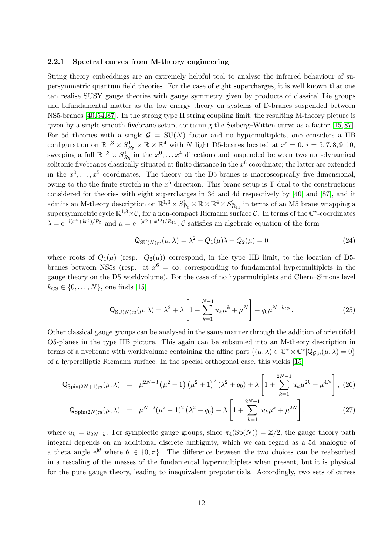#### <span id="page-11-0"></span>2.2.1 Spectral curves from M-theory engineering

String theory embeddings are an extremely helpful tool to analyse the infrared behaviour of supersymmetric quantum field theories. For the case of eight supercharges, it is well known that one can realise SUSY gauge theories with gauge symmetry given by products of classical Lie groups and bifundamental matter as the low energy theory on systems of D-branes suspended between NS5-branes [\[40,](#page-39-16) [54,](#page-40-10) [87\]](#page-41-4). In the strong type II string coupling limit, the resulting M-theory picture is given by a single smooth fivebrane setup, containing the Seiberg–Witten curve as a factor [\[15,](#page-38-7) [87\]](#page-41-4). For 5d theories with a single  $G = SU(N)$  factor and no hypermultiplets, one considers a IIB configuration on  $\mathbb{R}^{1,3} \times S^1_{R_5} \times \mathbb{R} \times \mathbb{R}^4$  with N light D5-branes located at  $x^i = 0$ ,  $i = 5, 7, 8, 9, 10$ , sweeping a full  $\mathbb{R}^{1,3} \times S^1_{R_5}$  in the  $x^0, \ldots x^4$  directions and suspended between two non-dynamical solitonic fivebranes classically situated at finite distance in the  $x^6$  coordinate; the latter are extended in the  $x^0, \ldots, x^5$  coordinates. The theory on the D5-branes is macroscopically five-dimensional, owing to the the finite stretch in the  $x^6$  direction. This brane setup is T-dual to the constructions considered for theories with eight supercharges in 3d and 4d respectively by [\[40\]](#page-39-16) and [\[87\]](#page-41-4), and it admits an M-theory description on  $\mathbb{R}^{1,3} \times S^1_{R_5} \times \mathbb{R} \times \mathbb{R}^4 \times S^1_{R_{11}}$  in terms of an M5 brane wrapping a supersymmetric cycle  $\mathbb{R}^{1,3} \times \mathcal{C}$ , for a non-compact Riemann surface  $\mathcal{C}$ . In terms of the  $\mathbb{C}^*$ -coordinates  $\lambda = e^{-i(x^4 + ix^5)/R_5}$  and  $\mu = e^{-(x^6 + ix^{10})/R_{11}}, C$  satisfies an algebraic equation of the form

$$
\mathsf{Q}_{\mathrm{SU}(N);u}(\mu,\lambda) = \lambda^2 + Q_1(\mu)\lambda + Q_2(\mu) = 0 \tag{24}
$$

where roots of  $Q_1(\mu)$  (resp.  $Q_2(\mu)$ ) correspond, in the type IIB limit, to the location of D5branes between NS5s (resp. at  $x^6 = \infty$ , corresponding to fundamental hypermultiplets in the gauge theory on the D5 worldvolume). For the case of no hypermultiplets and Chern–Simons level  $k_{\text{CS}} \in \{0, ..., N\}$ , one finds [\[15\]](#page-38-7)

<span id="page-11-1"></span>
$$
Q_{SU(N);u}(\mu,\lambda) = \lambda^2 + \lambda \left[ 1 + \sum_{k=1}^{N-1} u_k \mu^k + \mu^N \right] + q_0 \mu^{N-k_{CS}}.
$$
 (25)

Other classical gauge groups can be analysed in the same manner through the addition of orientifold O5-planes in the type IIB picture. This again can be subsumed into an M-theory description in terms of a fivebrane with worldvolume containing the affine part  $\{(\mu, \lambda) \in \mathbb{C}^* \times \mathbb{C}^* | Q_{\mathcal{G},u}(\mu, \lambda) = 0\}$ of a hyperelliptic Riemann surface. In the special orthogonal case, this yields [\[15\]](#page-38-7)

<span id="page-11-2"></span>
$$
Q_{\text{Spin}(2N+1);u}(\mu,\lambda) = \mu^{2N-3} \left(\mu^2 - 1\right) \left(\mu^2 + 1\right)^2 \left(\lambda^2 + q_0\right) + \lambda \left[1 + \sum_{k=1}^{2N-1} u_k \mu^{2k} + \mu^{4N}\right], (26)
$$

$$
Q_{\text{Spin}(2N);u}(\mu,\lambda) = \mu^{N-2}(\mu^2 - 1)^2 (\lambda^2 + q_0) + \lambda \left[ 1 + \sum_{k=1}^{2N-1} u_k \mu^k + \mu^{2N} \right].
$$
 (27)

where  $u_k = u_{2N-k}$ . For symplectic gauge groups, since  $\pi_4(Sp(N)) = \mathbb{Z}/2$ , the gauge theory path integral depends on an additional discrete ambiguity, which we can regard as a 5d analogue of a theta angle  $e^{i\theta}$  where  $\theta \in \{0, \pi\}$ . The difference between the two choices can be reabsorbed in a rescaling of the masses of the fundamental hypermultiplets when present, but it is physical for the pure gauge theory, leading to inequivalent prepotentials. Accordingly, two sets of curves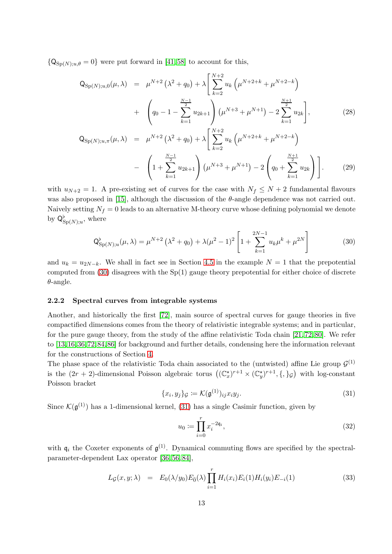${Q_{\text{SD}(N):u,\theta} = 0}$  were put forward in [\[41,](#page-39-11)58] to account for this,

<span id="page-12-4"></span>
$$
Q_{\text{Sp}(N);u,0}(\mu,\lambda) = \mu^{N+2} \left(\lambda^2 + q_0\right) + \lambda \left[\sum_{k=2}^{N+2} u_k \left(\mu^{N+2+k} + \mu^{N+2-k}\right) + \left(q_0 - 1 - \sum_{k=1}^{\frac{N-1}{2}} u_{2k+1}\right) \left(\mu^{N+3} + \mu^{N+1}\right) - 2 \sum_{k=1}^{\frac{N+1}{2}} u_{2k}\right],
$$
\n(28)

$$
Q_{\text{Sp}(N);u,\pi}(\mu,\lambda) = \mu^{N+2} \left(\lambda^2 + q_0\right) + \lambda \left[\sum_{k=2}^{N+2} u_k \left(\mu^{N+2+k} + \mu^{N+2-k}\right) - \left(1 + \sum_{k=1}^{N-1} u_{2k+1}\right) \left(\mu^{N+3} + \mu^{N+1}\right) - 2 \left(q_0 + \sum_{k=1}^{N+1} u_{2k}\right)\right].
$$
 (29)

with  $u_{N+2} = 1$ . A pre-existing set of curves for the case with  $N_f \leq N+2$  fundamental flavours was also proposed in [\[15\]](#page-38-7), although the discussion of the  $\theta$ -angle dependence was not carried out. Naively setting  $N_f = 0$  leads to an alternative M-theory curve whose defining polynomial we denote by  $\mathsf{Q}^{\flat}_{\mathrm{Sp}(N);u}$ , where

<span id="page-12-3"></span>
$$
Q_{\text{Sp}(N);u}^{\flat}(\mu,\lambda) = \mu^{N+2} \left(\lambda^2 + q_0\right) + \lambda(\mu^2 - 1)^2 \left[1 + \sum_{k=1}^{2N-1} u_k \mu^k + \mu^{2N}\right]
$$
(30)

and  $u_k = u_{2N-k}$ . We shall in fact see in Section [4.5](#page-31-0) in the example  $N = 1$  that the prepotential computed from  $(30)$  disagrees with the Sp $(1)$  gauge theory prepotential for either choice of discrete  $\theta$ -angle.

### <span id="page-12-0"></span>2.2.2 Spectral curves from integrable systems

Another, and historically the first [\[72\]](#page-40-1), main source of spectral curves for gauge theories in five compactified dimensions comes from the theory of relativistic integrable systems; and in particular, for the pure gauge theory, from the study of the affine relativistic Toda chain [\[21,](#page-38-13) [72,](#page-40-1) [80\]](#page-41-1). We refer to [\[13,](#page-38-2)[16,](#page-38-6)[36,](#page-39-2)[72,](#page-40-1)[84,](#page-41-3)[86\]](#page-41-5) for background and further details, condensing here the information relevant for the constructions of Section [4.](#page-24-0)

The phase space of the relativistic Toda chain associated to the (untwisted) affine Lie group  $\mathcal{G}^{(1)}$ is the  $(2r + 2)$ -dimensional Poisson algebraic torus  $((\mathbb{C}_x^*)^{r+1} \times (\mathbb{C}_y^*)^{r+1}, \{,\}g)$  with log-constant Poisson bracket

<span id="page-12-1"></span>
$$
\{x_i, y_j\}_{\mathcal{G}} := \mathcal{K}(\mathfrak{g}^{(1)})_{ij} x_i y_j. \tag{31}
$$

Since  $\mathcal{K}(\mathfrak{g}^{(1)})$  has a 1-dimensional kernel, [\(31\)](#page-12-1) has a single Casimir function, given by

$$
u_0 := \prod_{i=0}^r x_i^{-2\mathfrak{q}_i},\tag{32}
$$

with  $\mathfrak{q}_i$  the Coxeter exponents of  $\mathfrak{g}^{(1)}$ . Dynamical commuting flows are specified by the spectralparameter-dependent Lax operator [\[36,](#page-39-2) [56,](#page-40-18) [84\]](#page-41-3),

<span id="page-12-2"></span>
$$
L_{\mathcal{G}}(x, y; \lambda) = E_0(\lambda/y_0) E_{\bar{0}}(\lambda) \prod_{i=1}^r H_i(x_i) E_i(1) H_i(y_i) E_{-i}(1)
$$
\n(33)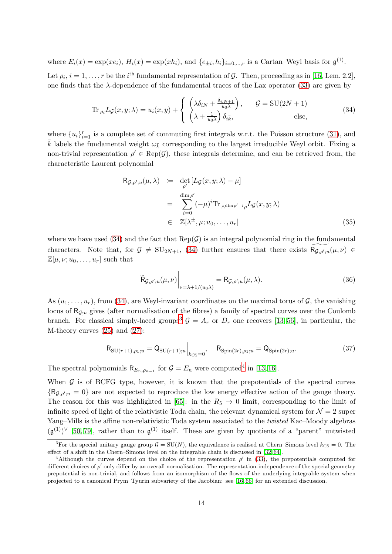where  $E_i(x) = \exp(xe_i)$ ,  $H_i(x) = \exp(xh_i)$ , and  $\{e_{\pm i}, h_i\}_{i=0,\dots,r}$  is a Cartan–Weyl basis for  $\mathfrak{g}^{(1)}$ .

Let  $\rho_i$ ,  $i = 1, \ldots, r$  be the i<sup>th</sup> fundamental representation of G. Then, proceeding as in [\[16,](#page-38-6) Lem. 2.2], one finds that the λ-dependence of the fundamental traces of the Lax operator [\(33\)](#page-12-2) are given by

<span id="page-13-0"></span>
$$
\operatorname{Tr}_{\rho_i} L_{\mathcal{G}}(x, y; \lambda) = u_i(x, y) + \begin{cases} \left(\lambda \delta_{iN} + \frac{\delta_{i, N+1}}{u_0 \lambda}\right), & \mathcal{G} = \mathrm{SU}(2N+1) \\ \left(\lambda + \frac{1}{u_0 \lambda}\right) \delta_{i\bar{k}}, & \text{else,} \end{cases}
$$
(34)

where  $\{u_i\}_{i=1}^r$  is a complete set of commuting first integrals w.r.t. the Poisson structure [\(31\)](#page-12-1), and  $\bar{k}$  labels the fundamental weight  $\omega_{\bar{k}}$  corresponding to the largest irreducible Weyl orbit. Fixing a non-trivial representation  $\rho' \in \text{Rep}(\mathcal{G})$ , these integrals determine, and can be retrieved from, the characteristic Laurent polynomial

<span id="page-13-3"></span>
$$
R_{\mathcal{G},\rho';u}(\mu,\lambda) := \det_{\rho'} [L_{\mathcal{G}}(x,y;\lambda) - \mu]
$$
  
\n
$$
= \sum_{i=0}^{\dim \rho'} (-\mu)^i \text{Tr}_{\Lambda^{\dim \rho'-i}\rho} L_{\mathcal{G}}(x,y;\lambda)
$$
  
\n
$$
\in \mathbb{Z}[\lambda^{\pm},\mu;u_0,\ldots,u_r]
$$
\n(35)

where we have used [\(34\)](#page-13-0) and the fact that  $\text{Rep}(\mathcal{G})$  is an integral polynomial ring in the fundamental characters. Note that, for  $G \neq SU_{2N+1}$ , [\(34\)](#page-13-0) further ensures that there exists  $\widetilde{R_{G,\rho';u}}(\mu,\nu) \in$  $\mathbb{Z}[\mu,\nu;u_0,\ldots,u_r]$  such that

<span id="page-13-4"></span>
$$
\widetilde{\mathsf{R}}_{\mathcal{G},\rho';u}(\mu,\nu)\Big|_{\nu=\lambda+1/(u_0\lambda)} = \mathsf{R}_{\mathcal{G},\rho';u}(\mu,\lambda). \tag{36}
$$

As  $(u_1, \ldots, u_r)$ , from [\(34\)](#page-13-0), are Weyl-invariant coordinates on the maximal torus of G, the vanishing locus of  $R_{G;u}$  gives (after normalisation of the fibres) a family of spectral curves over the Coulomb branch. For classical simply-laced groups<sup>[3](#page-13-1)</sup>  $\mathcal{G} = A_r$  or  $D_r$  one recovers [\[13,](#page-38-2) [56\]](#page-40-18), in particular, the M-theory curves [\(25\)](#page-11-1) and [\(27\)](#page-11-2):

$$
R_{SU(r+1),\rho_1;u} = Q_{SU(r+1);u}\Big|_{k_{\text{CS}}=0}, \quad R_{Spin(2r),\rho_1;u} = Q_{Spin(2r);u}.
$$
 (37)

The spectral polynomials  $\mathsf{R}_{E_n,\rho_{n-1}}$  for  $\mathcal{G} = E_n$  were computed<sup>[4](#page-13-2)</sup> in [\[13,](#page-38-2)16].

When  $G$  is of BCFG type, however, it is known that the prepotentials of the spectral curves  ${R_{\mathcal{G},\rho';u} = 0}$  are not expected to reproduce the low energy effective action of the gauge theory. The reason for this was highlighted in [\[65\]](#page-40-9): in the  $R_5 \rightarrow 0$  limit, corresponding to the limit of infinite speed of light of the relativistic Toda chain, the relevant dynamical system for  $\mathcal{N}=2$  super Yang–Mills is the affine non-relativistic Toda system associated to the twisted Kac–Moody algebras  $(\mathfrak{g}^{(1)})^{\vee}$  [\[50,](#page-39-17)79], rather than to  $\mathfrak{g}^{(1)}$  itself. These are given by quotients of a "parent" untwisted

<span id="page-13-1"></span><sup>&</sup>lt;sup>3</sup>For the special unitary gauge group  $G = SU(N)$ , the equivalence is realised at Chern–Simons level  $k_{\text{CS}} = 0$ . The effect of a shift in the Chern–Simons level on the integrable chain is discussed in [\[32,](#page-39-18) [64\]](#page-40-20).

<span id="page-13-2"></span><sup>&</sup>lt;sup>4</sup>Although the curves depend on the choice of the representation  $\rho'$  in [\(33\)](#page-12-2), the prepotentials computed for different choices of  $\rho'$  only differ by an overall normalisation. The representation-independence of the special geometry prepotential is non-trivial, and follows from an isomorphism of the flows of the underlying integrable system when projected to a canonical Prym–Tyurin subvariety of the Jacobian: see [\[16,](#page-38-6) [66\]](#page-40-21) for an extended discussion.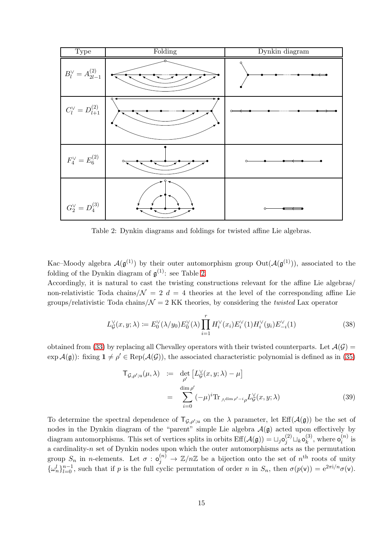<span id="page-14-1"></span>

Table 2: Dynkin diagrams and foldings for twisted affine Lie algebras.

Kac–Moody algebra  $\mathcal{A}(\mathfrak{g}^{(1)})$  by their outer automorphism group  $Out(\mathcal{A}(\mathfrak{g}^{(1)}))$ , associated to the folding of the Dynkin diagram of  $\mathfrak{g}^{(1)}$ : see Table [2.](#page-14-1)

Accordingly, it is natural to cast the twisting constructions relevant for the affine Lie algebras/ non-relativistic Toda chains/ $\mathcal{N} = 2$  d = 4 theories at the level of the corresponding affine Lie groups/relativistic Toda chains/ $\mathcal{N} = 2$  KK theories, by considering the *twisted* Lax operator

<span id="page-14-0"></span>
$$
L_G^{\vee}(x, y; \lambda) := E_0^{\vee}(\lambda/y_0) E_0^{\vee}(\lambda) \prod_{i=1}^r H_i^{\vee}(x_i) E_i^{\vee}(1) H_i^{\vee}(y_i) E_{-i}^{\vee}(1)
$$
\n(38)

obtained from [\(33\)](#page-12-2) by replacing all Chevalley operators with their twisted counterparts. Let  $\mathcal{A}(\mathcal{G})$  =  $\exp{\mathcal{A}(\mathfrak{g})}$ : fixing  $1 \neq \rho' \in \text{Rep}(\mathcal{A}(\mathcal{G}))$ , the associated characteristic polynomial is defined as in [\(35\)](#page-13-3)

<span id="page-14-2"></span>
$$
T_{\mathcal{G},\rho';u}(\mu,\lambda) \quad := \quad \det_{\rho'} \left[ L_{\mathcal{G}}^{\vee}(x,y;\lambda) - \mu \right] \\
= \quad \sum_{i=0}^{\dim \rho'} \left( -\mu \right)^i \text{Tr}_{\wedge^{\dim \rho'-i} \rho} L_{\mathcal{G}}^{\vee}(x,y;\lambda) \tag{39}
$$

To determine the spectral dependence of  $\mathsf{T}_{\mathcal{G},\rho';u}$  on the  $\lambda$  parameter, let  $\mathrm{Eff}(\mathcal{A}(\mathfrak{g}))$  be the set of nodes in the Dynkin diagram of the "parent" simple Lie algebra  $\mathcal{A}(\mathfrak{g})$  acted upon effectively by diagram automorphisms. This set of vertices splits in orbits  $\mathrm{Eff}(\mathcal{A}(\mathfrak{g})) = \cup_j \mathfrak{o}_j^{(2)} \cup_k \mathfrak{o}_k^{(3)}$  $\binom{3}{k}$ , where  $o_i^{(n)}$  $i^{(n)}$  is a cardinality-n set of Dynkin nodes upon which the outer automorphisms acts as the permutation group  $S_n$  in *n*-elements. Let  $\sigma : \mathfrak{o}_j^{(n)} \to \mathbb{Z}/n\mathbb{Z}$  be a bijection onto the set of  $n^{\text{th}}$  roots of unity  $\{\omega_n^l\}_{l=0}^{n-1}$ , such that if p is the full cyclic permutation of order n in  $S_n$ , then  $\sigma(p(\mathsf{v})) = e^{2\pi i/n} \sigma(\mathsf{v})$ .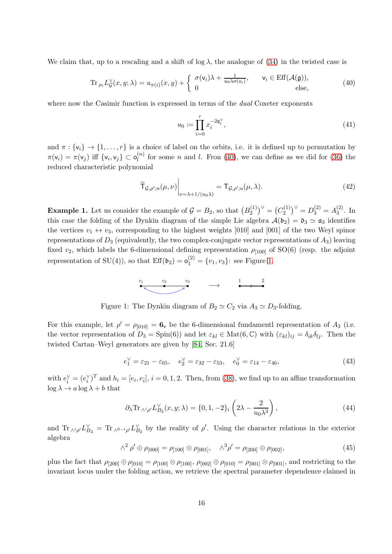We claim that, up to a rescaling and a shift of  $\log \lambda$ , the analogue of [\(34\)](#page-13-0) in the twisted case is

<span id="page-15-0"></span>
$$
\operatorname{Tr}_{\rho_i} L_{\mathcal{G}}^{\vee}(x, y; \lambda) = u_{\pi(i)}(x, y) + \begin{cases} \sigma(\mathsf{v}_i) \lambda + \frac{1}{u_0 \lambda \sigma(\mathsf{v}_i)}, & \mathsf{v}_i \in \mathrm{Eff}(\mathcal{A}(\mathfrak{g})), \\ 0 & \text{else,} \end{cases}
$$
(40)

where now the Casimir function is expressed in terms of the *dual* Coxeter exponents

$$
u_0 := \prod_{i=0}^r x_i^{-2\mathfrak{q}_i^\vee},\tag{41}
$$

and  $\pi : \{v_i\} \to \{1, \ldots, r\}$  is a choice of label on the orbits, i.e. it is defined up to permutation by  $\pi(\mathsf{v}_i) = \pi(\mathsf{v}_j)$  iff  $\{\mathsf{v}_i, \mathsf{v}_j\} \subset \mathsf{o}_l^{(n)}$  $\binom{n}{l}$  for some *n* and *l*. Fron [\(40\)](#page-15-0), we can define as we did for [\(36\)](#page-13-4) the reduced characteristic polynomial

$$
\widetilde{\mathsf{T}}_{\mathcal{G},\rho';u}(\mu,\nu)\Big|_{\nu=\lambda+1/(u_0\lambda)}=\mathsf{T}_{\mathcal{G},\rho';u}(\mu,\lambda).
$$
\n(42)

**Example 1.** Let us consider the example of  $\mathcal{G} = B_2$ , so that  $(B_2^{(1)}$  ${1 \choose 2}^{\vee} = (C_2^{(1)}$  $\binom{1}{2}^{\vee} = D_3^{(2)} = A_3^{(2)}$  $3^{(2)}$ . In this case the folding of the Dynkin diagram of the simple Lie algebra  $\mathcal{A}(\mathfrak{b}_2) = \mathfrak{d}_3 \simeq \mathfrak{a}_3$  identifies the vertices  $v_1 \leftrightarrow v_3$ , corresponding to the highest weights [010] and [001] of the two Weyl spinor representations of  $D_3$  (equivalently, the two complex-conjugate vector representations of  $A_3$ ) leaving fixed  $v_2$ , which labels the 6-dimensional defining representation  $\rho_{[100]}$  of SO(6) (resp. the adjoint representation of SU(4)), so that  $\mathrm{Eff}(\mathfrak{b}_2) = \mathfrak{o}_1^{(2)} = \{v_1, v_3\}$ : see Figure [1.](#page-15-1)



Figure 1: The Dynkin diagram of  $B_2 \simeq C_2$  via  $A_3 \simeq D_3$ -folding.

<span id="page-15-1"></span>For this example, let  $\rho' = \rho_{[010]} = 6_v$  be the 6-dimensional fundamentl representation of  $A_3$  (i.e. the vector representation of  $D_3 = \text{Spin}(6)$  and let  $\varepsilon_{kl} \in \text{Mat}(6,\mathbb{C})$  with  $(\varepsilon_{kl})_{ij} = \delta_{ik}\delta_{lj}$ . Then the twisted Cartan–Weyl generators are given by [\[84,](#page-41-3) Sec. 21.6]

$$
e_1^{\vee} = \varepsilon_{21} - \varepsilon_{65}, \quad e_2^{\vee} = \varepsilon_{32} - \varepsilon_{53}, \quad e_0^{\vee} = \varepsilon_{14} - \varepsilon_{46},
$$
 (43)

with  $e_i^{\vee} = (e_i^{\vee})^T$  and  $h_i = [e_i, e_{\overline{i}}], i = 0, 1, 2$ . Then, from [\(38\)](#page-14-0), we find up to an affine transformation  $\log \lambda \to a \log \lambda + b$  that

$$
\partial_{\lambda} \text{Tr}_{\wedge^{i} \rho'} L_{B_2}^{\vee}(x, y; \lambda) = \{0, 1, -2\}_{i} \left(2\lambda - \frac{2}{u_0 \lambda^3}\right),\tag{44}
$$

and  $\text{Tr}_{\wedge^i \rho'} L_{B_2}^{\vee} = \text{Tr}_{\wedge^{6-i} \rho'} L_{B_2}^{\vee}$  by the reality of  $\rho'$ . Using the character relations in the exterior algebra

<span id="page-15-2"></span>
$$
\wedge^2 \rho' \oplus \rho_{[000]} = \rho_{[100]} \otimes \rho_{[001]}, \quad \wedge^3 \rho' = \rho_{[200]} \oplus \rho_{[002]}, \tag{45}
$$

plus the fact that  $\rho_{[200]} \oplus \rho_{[010]} = \rho_{[100]} \otimes \rho_{[100]}$ ,  $\rho_{[002]} \oplus \rho_{[010]} = \rho_{[001]} \otimes \rho_{[001]}$ , and restricting to the invariant locus under the folding action, we retrieve the spectral parameter dependence claimed in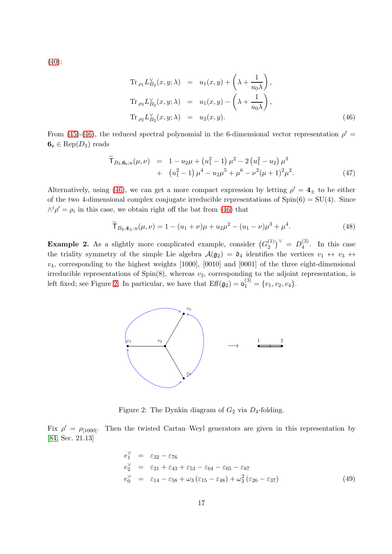[\(40\)](#page-15-0):

<span id="page-16-0"></span>
$$
\operatorname{Tr}_{\rho_1} L_{B_2}^{\vee}(x, y; \lambda) = u_1(x, y) + \left(\lambda + \frac{1}{u_0 \lambda}\right),
$$
  
\n
$$
\operatorname{Tr}_{\rho_3} L_{B_2}^{\vee}(x, y; \lambda) = u_1(x, y) - \left(\lambda + \frac{1}{u_0 \lambda}\right),
$$
  
\n
$$
\operatorname{Tr}_{\rho_2} L_{B_2}^{\vee}(x, y; \lambda) = u_2(x, y).
$$
\n(46)

From [\(45\)](#page-15-2)-[\(46\)](#page-16-0), the reduced spectral polynomial in the 6-dimensional vector representation  $\rho'$  $\mathbf{6}_{\mathsf{v}} \in \text{Rep}(D_3)$  reads

$$
\widetilde{T}_{B_2, \mathbf{6}_v; u}(\mu, \nu) = 1 - u_2 \mu + (u_1^2 - 1) \mu^2 - 2 (u_1^2 - u_2) \mu^3 \n+ (u_1^2 - 1) \mu^4 - u_2 \mu^5 + \mu^6 - \nu^2 (\mu + 1)^2 \mu^2.
$$
\n(47)

Alternatively, using [\(46\)](#page-16-0), we can get a more compact expression by letting  $\rho' = 4_{\pm}$  to be either of the two 4-dimensional complex conjugate irreducible representations of  $Spin(6) = SU(4)$ . Since  $\wedge^i \rho' = \rho_i$  in this case, we obtain right off the bat from [\(46\)](#page-16-0) that

<span id="page-16-2"></span>
$$
\widetilde{T}_{B_2,4\pm;u}(\mu,\nu) = 1 - (u_1 + \nu)\mu + u_2\mu^2 - (u_1 - \nu)\mu^3 + \mu^4. \tag{48}
$$

<span id="page-16-1"></span>**Example 2.** As a slightly more complicated example, consider  $(G_2^{(1)}$  $\binom{1}{2}^{\vee}$  =  $D_4^{(3)}$  $\frac{1}{4}$ . In this case the triality symmetry of the simple Lie algebra  $\mathcal{A}(\mathfrak{g}_2) = \mathfrak{d}_4$  identifies the vertices  $v_1 \leftrightarrow v_3 \leftrightarrow v_4$  $v_4$ , corresponding to the highest weights [1000], [0010] and [0001] of the three eight-dimensional irreducible representations of  $Spin(8)$ , whereas  $v_2$ , corresponding to the adjoint representation, is left fixed; see Figure [2.](#page-16-1) In particular, we have that  $\mathrm{Eff}(\mathfrak{g}_2) = \mathfrak{o}_1^{(3)} = \{v_1, v_2, v_4\}.$ 



Figure 2: The Dynkin diagram of  $G_2$  via  $D_4$ -folding.

Fix  $\rho' = \rho_{[1000]}$ . Then the twisted Cartan–Weyl generators are given in this representation by [\[84,](#page-41-3) Sec. 21.13]

$$
e_1^{\vee} = \varepsilon_{32} - \varepsilon_{76}
$$
  
\n
$$
e_2^{\vee} = \varepsilon_{21} + \varepsilon_{43} + \varepsilon_{53} - \varepsilon_{64} - \varepsilon_{65} - \varepsilon_{87}
$$
  
\n
$$
e_0^{\vee} = \varepsilon_{14} - \varepsilon_{58} + \omega_3 (\varepsilon_{15} - \varepsilon_{48}) + \omega_3^2 (\varepsilon_{26} - \varepsilon_{37})
$$
\n(49)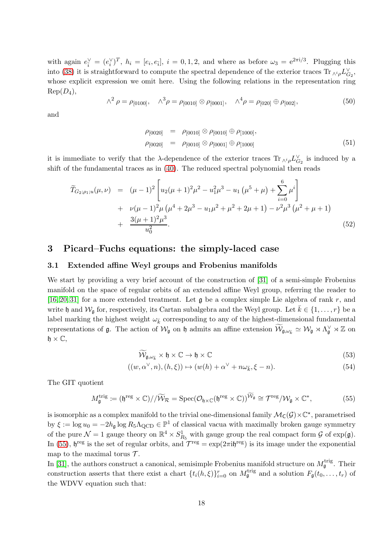with again  $e_i^{\vee} = (e_i^{\vee})^T$ ,  $h_i = [e_i, e_{\overline{i}}]$ ,  $i = 0, 1, 2$ , and where as before  $\omega_3 = e^{2\pi i/3}$ . Plugging this into [\(38\)](#page-14-0) it is straightforward to compute the spectral dependence of the exterior traces  $\text{Tr}_{\wedge^i \rho} L_{G_2}^{\vee}$ , whose explicit expression we omit here. Using the following relations in the representation ring  $\mathrm{Rep}(D_4)$ ,

$$
\wedge^2 \rho = \rho_{[0100]}, \quad \wedge^3 \rho = \rho_{[0010]} \otimes \rho_{[0001]}, \quad \wedge^4 \rho = \rho_{[020]} \oplus \rho_{[002]}, \tag{50}
$$

and

$$
\rho_{[0020]} = \rho_{[0010]} \otimes \rho_{[0010]} \oplus \rho_{[1000]},
$$
\n
$$
\rho_{[0020]} = \rho_{[0010]} \otimes \rho_{[0001]} \oplus \rho_{[1000]} \tag{51}
$$

it is immediate to verify that the  $\lambda$ -dependence of the exterior traces  $\text{Tr}_{\Lambda^i \rho} L_{G_2}^{\vee}$  is induced by a shift of the fundamental traces as in [\(40\)](#page-15-0). The reduced spectral polynomial then reads

$$
\widetilde{T}_{G_2;\rho_1;u}(\mu,\nu) = (\mu-1)^2 \left[ u_2(\mu+1)^2 \mu^2 - u_1^2 \mu^3 - u_1 \left( \mu^5 + \mu \right) + \sum_{i=0}^6 \mu^i \right] \n+ \nu(\mu-1)^2 \mu \left( \mu^4 + 2\mu^3 - u_1 \mu^2 + \mu^2 + 2\mu + 1 \right) - \nu^2 \mu^3 \left( \mu^2 + \mu + 1 \right) \n+ \frac{3(\mu+1)^2 \mu^3}{u_0^2}.
$$
\n(52)

# <span id="page-17-1"></span><span id="page-17-0"></span>3 Picard–Fuchs equations: the simply-laced case

### 3.1 Extended affine Weyl groups and Frobenius manifolds

We start by providing a very brief account of the construction of [\[31\]](#page-39-6) of a semi-simple Frobenius manifold on the space of regular orbits of an extended affine Weyl group, referring the reader to [\[16,](#page-38-6) [20,](#page-38-9) [31\]](#page-39-6) for a more extended treatment. Let  $\mathfrak g$  be a complex simple Lie algebra of rank r, and write h and  $\mathcal{W}_q$  for, respectively, its Cartan subalgebra and the Weyl group. Let  $k \in \{1, \ldots, r\}$  be a label marking the highest weight  $\omega_{\vec{k}}$  corresponding to any of the highest-dimensional fundamental representations of  $\mathfrak g$ . The action of  $\mathcal W_{\mathfrak g}$  on  $\mathfrak h$  admits an affine extension  $\mathcal W_{\mathfrak g,\omega_{\bar k}} \simeq \mathcal W_{\mathfrak g} \rtimes \Lambda_{\mathfrak g}^\vee \rtimes \mathbb Z$  on  $\mathfrak{h} \times \mathbb{C},$ 

$$
\widetilde{\mathcal{W}}_{\mathfrak{g},\omega_{\bar{k}}} \times \mathfrak{h} \times \mathbb{C} \to \mathfrak{h} \times \mathbb{C}
$$
\n
$$
(53)
$$

$$
((w, \alpha^{\vee}, n), (h, \xi)) \mapsto (w(h) + \alpha^{\vee} + n\omega_{\bar{k}}, \xi - n). \tag{54}
$$

The GIT quotient

<span id="page-17-2"></span>
$$
M_{\mathfrak{g}}^{\text{trig}} \coloneqq (\mathfrak{h}^{\text{reg}} \times \mathbb{C}) / / \widetilde{\mathcal{W}}_{\mathcal{R}} = \text{Spec}(\mathcal{O}_{\mathfrak{h} \times \mathbb{C}}(\mathfrak{h}^{\text{reg}} \times \mathbb{C}))^{\widetilde{\mathcal{W}}_{\mathfrak{g}}} \cong \mathcal{T}^{\text{reg}} / \mathcal{W}_{\mathfrak{g}} \times \mathbb{C}^*,\tag{55}
$$

is isomorphic as a complex manifold to the trivial one-dimensional family  $\mathcal{M}_{\mathsf{C}}(\mathcal{G})\times \mathbb{C}^*$ , parametrised by  $\xi := \log u_0 = -2h_\mathfrak{g} \log R_5 \Lambda_{\rm QCD} \in \mathbb{P}^1$  of classical vacua with maximally broken gauge symmetry of the pure  $\mathcal{N}=1$  gauge theory on  $\mathbb{R}^4 \times S^1_{R_5}$  with gauge group the real compact form  $\mathcal{G}$  of  $\exp(\mathfrak{g})$ . In [\(55\)](#page-17-2),  $\mathfrak{h}^{\text{reg}}$  is the set of regular orbits, and  $\mathcal{T}^{\text{reg}} = \exp(2\pi i \mathfrak{h}^{\text{reg}})$  is its image under the exponential map to the maximal torus  $\mathcal{T}$ .

In [\[31\]](#page-39-6), the authors construct a canonical, semisimple Frobenius manifold structure on  $M_{\mathfrak{g}}^{\text{trig}}$ . Their construction asserts that there exist a chart  $\{t_i(h,\xi)\}_{i=0}^r$  on  $M_{\mathfrak{g}}^{\text{trig}}$  and a solution  $F_{\mathfrak{g}}(t_0,\ldots,t_r)$  of the WDVV equation such that: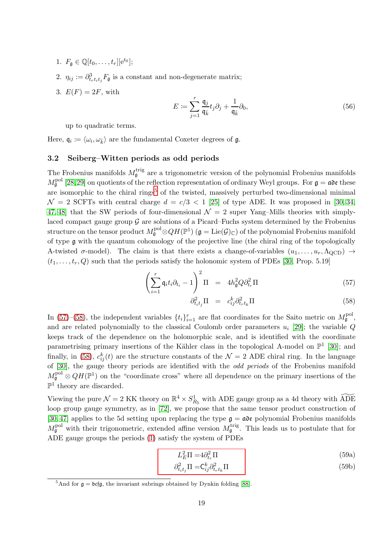- 1.  $F_{\mathfrak{g}} \in \mathbb{Q}[t_0, \ldots, t_r][e^{t_0}];$
- 2.  $\eta_{ij} := \partial_{t_r t_i t_j}^3 F_{\mathfrak{g}}$  is a constant and non-degenerate matrix;
- 3.  $E(F) = 2F$ , with

<span id="page-18-3"></span>
$$
E \coloneqq \sum_{j=1}^{r} \frac{\mathfrak{q}_j}{\mathfrak{q}_{\bar{k}}} t_j \partial_j + \frac{1}{\mathfrak{q}_{\bar{k}}} \partial_0,\tag{56}
$$

up to quadratic terms.

<span id="page-18-0"></span>Here,  $\mathfrak{q}_i := \langle \omega_i, \omega_{\bar{k}} \rangle$  are the fundamental Coxeter degrees of  $\mathfrak{g}$ .

# 3.2 Seiberg–Witten periods as odd periods

The Frobenius manifolds  $M_{\mathfrak{g}}^{\text{trig}}$  are a trigonometric version of the polynomial Frobenius manifolds  $M_{\mathfrak{g}}^{\rm pol}$  [\[28,](#page-39-19)[29\]](#page-39-20) on quotients of the reflection representation of ordinary Weyl groups. For  $\mathfrak{g} = \mathfrak{a}$  these are isomorphic to the chiral rings<sup>[5](#page-18-1)</sup> of the twisted, massively perturbed two-dimensional minimal  $\mathcal{N} = 2$  SCFTs with central charge  $d = c/3 < 1$  [\[25\]](#page-38-14) of type ADE. It was proposed in [\[30,](#page-39-5) [34,](#page-39-7) [47,](#page-39-8) [48\]](#page-39-21) that the SW periods of four-dimensional  $\mathcal{N} = 2$  super Yang–Mills theories with simplylaced compact gauge group  $G$  are solutions of a Picard–Fuchs system determined by the Frobenius structure on the tensor product  $M_{\mathfrak{g}}^{\rm pol}\otimes QH(\mathbb{P}^1)$   $(\mathfrak{g}=\mathrm{Lie}(\mathcal{G})_\mathbb{C})$  of the polynomial Frobenius manifold of type g with the quantum cohomology of the projective line (the chiral ring of the topologically A-twisted  $\sigma$ -model). The claim is that there exists a change-of-variables  $(u_1, \ldots, u_r, \Lambda_{\text{QCD}}) \rightarrow$  $(t_1, \ldots, t_r, Q)$  such that the periods satisfy the holonomic system of PDEs [\[30,](#page-39-5) Prop. 5.19]

<span id="page-18-2"></span>
$$
\left(\sum_{i=1}^{r} \mathfrak{q}_i t_i \partial_{t_i} - 1\right)^2 \Pi = 4h_{\mathfrak{g}}^2 Q \partial_{t_r}^2 \Pi \tag{57}
$$

$$
\partial_{t_i t_j}^2 \Pi = c_{ij}^k \partial_{t_r t_k}^2 \Pi \tag{58}
$$

In [\(57\)](#page-18-2)–[\(58\)](#page-18-2), the independent variables  $\{t_i\}_{i=1}^r$  are flat coordinates for the Saito metric on  $M_{\mathfrak{g}}^{\text{pol}}$ , and are related polynomially to the classical Coulomb order parameters  $u_i$  [\[29\]](#page-39-20); the variable  $Q$ keeps track of the dependence on the holomorphic scale, and is identified with the coordinate parametrising primary insertions of the Kähler class in the topological A-model on  $\mathbb{P}^1$  [\[30\]](#page-39-5); and finally, in [\(58\)](#page-18-2),  $c_{ij}^k(t)$  are the structure constants of the  $\mathcal{N}=2$  ADE chiral ring. In the language of [\[30\]](#page-39-5), the gauge theory periods are identified with the odd periods of the Frobenius manifold  $M_{\mathfrak{g}}^{\text{pol}} \otimes QH(\mathbb{P}^1)$  on the "coordinate cross" where all dependence on the primary insertions of the  $\mathbb{P}^1$  theory are discarded.

Viewing the pure  $\mathcal{N}=2$  KK theory on  $\mathbb{R}^4 \times S^1_{R_5}$  with ADE gauge group as a 4d theory with  $\widetilde{\rm ADE}$ loop group gauge symmetry, as in [\[72\]](#page-40-1), we propose that the same tensor product construction of [\[30,](#page-39-5) [47\]](#page-39-8) applies to the 5d setting upon replacing the type  $g = a\mathfrak{d}e$  polynomial Frobenius manifolds  $M_{\mathfrak{g}}^{\text{pol}}$  with their trigonometric, extended affine version  $M_{\mathfrak{g}}^{\text{trig}}$ . This leads us to postulate that for ADE gauge groups the periods [\(1\)](#page-2-0) satisfy the system of PDEs

$$
L_E^2 \Pi = 4\partial_{t_r}^2 \Pi \tag{59a}
$$

<span id="page-18-5"></span><span id="page-18-4"></span>
$$
\partial_{t_i t_j}^2 \Pi = \mathsf{C}_{ij}^k \partial_{t_r t_k}^2 \Pi \tag{59b}
$$

<span id="page-18-1"></span><sup>&</sup>lt;sup>5</sup>And for  $g = bcfg$ , the invariant subrings obtained by Dynkin folding [\[88\]](#page-41-6).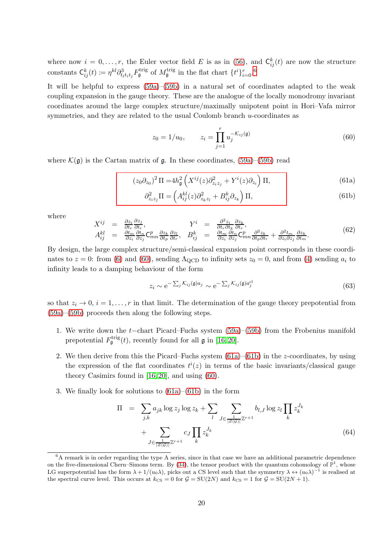where now  $i = 0, \ldots, r$ , the Euler vector field E is as in [\(56\)](#page-18-3), and  $\mathsf{C}_{ij}^k(t)$  are now the structure constants  $\mathsf{C}_{ij}^k(t) \coloneqq \eta^{kl} \partial^3_{t_l t_i t_j} F_{\mathfrak{g}}^{\text{trig}}$  of  $M_{\mathfrak{g}}^{\text{trig}}$  in the flat chart  $\{t^i\}_{i=0}^r$ .<sup>[6](#page-19-1)</sup>

It will be helpful to express [\(59a\)](#page-18-4)–[\(59b\)](#page-18-5) in a natural set of coordinates adapted to the weak coupling expansion in the gauge theory. These are the analogue of the locally monodromy invariant coordinates around the large complex structure/maximally unipotent point in Hori–Vafa mirror symmetries, and they are related to the usual Coulomb branch  $u$ -coordinates as

<span id="page-19-3"></span><span id="page-19-2"></span><span id="page-19-0"></span>
$$
z_0 = 1/u_0, \qquad z_i = \prod_{j=1}^r u_j^{-\mathcal{K}_{ij}(\mathfrak{g})} \tag{60}
$$

where  $\mathcal{K}(\mathfrak{g})$  is the Cartan matrix of  $\mathfrak{g}$ . In these coordinates, [\(59a\)](#page-18-4)–[\(59b\)](#page-18-5) read

$$
(z_0 \partial_{z_0})^2 \Pi = 4h_{\mathfrak{g}}^2 \left( X^{ij}(z) \partial_{z_i z_j}^2 + Y^i(z) \partial_{z_i} \right) \Pi, \tag{61a}
$$

$$
\partial_{z_iz_j}^2 \Pi = \left( A_{ij}^{kl}(z) \partial_{z_k z_l}^2 + B_{ij}^k \partial_{z_k} \right) \Pi,\tag{61b}
$$

where

<span id="page-19-5"></span>
$$
X^{ij} = \frac{\partial z_i}{\partial t_r} \frac{\partial z_j}{\partial t_r}, \qquad Y^i = \frac{\partial^2 z_i}{\partial t_r \partial t_k} \frac{\partial z_k}{\partial t_r}, A^{kl}_{ij} = \frac{\partial t_m}{\partial z_i} \frac{\partial t_n}{\partial z_j} C^p_{mn} \frac{\partial z_k}{\partial t_p} \frac{\partial z_l}{\partial t_r}, \quad B^k_{ij} = \frac{\partial t_m}{\partial z_i} \frac{\partial t_n}{\partial z_j} C^p_{mn} \frac{\partial^2 z_k}{\partial t_p \partial t_r} + \frac{\partial^2 t_m}{\partial z_i \partial z_j} \frac{\partial z_k}{\partial t_m}.
$$
(62)

By design, the large complex structure/semi-classical expansion point corresponds in these coordinates to  $z = 0$ : from [\(6\)](#page-7-4) and [\(60\)](#page-19-0), sending  $\Lambda_{\text{QCD}}$  to infinity sets  $z_0 = 0$ , and from [\(4\)](#page-7-3) sending  $a_i$  to infinity leads to a damping behaviour of the form

$$
z_i \sim e^{-\sum_j \mathcal{K}_{ij}(\mathfrak{g}) a_j} \sim e^{-\sum_j \mathcal{K}_{ij}(\mathfrak{g}) a_j^{\text{cl}}}
$$
\n(63)

so that  $z_i \to 0$ ,  $i = 1, \ldots, r$  in that limit. The determination of the gauge theory prepotential from [\(59a\)](#page-18-4)–[\(59b\)](#page-18-5) proceeds then along the following steps.

- 1. We write down the t−chart Picard–Fuchs system [\(59a\)](#page-18-4)–[\(59b\)](#page-18-5) from the Frobenius manifold prepotential  $F_{\mathfrak{g}}^{\text{trig}}(t)$ , recently found for all  $\mathfrak{g}$  in [\[16,](#page-38-6) [20\]](#page-38-9).
- 2. We then derive from this the Picard–Fuchs system  $(61a)$ – $(61b)$  in the z-coordinates, by using the expression of the flat coordinates  $t^{i}(z)$  in terms of the basic invariants/classical gauge theory Casimirs found in [\[16,](#page-38-6) [20\]](#page-38-9), and using [\(60\)](#page-19-0).
- 3. We finally look for solutions to [\(61a\)](#page-19-2)–[\(61b\)](#page-19-3) in the form

<span id="page-19-4"></span>
$$
\Pi = \sum_{j,k} a_{jk} \log z_j \log z_k + \sum_{l} \sum_{J \in \frac{1}{|Z(\mathcal{G})|}} b_{l,J} \log z_l \prod_{k} z_k^{J_k} + \sum_{J \in \frac{1}{|Z(\mathcal{G})|}} c_J \prod_{k} z_k^{J_k}
$$
\n(64)

<span id="page-19-1"></span> $6A$  remark is in order regarding the type A series, since in that case we have an additional parametric dependence on the five-dimensional Chern–Simons term. By  $(34)$ , the tensor product with the quantum cohomology of  $\mathbb{P}^1$ , whose LG superpotential has the form  $\lambda + 1/(u_0\lambda)$ , picks out a CS level such that the symmetry  $\lambda \leftrightarrow (u_0\lambda)^{-1}$  is realised at the spectral curve level. This occurs at  $k_{\text{CS}} = 0$  for  $\mathcal{G} = \text{SU}(2N)$  and  $k_{\text{CS}} = 1$  for  $\mathcal{G} = \text{SU}(2N + 1)$ .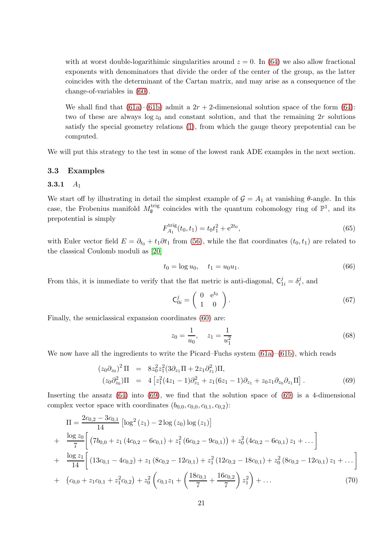with at worst double-logarithimic singularities around  $z = 0$ . In [\(64\)](#page-19-4) we also allow fractional exponents with denominators that divide the order of the center of the group, as the latter coincides with the determinant of the Cartan matrix, and may arise as a consequence of the change-of-variables in [\(60\)](#page-19-0).

We shall find that [\(61a\)](#page-19-2)–[\(61b\)](#page-19-3) admit a  $2r + 2$ -dimensional solution space of the form [\(64\)](#page-19-4): two of these are always  $\log z_0$  and constant solution, and that the remaining 2r solutions satisfy the special geometry relations [\(1\)](#page-2-0), from which the gauge theory prepotential can be computed.

<span id="page-20-0"></span>We will put this strategy to the test in some of the lowest rank ADE examples in the next section.

### <span id="page-20-1"></span>3.3 Examples

## 3.3.1  $A_1$

We start off by illustrating in detail the simplest example of  $\mathcal{G} = A_1$  at vanishing  $\theta$ -angle. In this case, the Frobenius manifold  $M_{\mathfrak{g}}^{\text{trig}}$  coincides with the quantum cohomology ring of  $\mathbb{P}^1$ , and its prepotential is simply

$$
F_{A_1}^{\text{trig}}(t_0, t_1) = t_0 t_1^2 + e^{2t_0},\tag{65}
$$

with Euler vector field  $E = \partial_{t_0} + t_1 \partial t_1$  from [\(56\)](#page-18-3), while the flat coordinates  $(t_0, t_1)$  are related to the classical Coulomb moduli as [\[20\]](#page-38-9)

$$
t_0 = \log u_0, \quad t_1 = u_0 u_1. \tag{66}
$$

From this, it is immediate to verify that the flat metric is anti-diagonal,  $C_{1i}^j = \delta_i^j$  $i^j$ , and

<span id="page-20-3"></span>
$$
\mathsf{C}_{0i}^j = \left(\begin{array}{cc} 0 & \mathbf{e}^{t_0} \\ 1 & 0 \end{array}\right). \tag{67}
$$

Finally, the semiclassical expansion coordinates [\(60\)](#page-19-0) are:

$$
z_0 = \frac{1}{u_0}, \quad z_1 = \frac{1}{u_1^2} \tag{68}
$$

We now have all the ingredients to write the Picard–Fuchs system  $(61a)$ – $(61b)$ , which reads

<span id="page-20-2"></span>
$$
(z_0 \partial_{z_0})^2 \Pi = 8z_0^2 z_1^2 (3 \partial_{z_1} \Pi + 2z_1 \partial_{z_1}^2) \Pi,
$$
  
\n
$$
(z_0 \partial_{z_0}^2) \Pi = 4 \left[ z_1^2 (4z_1 - 1) \partial_{z_1}^2 + z_1 (6z_1 - 1) \partial_{z_1} + z_0 z_1 \partial_{z_0} \partial_{z_1} \Pi \right].
$$
 (69)

Inserting the ansatz  $(64)$  into  $(69)$ , we find that the solution space of  $(69)$  is a 4-dimensional complex vector space with coordinates  $(b_{0,0}, c_{0,0}, c_{0,1}, c_{0,2})$ :

$$
\Pi = \frac{2c_{0,2} - 3c_{0,1}}{14} \left[ \log^2(z_1) - 2\log(z_0) \log(z_1) \right]
$$
  
+ 
$$
\frac{\log z_0}{7} \left[ \left( 7b_{0,0} + z_1 (4c_{0,2} - 6c_{0,1}) + z_1^2 (6c_{0,2} - 9c_{0,1}) \right) + z_0^2 (4c_{0,2} - 6c_{0,1}) z_1 + \cdots \right]
$$
  
+ 
$$
\frac{\log z_1}{14} \left[ \left( 13c_{0,1} - 4c_{0,2} \right) + z_1 (8c_{0,2} - 12c_{0,1}) + z_1^2 (12c_{0,2} - 18c_{0,1}) + z_0^2 (8c_{0,2} - 12c_{0,1}) z_1 + \cdots \right]
$$
  
+ 
$$
\left( c_{0,0} + z_1 c_{0,1} + z_1^2 c_{0,2} \right) + z_0^2 \left( c_{0,1} z_1 + \left( \frac{18c_{0,1}}{7} + \frac{16c_{0,2}}{7} \right) z_1^2 \right) + \cdots
$$
 (70)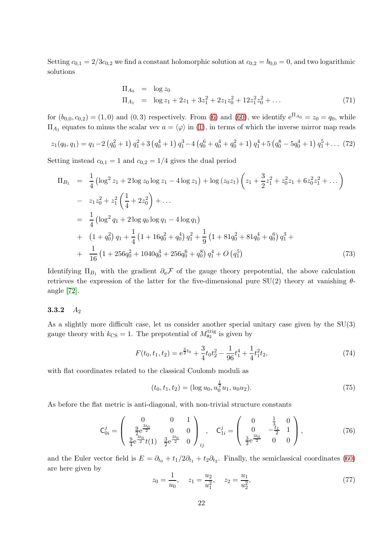Setting  $c_{0,1} = 2/3c_{0,2}$  we find a constant holomorphic solution at  $c_{0,2} = b_{0,0} = 0$ , and two logarithmic solutions

$$
\Pi_{A_0} = \log z_0
$$
  
\n
$$
\Pi_{A_1} = \log z_1 + 2z_1 + 3z_1^2 + 2z_1z_0^2 + 12z_1^2z_0^2 + \dots
$$
\n(71)

for  $(b_{0,0}, c_{0,2}) = (1,0)$  and  $(0,3)$  respectively. From [\(6\)](#page-7-4) and [\(60\)](#page-19-0), we identify  $e^{\Pi_{A_0}} = z_0 = q_0$ , while  $\Pi_{A_1}$  equates to minus the scalar vev  $a = \langle \varphi \rangle$  in [\(1\)](#page-2-0), in terms of which the inverse mirror map reads

$$
z_1(q_0, q_1) = q_1 - 2 \left( q_0^2 + 1 \right) q_1^2 + 3 \left( q_0^4 + 1 \right) q_1^3 - 4 \left( q_0^6 + q_0^4 + q_0^2 + 1 \right) q_1^4 + 5 \left( q_0^8 - 5 q_0^4 + 1 \right) q_1^5 + \dots (72)
$$

Setting instead  $c_{0,1} = 1$  and  $c_{0,2} = 1/4$  gives the dual period

$$
\Pi_{B_1} = \frac{1}{4} \left( \log^2 z_1 + 2 \log z_0 \log z_1 - 4 \log z_1 \right) + \log (z_0 z_1) \left( z_1 + \frac{3}{2} z_1^2 + z_0^2 z_1 + 6 z_0^2 z_1^2 + \dots \right)
$$
  
\n
$$
- z_1 z_0^2 + z_1^2 \left( \frac{1}{4} + 2 z_0^2 \right) + \dots
$$
  
\n
$$
= \frac{1}{4} \left( \log^2 q_1 + 2 \log q_0 \log q_1 - 4 \log q_1 \right)
$$
  
\n
$$
+ \left( 1 + q_0^2 \right) q_1 + \frac{1}{4} \left( 1 + 16 q_0^2 + q_0^4 \right) q_1^2 + \frac{1}{9} \left( 1 + 81 q_0^2 + 81 q_0^4 + q_0^6 \right) q_1^3 +
$$
  
\n
$$
+ \frac{1}{16} \left( 1 + 256 q_0^2 + 1040 q_0^4 + 256 q_0^6 + q_0^8 \right) q_1^4 + O \left( q_1^5 \right) \tag{73}
$$

Identifying  $\Pi_{B_1}$  with the gradient  $\partial_a \mathcal{F}$  of the gauge theory prepotential, the above calculation retrieves the expression of the latter for the five-dimensional pure  $SU(2)$  theory at vanishing  $\theta$ angle [\[72\]](#page-40-1).

## <span id="page-21-0"></span>3.3.2  $A_2$

As a slightly more difficult case, let us consider another special unitary case given by the SU(3) gauge theory with  $k_{\text{CS}} = 1$ . The prepotential of  $M_{\mathfrak{a}_2}^{\text{trig}}$  is given by

$$
F(t_0, t_1, t_2) = e^{\frac{3}{2}t_0} + \frac{3}{4}t_0 t_2^2 - \frac{1}{96}t_1^4 + \frac{1}{4}t_1^2 t_2,
$$
\n
$$
(74)
$$

with flat coordinates related to the classical Coulomb moduli as

$$
(t_0, t_1, t_2) = (\log u_0, u_0^{\frac{1}{2}} u_1, u_0 u_2). \tag{75}
$$

As before the flat metric is anti-diagonal, with non-trivial structure constants

$$
\mathbf{C}_{0i}^{j} = \begin{pmatrix} 0 & 0 & 1 \\ \frac{9}{2}e^{\frac{3t_0}{2}} & 0 & 0 \\ \frac{9}{4}e^{\frac{3t_0}{2}}t(1) & \frac{3}{2}e^{\frac{3t_0}{2}} & 0 \end{pmatrix}_{ij}, \quad \mathbf{C}_{1i}^{j} = \begin{pmatrix} 0 & \frac{1}{3} & 0 \\ 0 & -\frac{t_1}{2} & 1 \\ \frac{3}{2}e^{\frac{3t_0}{2}} & 0 & 0 \end{pmatrix},
$$
(76)

and the Euler vector field is  $E = \partial_{t_0} + t_1/2\partial_{t_1} + t_2\partial_{t_2}$ . Finally, the semiclassical coordinates [\(60\)](#page-19-0) are here given by

$$
z_0 = \frac{1}{u_0}, \quad z_1 = \frac{u_2}{u_1^2}, \quad z_2 = \frac{u_1}{u_2^2}, \tag{77}
$$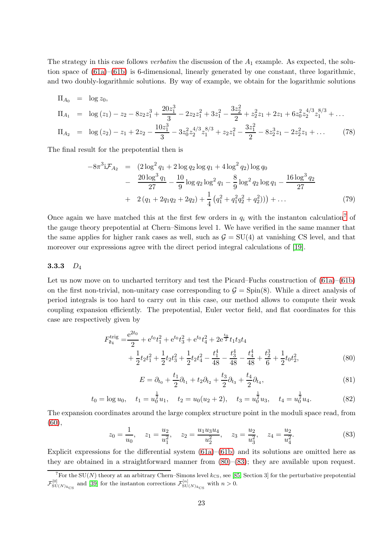The strategy in this case follows *verbatim* the discussion of the  $A_1$  example. As expected, the solution space of  $(61a)$ – $(61b)$  is 6-dimensional, linearly generated by one constant, three logarithmic, and two doubly-logarithmic solutions. By way of example, we obtain for the logarithmic solutions

$$
\Pi_{A_0} = \log z_0,
$$
\n
$$
\Pi_{A_1} = \log (z_1) - z_2 - 8z_2 z_1^3 + \frac{20z_1^3}{3} - 2z_2 z_1^2 + 3z_1^2 - \frac{3z_2^2}{2} + z_2^2 z_1 + 2z_1 + 6z_0^2 z_2^{4/3} z_1^{8/3} + \dots
$$
\n
$$
\Pi_{A_2} = \log (z_2) - z_1 + 2z_2 - \frac{10z_1^3}{3} - 3z_0^2 z_2^{4/3} z_1^{8/3} + z_2 z_1^2 - \frac{3z_1^2}{2} - 8z_2^3 z_1 - 2z_2^2 z_1 + \dots
$$
\n(78)

The final result for the prepotential then is

$$
-8\pi^{3}i\mathcal{F}_{A_{2}} = (2\log^{2}q_{1} + 2\log q_{2}\log q_{1} + 4\log^{2}q_{2})\log q_{0}
$$
  

$$
-\frac{20\log^{3}q_{1}}{27} - \frac{10}{9}\log q_{2}\log^{2}q_{1} - \frac{8}{9}\log^{2}q_{2}\log q_{1} - \frac{16\log^{3}q_{2}}{27}
$$
  

$$
+ 2(q_{1} + 2q_{1}q_{2} + 2q_{2}) + \frac{1}{4}(q_{1}^{2} + q_{1}^{2}q_{2}^{2} + q_{2}^{2})) + ...
$$
 (79)

Once again we have matched this at the first few orders in  $q_i$  with the instanton calculation<sup>[7](#page-22-1)</sup> of the gauge theory prepotential at Chern–Simons level 1. We have verified in the same manner that the same applies for higher rank cases as well, such as  $G = SU(4)$  at vanishing CS level, and that moreover our expressions agree with the direct period integral calculations of [\[19\]](#page-38-10).

## <span id="page-22-0"></span>3.3.3  $D_4$

Let us now move on to uncharted territory and test the Picard–Fuchs construction of  $(61a)$ – $(61b)$ on the first non-trivial, non-unitary case corresponding to  $\mathcal{G} = \text{Spin}(8)$ . While a direct analysis of period integrals is too hard to carry out in this case, our method allows to compute their weak coupling expansion efficiently. The prepotential, Euler vector field, and flat coordinates for this case are respectively given by

$$
F_{\mathfrak{d}_4}^{\text{trig}} = \frac{e^{2t_0}}{2} + e^{t_0} t_1^2 + e^{t_0} t_3^2 + e^{t_0} t_4^2 + 2e^{\frac{t_0}{2}} t_1 t_3 t_4
$$
  
+ 
$$
\frac{1}{2} t_2 t_1^2 + \frac{1}{2} t_2 t_3^2 + \frac{1}{2} t_2 t_4^2 - \frac{t_1^4}{48} - \frac{t_3^4}{48} - \frac{t_4^4}{48} + \frac{t_2^3}{6} + \frac{1}{2} t_0 t_2^2,
$$
 (80)

<span id="page-22-2"></span>
$$
E = \partial_{t_0} + \frac{t_1}{2}\partial_{t_1} + t_2\partial_{t_2} + \frac{t_3}{2}\partial_{t_3} + \frac{t_4}{2}\partial_{t_4},\tag{81}
$$

$$
t_0 = \log u_0
$$
,  $t_1 = u_0^{\frac{1}{2}} u_1$ ,  $t_2 = u_0 (u_2 + 2)$ ,  $t_3 = u_0^{\frac{1}{2}} u_3$ ,  $t_4 = u_0^{\frac{1}{2}} u_4$ . (82)

The expansion coordinates around the large complex structure point in the moduli space read, from  $(60),$  $(60),$ 

<span id="page-22-3"></span>
$$
z_0 = \frac{1}{u_0}, \quad z_1 = \frac{u_2}{u_1^2}, \quad z_2 = \frac{u_1 u_3 u_4}{u_2^2}, \quad z_3 = \frac{u_2}{u_3^2}, \quad z_4 = \frac{u_2}{u_4^2}.\tag{83}
$$

Explicit expressions for the differential system  $(61a)$ – $(61b)$  and its solutions are omitted here as they are obtained in a straightforward manner from [\(80\)](#page-22-2)–[\(83\)](#page-22-3); they are available upon request.

<span id="page-22-1"></span> $7\text{For the SU}(N)$  theory at an arbitrary Chern–Simons level  $k_{\text{CS}}$ , see [\[85,](#page-41-7) Section 3] for the perturbative prepotential  $\mathcal{F}_{\text{SU}(N)_{k_{\text{CS}}}}^{[0]}$  and [\[39\]](#page-39-22) for the instanton corrections  $\mathcal{F}_{\text{SU}(N)_{k_{\text{CS}}}}^{[n]}$  with  $n > 0$ .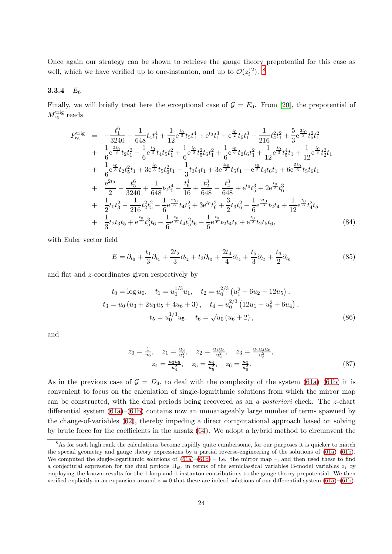Once again our strategy can be shown to retrieve the gauge theory prepotential for this case as well, which we have verified up to one-instanton, and up to  $\mathcal{O}(z_i^{12})$ . <sup>[8](#page-23-1)</sup>

# <span id="page-23-0"></span>3.3.4 E<sup>6</sup>

Finally, we will briefly treat here the exceptional case of  $G = E_6$ . From [\[20\]](#page-38-9), the prepotential of  $M_{\mathfrak{e}_6}^{\rm trig}$  reads

$$
F_{\epsilon_{6}}^{\text{trig}} = -\frac{t_{1}^{6}}{3240} - \frac{1}{648}t_{4}t_{1}^{4} + \frac{1}{12}e^{\frac{t_{0}}{3}}t_{5}t_{1}^{4} + e^{t_{0}}t_{1}^{3} + e^{\frac{t_{0}}{2}}t_{6}t_{1}^{3} - \frac{1}{216}t_{4}^{2}t_{1}^{2} + \frac{5}{3}e^{\frac{2t_{0}}{3}}t_{5}^{2}t_{1}^{2} + \frac{1}{6}e^{\frac{2t_{0}}{3}}t_{2}t_{1}^{2} - \frac{1}{6}e^{\frac{t_{0}}{3}}t_{4}t_{5}t_{1}^{2} + \frac{1}{6}e^{\frac{t_{0}}{6}}t_{5}^{2}t_{6}t_{1}^{2} + \frac{1}{6}e^{\frac{t_{0}}{6}}t_{2}t_{6}t_{1}^{2} + \frac{1}{12}e^{\frac{t_{0}}{3}}t_{5}^{4}t_{1} + \frac{1}{12}e^{\frac{t_{0}}{3}}t_{2}^{2}t_{1} + \frac{1}{6}e^{\frac{t_{0}}{3}}t_{2}t_{5}^{2}t_{1} + 3e^{\frac{t_{0}}{3}}t_{5}t_{6}^{2}t_{1} - \frac{1}{3}t_{3}t_{4}t_{1} + 3e^{\frac{t_{0}}{3}}t_{5}t_{1} - e^{\frac{t_{0}}{2}}t_{4}t_{6}t_{1} + 6e^{\frac{5t_{0}}{6}}t_{5}t_{6}t_{1} + \frac{e^{2t_{0}}}{2} - \frac{t_{5}^{6}}{3240} + \frac{1}{648}t_{2}t_{5}^{4} - \frac{t_{6}^{4}}{16} + \frac{t_{2}^{3}}{648} - \frac{t_{4}^{3}}{648} + e^{t_{0}}t_{5}^{3} + 2e^{\frac{t_{0}}{2}}t_{6}^{3} + \frac{1}{2}t_{6}t_{6}^{2} + \frac{1}{2}t_{6}t_{6}^{2} + \frac{1}{2}t_{6}t_{6}^{2} + \frac{1}{2}t_{6}t_{6}^{2} +
$$

with Euler vector field

$$
E = \partial_{t_0} + \frac{t_1}{3} \partial_{t_1} + \frac{2t_2}{3} \partial_{t_2} + t_3 \partial_{t_3} + \frac{2t_4}{4} \partial_{t_4} + \frac{t_5}{3} \partial_{t_5} + \frac{t_6}{2} \partial_{t_6}
$$
 (85)

and flat and z-coordinates given respectively by

$$
t_0 = \log u_0, \quad t_1 = u_0^{1/3} u_1, \quad t_2 = u_0^{2/3} \left( u_1^2 - 6u_2 - 12u_5 \right),
$$
  
\n
$$
t_3 = u_0 \left( u_3 + 2u_1 u_5 + 4u_6 + 3 \right), \quad t_4 = u_0^{2/3} \left( 12u_1 - u_5^2 + 6u_4 \right),
$$
  
\n
$$
t_5 = u_0^{1/3} u_5, \quad t_6 = \sqrt{u_0} \left( u_6 + 2 \right),
$$
\n(86)

and

$$
z_0 = \frac{1}{u_0}, \quad z_1 = \frac{u_2}{u_1^2}, \quad z_2 = \frac{u_1 u_3}{u_2^2}, \quad z_3 = \frac{u_2 u_4 u_6}{u_3^2},
$$

$$
z_4 = \frac{u_3 u_5}{u_4^2}, \quad z_5 = \frac{u_4}{u_5^2}, \quad z_6 = \frac{u_3}{u_6^2}.
$$
(87)

As in the previous case of  $G = D_4$ , to deal with the complexity of the system [\(61a\)](#page-19-2)–[\(61b\)](#page-19-3) it is convenient to focus on the calculation of single-logarithmic solutions from which the mirror map can be constructed, with the dual periods being recovered as an a posteriori check. The z-chart differential system [\(61a\)](#page-19-2)–[\(61b\)](#page-19-3) contains now an unmanageably large number of terms spawned by the change-of-variables [\(62\)](#page-19-5), thereby impeding a direct computational approach based on solving by brute force for the coefficients in the ansatz [\(64\)](#page-19-4). We adopt a hybrid method to circumvent the

<span id="page-23-1"></span><sup>&</sup>lt;sup>8</sup>As for such high rank the calculations become rapidly quite cumbersome, for our purposes it is quicker to match the special geometry and gauge theory expressions by a partial reverse-engineering of the solutions of [\(61a\)](#page-19-2)–[\(61b\)](#page-19-3). We computed the single-logarithmic solutions of  $(61a)$ – $(61b)$  – i.e. the mirror map –, and then used these to find a conjectural expression for the dual periods  $\Pi_{B_i}$  in terms of the semiclassical variables B-model variables  $z_i$  by employing the known results for the 1-loop and 1-instanton contributions to the gauge theory prepotential. We then verified explicitly in an expansion around  $z = 0$  that these are indeed solutions of our differential system [\(61a\)](#page-19-2)–[\(61b\)](#page-19-3).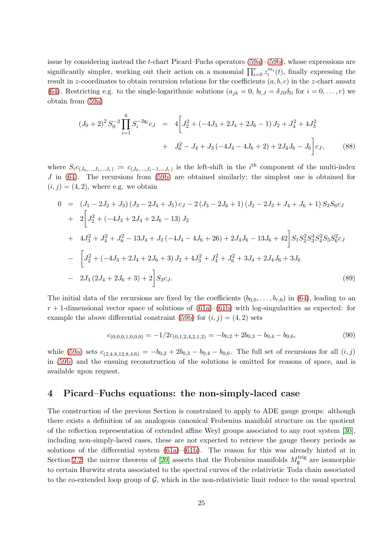issue by considering instead the t-chart Picard–Fuchs operators [\(59a\)](#page-18-4)–[\(59b\)](#page-18-5), whose expressions are significantly simpler, working out their action on a monomial  $\prod_{i=0}^{r} z_i^{m_i}(t)$ , finally expressing the result in z-coordinates to obtain recursion relations for the coefficients  $(a, b, c)$  in the z-chart ansatz [\(64\)](#page-19-4). Restricting e.g. to the single-logarithmic solutions  $(a_{jk} = 0, b_{l,J} = \delta_{J0}\delta_{li}$  for  $i = 0, \ldots, r$ ) we obtain from [\(59a\)](#page-18-4)

$$
(J_0 + 2)^2 S_0^{-2} \prod_{i=1}^6 S_i^{-2\mathfrak{q}_i} c_J = 4 \bigg[ J_2^2 + (-4J_3 + 2J_4 + 2J_6 - 1) J_2 + J_4^2 + 4J_3^2 + J_6^2 - J_4 + J_3(-4J_4 - 4J_6 + 2) + 2J_4J_6 - J_6 \bigg] c_J,
$$
(88)

where  $S_i c_{(J_0,...,J_i,...J_r)} := c_{(J_0,...,J_i-1,...J_r)}$  is the left-shift in the  $i<sup>th</sup>$  component of the multi-index J in [\(64\)](#page-19-4). The recursions from [\(59b\)](#page-18-5) are obtained similarly; the simplest one is obtained for  $(i, j) = (4, 2)$ , where e.g. we obtain

$$
0 = (J_1 - 2J_2 + J_3)(J_3 - 2J_4 + J_5)c_J - 2(J_3 - 2J_6 + 1)(J_2 - 2J_3 + J_4 + J_6 + 1)S_3S_6c_J
$$
  
+  $2\left[J_2^2 + (-4J_3 + 2J_4 + 2J_6 - 13)J_2\right]$   
+  $4J_3^2 + J_4^2 + J_6^2 - 13J_4 + J_3(-4J_4 - 4J_6 + 26) + 2J_4J_6 - 13J_6 + 42\right]S_1S_2^2S_3^4S_4^2S_5S_6^2c_J$   
-  $\left[J_2^2 + (-4J_3 + 2J_4 + 2J_6 + 3)J_2 + 4J_3^2 + J_4^2 + J_6^2 + 3J_4 + 2J_4J_6 + 3J_6\right]$   
-  $2J_3(2J_4 + 2J_6 + 3) + 2\left]S_3c_J.$  (89)

The initial data of the recursions are fixed by the coefficients  $(b_{0,0}, \ldots, b_{r,0})$  in [\(64\)](#page-19-4), leading to an  $r + 1$ -dimensional vector space of solutions of [\(61a\)](#page-19-2)–[\(61b\)](#page-19-3) with log-singularities as expected: for example the above differential constraint [\(59b\)](#page-18-5) for  $(i, j) = (4, 2)$  sets

$$
c_{(0,0,0,1,0,0,0)} = -1/2c_{(0,1,2,4,2,1,2)} = -b_{0,2} + 2b_{0,3} - b_{0,4} - b_{0,6},\tag{90}
$$

while [\(59a\)](#page-18-4) sets  $c_{(2,4,8,12,8,4,6)} = -b_{0,2} + 2b_{0,3} - b_{0,4} - b_{0,6}$ . The full set of recursions for all  $(i, j)$ in [\(59b\)](#page-18-5) and the ensuing reconstruction of the solutions is omitted for reasons of space, and is available upon request.

# <span id="page-24-0"></span>4 Picard–Fuchs equations: the non-simply-laced case

The construction of the previous Section is constrained to apply to ADE gauge groups: although there exists a definition of an analogous canonical Frobenius manifold structure on the quotient of the reflection representation of extended affine Weyl groups associated to any root system [\[30\]](#page-39-5), including non-simply-laced cases, these are not expected to retrieve the gauge theory periods as solutions of the differential system [\(61a\)](#page-19-2)–[\(61b\)](#page-19-3). The reason for this was already hinted at in Section [2.2:](#page-10-1) the mirror theorem of [\[20\]](#page-38-9) asserts that the Frobenius manifolds  $M_{\mathfrak{g}}^{\text{trig}}$  are isomorphic to certain Hurwitz strata associated to the spectral curves of the relativistic Toda chain associated to the co-extended loop group of  $\mathcal{G}$ , which in the non-relativistic limit reduce to the usual spectral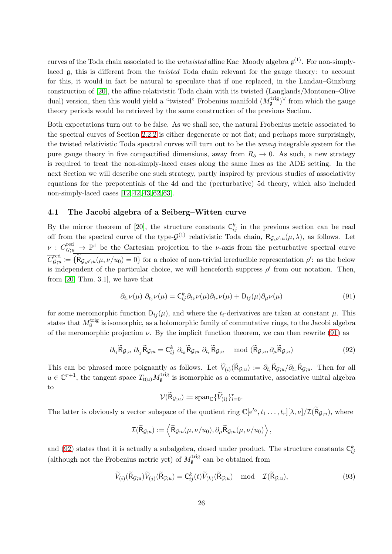curves of the Toda chain associated to the *untwisted* affine Kac–Moody algebra  $\mathfrak{g}^{(1)}$ . For non-simplylaced g, this is different from the twisted Toda chain relevant for the gauge theory: to account for this, it would in fact be natural to speculate that if one replaced, in the Landau–Ginzburg construction of [\[20\]](#page-38-9), the affine relativistic Toda chain with its twisted (Langlands/Montonen–Olive dual) version, then this would yield a "twisted" Frobenius manifold  $(M_{\mathfrak{g}}^{\text{trig}})^{\vee}$  from which the gauge theory periods would be retrieved by the same construction of the previous Section.

Both expectations turn out to be false. As we shall see, the natural Frobenius metric associated to the spectral curves of Section [2.2.2](#page-12-0) is either degenerate or not flat; and perhaps more surprisingly, the twisted relativistic Toda spectral curves will turn out to be the wrong integrable system for the pure gauge theory in five compactified dimensions, away from  $R_5 \rightarrow 0$ . As such, a new strategy is required to treat the non-simply-laced cases along the same lines as the ADE setting. In the next Section we will describe one such strategy, partly inspired by previous studies of associativity equations for the prepotentials of the 4d and the (perturbative) 5d theory, which also included non-simply-laced cases [\[12,](#page-38-11) [42,](#page-39-23) [43,](#page-39-24) [62,](#page-40-11) [63\]](#page-40-12).

## <span id="page-25-0"></span>4.1 The Jacobi algebra of a Seiberg–Witten curve

By the mirror theorem of [\[20\]](#page-38-9), the structure constants  $\mathsf{C}_{ij}^k$  in the previous section can be read off from the spectral curve of the type- $\mathcal{G}^{(1)}$  relativistic Toda chain,  $\mathsf{R}_{\mathcal{G},\rho';u}(\mu,\lambda)$ , as follows. Let  $\nu$  :  $\overline{C}_{\mathcal{G};u}^{\text{red}} \to \mathbb{P}^1$  be the Cartesian projection to the *v*-axis from the perturbative spectral curve  $\overline{C}_{G:u}^{\rm red}$  $G_{\mathcal{G},u}^{\text{red}} := \{ \mathsf{R}_{\mathcal{G},\rho';u}(\mu,\nu/u_0) = 0 \}$  for a choice of non-trivial irreducible representation  $\rho'$ : as the below is independent of the particular choice, we will henceforth suppress  $\rho'$  from our notation. Then, from [\[20,](#page-38-9) Thm. 3.1], we have that

<span id="page-25-1"></span>
$$
\partial_{t_i}\nu(\mu) \partial_{t_j}\nu(\mu) = \mathsf{C}_{ij}^k \partial_{t_k}\nu(\mu) \partial_{t_r}\nu(\mu) + \mathsf{D}_{ij}(\mu) \partial_{\mu}\nu(\mu) \tag{91}
$$

for some meromorphic function  $D_{ij}(\mu)$ , and where the  $t_i$ -derivatives are taken at constant  $\mu$ . This states that  $M_{\mathfrak{g}}^{\text{trig}}$  is isomorphic, as a holomorphic family of commutative rings, to the Jacobi algebra of the meromorphic projection  $\nu$ . By the implicit function theorem, we can then rewrite [\(91\)](#page-25-1) as

<span id="page-25-2"></span>
$$
\partial_{t_i} \widetilde{\mathsf{R}}_{\mathcal{G};u} \; \partial_{t_j} \widetilde{\mathsf{R}}_{\mathcal{G};u} = \mathsf{C}_{ij}^k \; \partial_{t_k} \widetilde{\mathsf{R}}_{\mathcal{G};u} \; \partial_{t_r} \widetilde{\mathsf{R}}_{\mathcal{G};u} \mod (\widetilde{\mathsf{R}}_{\mathcal{G};u}, \partial_{\mu} \widetilde{\mathsf{R}}_{\mathcal{G};u}) \tag{92}
$$

This can be phrased more poignantly as follows. Let  $V_{(i)}(R_{\mathcal{G};u}) := \partial_{t_i} R_{\mathcal{G};u}/\partial_{t_r} R_{\mathcal{G};u}$ . Then for all  $u \in \mathbb{C}^{r+1}$ , the tangent space  $T_{t(u)} M_{\mathfrak{g}}^{\text{trig}}$  is isomorphic as a commutative, associative unital algebra to

$$
\mathcal{V}(\widetilde{R}_{\mathcal{G};u}) \coloneqq \mathrm{span}_{\mathbb{C}}\{\widetilde{V}_{(i)}\}_{i=0}^r.
$$

The latter is obviously a vector subspace of the quotient ring  $\mathbb{C}[e^{t_0}, t_1, \ldots, t_r][\lambda, \nu]/\mathcal{I}(\mathcal{R}_{\mathcal{G};u})$ , where

$$
\mathcal{I}(\widetilde{R}_{\mathcal{G};u}) := \left\langle \widetilde{R}_{\mathcal{G};u}(\mu, \nu/u_0), \partial_{\mu} \widetilde{R}_{\mathcal{G};u}(\mu, \nu/u_0) \right\rangle,
$$

and [\(92\)](#page-25-2) states that it is actually a subalgebra, closed under product. The structure constants  $\zeta_{ij}^k$ (although not the Frobenius metric yet) of  $M_{\mathfrak{g}}^{\text{trig}}$  can be obtained from

<span id="page-25-3"></span>
$$
\widetilde{V}_{(i)}(\widetilde{\mathsf{R}}_{\mathcal{G};u})\widetilde{V}_{(j)}(\widetilde{\mathsf{R}}_{\mathcal{G};u}) = \mathsf{C}_{ij}^{k}(t)\widetilde{V}_{(k)}(\widetilde{\mathsf{R}}_{\mathcal{G};u}) \mod \mathcal{I}(\widetilde{\mathsf{R}}_{\mathcal{G};u}),
$$
\n(93)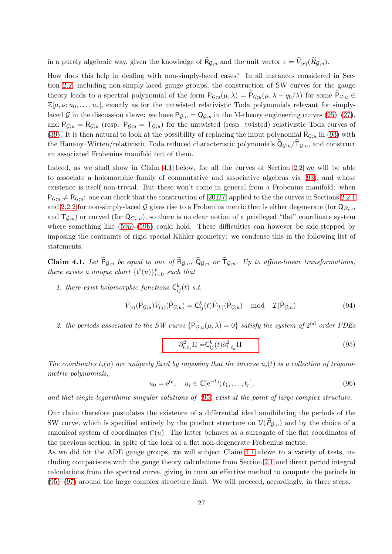in a purely algebraic way, given the knowledge of  $R_{\mathcal{G};u}$  and the unit vector  $e = V_{(r)}(R_{\mathcal{G};u})$ .

How does this help in dealing with non-simply-laced cases? In all instances considered in Section [2.2,](#page-10-1) including non-simply-laced gauge groups, the construction of SW curves for the gauge theory leads to a spectral polynomial of the form  $P_{\mathcal{G};u}(\mu,\lambda) = P_{\mathcal{G};u}(\mu,\lambda + q_0/\lambda)$  for some  $P_{\mathcal{G};u} \in$  $\mathbb{Z}[\mu,\nu;u_0,\ldots,u_r]$ , exactly as for the untwisted relativistic Toda polynomials relevant for simplylaced G in the discussion above: we have  $P_{\mathcal{G};u} = Q_{\mathcal{G};u}$  in the M-theory engineering curves  $(25)-(27)$  $(25)-(27)$ , and  $P_{\mathcal{G};u} = R_{\mathcal{G};u}$  (resp.  $P_{\mathcal{G};u} = T_{\mathcal{G};u}$ ) for the untwisted (resp. twisted) relativistic Toda curves of [\(39\)](#page-14-2). It is then natural to look at the possibility of replacing the input polynomial  $R_{\mathcal{G};u}$  in [\(93\)](#page-25-3) with the Hanany–Witten/relativistic Toda reduced characteristic polynomials  $\mathsf{Q}_{\mathcal{G};u}/\mathsf{T}_{\mathcal{G};u}$ , and construct an associated Frobenius manifold out of them.

Indeed, as we shall show in Claim [4.1](#page-26-1) below, for all the curves of Section [2.2](#page-10-1) we will be able to associate a holomorphic family of commutative and associative algebras via [\(93\)](#page-25-3), and whose existence is itself non-trivial. But these won't come in general from a Frobenius manifold: when  $P_{G;u} \neq R_{G;u}$ : one can check that the construction of [\[20,](#page-38-9)[27\]](#page-39-25) applied to the the curves in Sections [2.2.1](#page-11-0) and [2.2.2](#page-12-0) for non-simply-laced G gives rise to a Frobenius metric that is either degenerate (for  $\mathsf{Q}_{B_r;u}$ and  $T_{\mathcal{G};u}$  or curved (for  $Q_{C_r;u}$ ), so there is no clear notion of a privileged "flat" coordinate system where something like [\(59a\)](#page-18-4)-[\(59b\)](#page-18-5) could hold. These difficulties can however be side-stepped by imposing the contraints of rigid special Kähler geometry: we condense this in the following list of statements.

<span id="page-26-1"></span>**Claim 4.1.** Let  $P_{\mathcal{G};u}$  be equal to one of  $R_{\mathcal{G};u}$ ,  $Q_{\mathcal{G};u}$  or  $T_{\mathcal{G};u}$ . Up to affine-linear transformations, there exists a unique chart  $\{t^i(u)\}_{i=0}^r$  such that

1. there exist holomorphic functions  $C_{ij}^k(t)$  s.t.

$$
\widetilde{V}_{(i)}(\widetilde{\mathsf{P}}_{\mathcal{G};u})\widetilde{V}_{(j)}(\widetilde{\mathsf{P}}_{\mathcal{G};u}) = \mathsf{C}_{ij}^{k}(t)\widetilde{V}_{(k)}(\widetilde{\mathsf{P}}_{\mathcal{G};u}) \quad \text{mod} \quad \mathcal{I}(\widetilde{\mathsf{P}}_{\mathcal{G};u})
$$
\n(94)

2. the periods associated to the SW curve  ${P_{\mathcal{G};u}(\mu,\lambda) = 0}$  satisfy the system of  $2^{\text{nd}}$  order PDEs

<span id="page-26-3"></span><span id="page-26-0"></span>
$$
\partial_{t_i t_j}^2 \Pi = C_{ij}^k(t) \partial_{t_r t_k}^2 \Pi \tag{95}
$$

The coordinates  $t_i(u)$  are uniquely fixed by imposing that the inverse  $u_i(t)$  is a collection of trigonometric polynomials,

<span id="page-26-2"></span>
$$
u_0 = e^{t_0}, \quad u_i \in \mathbb{C}[e^{-t_0}; t_1, \dots, t_r], \tag{96}
$$

and that single-logarithmic singular solutions of [\(95\)](#page-26-0) exist at the point of large complex structure.

Our claim therefore postulates the existence of a differential ideal annihilating the periods of the SW curve, which is specified entirely by the product structure on  $V(P_{G;u})$  and by the choice of a canonical system of coordinates  $t^{i}(u)$ . The latter behaves as a surrogate of the flat coordinates of the previous section, in spite of the lack of a flat non-degenerate Frobenius metric.

As we did for the ADE gauge groups, we will subject Claim [4.1](#page-26-2) above to a variety of tests, including comparisons with the gauge theory calculations from Section [2.1](#page-8-0) and direct period integral calculations from the spectral curve, giving in turn an effective method to compute the periods in [\(95\)](#page-26-0)–[\(97\)](#page-27-0) around the large complex structure limit. We will proceed, accordingly, in three steps.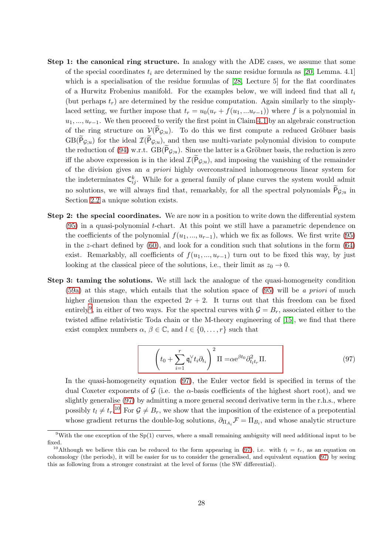- Step 1: the canonical ring structure. In analogy with the ADE cases, we assume that some of the special coordinates  $t_i$  are determined by the same residue formula as [\[20,](#page-38-9) Lemma. 4.1] which is a specialisation of the residue formulas of [\[28,](#page-39-19) Lecture 5] for the flat coordinates of a Hurwitz Frobenius manifold. For the examples below, we will indeed find that all  $t_i$ (but perhaps  $t_r$ ) are determined by the residue computation. Again similarly to the simplylaced setting, we further impose that  $t_r = u_0(u_r + f(u_1, ... u_{r-1}))$  where f is a polynomial in  $u_1, ..., u_{r-1}$ . We then proceed to verify the first point in Claim [4.1](#page-26-2) by an algebraic construction of the ring structure on  $\mathcal{V}(\mathsf{P}_{\mathcal{G};u})$ . To do this we first compute a reduced Gröbner basis  $GB(P_{\mathcal{G};u})$  for the ideal  $\mathcal{I}(P_{\mathcal{G};u})$ , and then use multi-variate polynomial division to compute the reduction of [\(94\)](#page-26-3) w.r.t.  $GB(P_{\mathcal{G};u})$ . Since the latter is a Gröbner basis, the reduction is zero iff the above expression is in the ideal  $\mathcal{I}(P_{\mathcal{G};u})$ , and imposing the vanishing of the remainder of the division gives an a priori highly overconstrained inhomogeneous linear system for the indeterminates  $\mathsf{C}_{ij}^k$ . While for a general family of plane curves the system would admit no solutions, we will always find that, remarkably, for all the spectral polynomials  $P_{\mathcal{G};u}$  in Section [2.2](#page-10-1) a unique solution exists.
- Step 2: the special coordinates. We are now in a position to write down the differential system [\(95\)](#page-26-0) in a quasi-polynomial t-chart. At this point we still have a parametric dependence on the coefficients of the polynomial  $f(u_1, ..., u_{r-1})$ , which we fix as follows. We first write [\(95\)](#page-26-0) in the z-chart defined by  $(60)$ , and look for a condition such that solutions in the form  $(64)$ exist. Remarkably, all coefficients of  $f(u_1, ..., u_{r-1})$  turn out to be fixed this way, by just looking at the classical piece of the solutions, i.e., their limit as  $z_0 \to 0$ .
- Step 3: taming the solutions. We still lack the analogue of the quasi-homogeneity condition  $(59a)$  at this stage, which entails that the solution space of  $(95)$  will be a priori of much higher dimension than the expected  $2r + 2$ . It turns out that this freedom can be fixed entirely<sup>[9](#page-27-1)</sup>, in either of two ways. For the spectral curves with  $\mathcal{G} = B_r$ , associated either to the twisted affine relativistic Toda chain or the M-theory engineering of [\[15\]](#page-38-7), we find that there exist complex numbers  $\alpha, \beta \in \mathbb{C}$ , and  $l \in \{0, \ldots, r\}$  such that

<span id="page-27-0"></span>
$$
\left(t_0 + \sum_{i=1}^r \mathfrak{q}_i^{\vee} t_i \partial_{t_i}\right)^2 \Pi = \alpha e^{\beta t_0} \partial_{t_l t_r}^2 \Pi. \tag{97}
$$

In the quasi-homogeneity equation [\(97\)](#page-27-0), the Euler vector field is specified in terms of the dual Coxeter exponents of G (i.e. the  $\alpha$ -basis coefficients of the highest short root), and we slightly generalise [\(97\)](#page-27-0) by admitting a more general second derivative term in the r.h.s., where possibly  $t_l \neq t_r$ .<sup>[10](#page-27-2)</sup> For  $\mathcal{G} \neq B_r$ , we show that the imposition of the existence of a prepotential whose gradient returns the double-log solutions,  $\partial_{\Pi_{A_i}} \mathcal{F} = \Pi_{B_i}$ , and whose analytic structure

<span id="page-27-1"></span><sup>&</sup>lt;sup>9</sup>With the one exception of the Sp(1) curves, where a small remaining ambiguity will need additional input to be fixed.

<span id="page-27-2"></span><sup>&</sup>lt;sup>10</sup>Although we believe this can be reduced to the form appearing in [\(97\)](#page-27-0), i.e. with  $t<sub>l</sub> = t<sub>r</sub>$ , as an equation on cohomology (the periods), it will be easier for us to consider the generalised, and equivalent equation [\(97\)](#page-27-0) by seeing this as following from a stronger constraint at the level of forms (the SW differential).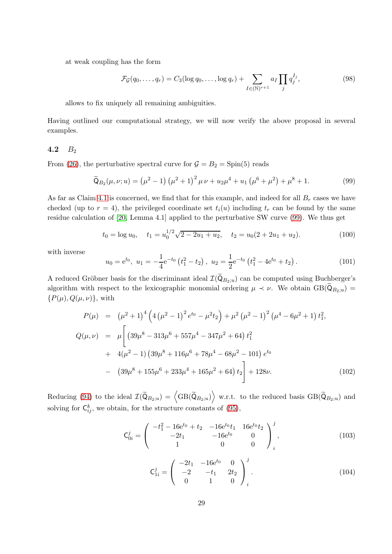at weak coupling has the form

<span id="page-28-2"></span>
$$
\mathcal{F}_{\mathcal{G}}(q_0,\ldots,q_r) = C_3(\log q_0,\ldots,\log q_r) + \sum_{I \in (\mathbb{N})^{r+1}} a_I \prod_j q_j^{I_j},\tag{98}
$$

allows to fix uniquely all remaining ambiguities.

Having outlined our computational strategy, we will now verify the above proposal in several examples.

## <span id="page-28-0"></span>4.2  $B_2$

From [\(26\)](#page-11-2), the perturbative spectral curve for  $\mathcal{G} = B_2 = \text{Spin}(5)$  reads

<span id="page-28-1"></span>
$$
\widetilde{Q}_{B_2}(\mu, \nu; u) = (\mu^2 - 1) (\mu^2 + 1)^2 \mu \nu + u_2 \mu^4 + u_1 (\mu^6 + \mu^2) + \mu^8 + 1. \tag{99}
$$

As far as Claim [4.1](#page-26-2) is concerned, we find that for this example, and indeed for all  $B_r$  cases we have checked (up to  $r = 4$ ), the privileged coordinate set  $t_i(u)$  including  $t_r$  can be found by the same residue calculation of [\[20,](#page-38-9) Lemma 4.1] applied to the perturbative SW curve [\(99\)](#page-28-1). We thus get

$$
t_0 = \log u_0, \quad t_1 = u_0^{1/2} \sqrt{2 - 2u_1 + u_2}, \quad t_2 = u_0(2 + 2u_1 + u_2). \tag{100}
$$

with inverse

$$
u_0 = e^{t_0}, \ u_1 = -\frac{1}{4} e^{-t_0} \left( t_1^2 - t_2 \right), \ u_2 = \frac{1}{2} e^{-t_0} \left( t_1^2 - 4 e^{t_0} + t_2 \right). \tag{101}
$$

A reduced Gröbner basis for the discriminant ideal  $\mathcal{I}(\tilde{Q}_{B_2;u})$  can be computed using Buchberger's algorithm with respect to the lexicographic monomial ordering  $\mu \prec \nu$ . We obtain GB( $\mathbb{Q}_{B_2;u}$ ) =  $\{P(\mu), Q(\mu, \nu)\}\$ , with

$$
P(\mu) = (\mu^2 + 1)^4 \left( 4 (\mu^2 - 1)^2 e^{t_0} - \mu^2 t_2 \right) + \mu^2 (\mu^2 - 1)^2 (\mu^4 - 6\mu^2 + 1) t_1^2,
$$
  
\n
$$
Q(\mu, \nu) = \mu \left[ (39\mu^8 - 313\mu^6 + 557\mu^4 - 347\mu^2 + 64) t_1^2 + 4(\mu^2 - 1) (39\mu^8 + 116\mu^6 + 78\mu^4 - 68\mu^2 - 101) e^{t_0} - (39\mu^8 + 155\mu^6 + 233\mu^4 + 165\mu^2 + 64) t_2 \right] + 128\nu.
$$
\n(102)

Reducing [\(94\)](#page-26-3) to the ideal  $\mathcal{I}(\widetilde{Q}_{B_2;u}) = \left\langle GB(\widetilde{Q}_{B_2;u}) \right\rangle$  w.r.t. to the reduced basis  $GB(\widetilde{Q}_{B_2;u})$  and solving for  $\mathsf{C}_{ij}^k$ , we obtain, for the structure constants of [\(95\)](#page-26-0),

$$
\mathsf{C}_{0i}^{j} = \begin{pmatrix} -t_1^2 - 16e^{t_0} + t_2 & -16e^{t_0}t_1 & 16e^{t_0}t_2 \\ -2t_1 & -16e^{t_0} & 0 \\ 1 & 0 & 0 \end{pmatrix}_{i}^{j}, \tag{103}
$$

$$
\mathsf{C}_{1i}^{j} = \begin{pmatrix} -2t_1 & -16e^{t_0} & 0 \\ -2 & -t_1 & 2t_2 \\ 0 & 1 & 0 \end{pmatrix}_{i}^{j}.
$$
 (104)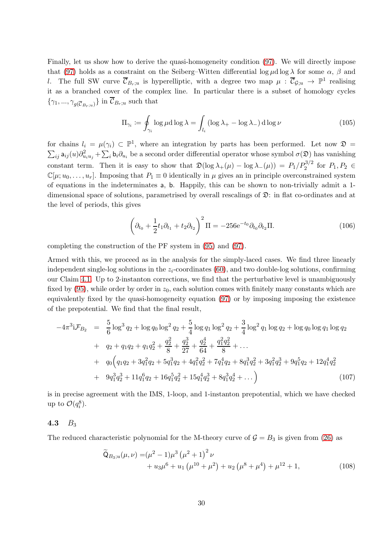Finally, let us show how to derive the quasi-homogeneity condition [\(97\)](#page-27-0). We will directly impose that [\(97\)](#page-27-0) holds as a constraint on the Seiberg–Witten differential log  $\mu$ d log  $\lambda$  for some  $\alpha$ ,  $\beta$  and l. The full SW curve  $\overline{\mathcal{C}}_{B_r;u}$  is hyperelliptic, with a degree two map  $\mu : \overline{\mathcal{C}}_{\mathcal{G};u} \to \mathbb{P}^1$  realising it as a branched cover of the complex line. In particular there is a subset of homology cycles  $\{\gamma_1, ..., \gamma_{g(\overline{C}_{B_r;u})}\}\$  in  $\mathcal{C}_{B_r;u}$  such that

<span id="page-29-1"></span>
$$
\Pi_{\gamma_i} := \oint_{\gamma_i} \log \mu \, \mathrm{d} \log \lambda = \int_{l_i} (\log \lambda_+ - \log \lambda_-) \, \mathrm{d} \log \nu \tag{105}
$$

for chains  $l_i = \mu(\gamma_i) \subset \mathbb{P}^1$ , where an integration by parts has been performed. Let now  $\mathfrak{D} =$  $\sum_{ij} a_{ij}(u)\partial^2_{u_iu_j} + \sum_i b_i\partial_{u_i}$  be a second order differential operator whose symbol  $\sigma(\mathfrak{D})$  has vanishing constant term. Then it is easy to show that  $\mathfrak{D}(\log \lambda_+(\mu) - \log \lambda_-(\mu)) = P_1/P_2^{3/2}$  for  $P_1, P_2 \in$  $\mathbb{C}[\mu; u_0, \ldots, u_r]$ . Imposing that  $P_1 \equiv 0$  identically in  $\mu$  gives an in principle overconstrained system of equations in the indeterminates a, b. Happily, this can be shown to non-trivially admit a 1 dimensional space of solutions, parametrised by overall rescalings of  $\mathfrak{D}$ : in flat co-ordinates and at the level of periods, this gives

$$
\left(\partial_{t_0} + \frac{1}{2}t_1\partial_{t_1} + t_2\partial_{t_2}\right)^2 \Pi = -256e^{-t_0}\partial_{t_0}\partial_{t_2}\Pi.
$$
 (106)

completing the construction of the PF system in [\(95\)](#page-26-0) and [\(97\)](#page-27-0).

Armed with this, we proceed as in the analysis for the simply-laced cases. We find three linearly independent single-log solutions in the  $z_i$ -coordinates [\(60\)](#page-19-0), and two double-log solutions, confirming our Claim [4.1.](#page-26-2) Up to 2-instanton corrections, we find that the perturbative level is unambiguously fixed by [\(95\)](#page-26-0), while order by order in  $z_0$ , each solution comes with finitely many constants which are equivalently fixed by the quasi-homogeneity equation [\(97\)](#page-27-0) or by imposing imposing the existence of the prepotential. We find that the final result,

$$
-4\pi^{3}i\mathcal{F}_{B_{2}} = \frac{5}{6}\log^{3}q_{2} + \log q_{0}\log^{2}q_{2} + \frac{5}{4}\log q_{1}\log^{2}q_{2} + \frac{3}{4}\log^{2}q_{1}\log q_{2} + \log q_{0}\log q_{1}\log q_{2}
$$
  
+  $q_{2} + q_{1}q_{2} + q_{1}q_{2}^{2} + \frac{q_{2}^{2}}{8} + \frac{q_{2}^{3}}{27} + \frac{q_{2}^{4}}{64} + \frac{q_{1}^{2}q_{2}^{2}}{8} + \dots$   
+  $q_{0}\left(q_{1}q_{2} + 3q_{1}^{2}q_{2} + 5q_{1}^{3}q_{2} + 4q_{1}^{2}q_{2}^{2} + 7q_{1}^{4}q_{2} + 8q_{1}^{3}q_{2}^{2} + 3q_{1}^{2}q_{2}^{3} + 9q_{1}^{5}q_{2} + 12q_{1}^{4}q_{2}^{2}$   
+  $9q_{1}^{3}q_{2}^{3} + 11q_{1}^{6}q_{2} + 16q_{1}^{5}q_{2}^{2} + 15q_{1}^{4}q_{2}^{3} + 8q_{1}^{3}q_{2}^{4} + \dots$  (107)

is in precise agreement with the IMS, 1-loop, and 1-instanton prepotential, which we have checked up to  $\mathcal{O}(q_i^8)$ .

## <span id="page-29-0"></span>4.3  $B_3$

The reduced characteristic polynomial for the M-theory curve of  $\mathcal{G} = B_3$  is given from [\(26\)](#page-11-2) as

$$
\widetilde{\mathsf{Q}}_{B_3;u}(\mu,\nu) = (\mu^2 - 1)\mu^3 (\mu^2 + 1)^2 \nu + u_3 \mu^6 + u_1 (\mu^{10} + \mu^2) + u_2 (\mu^8 + \mu^4) + \mu^{12} + 1,
$$
\n(108)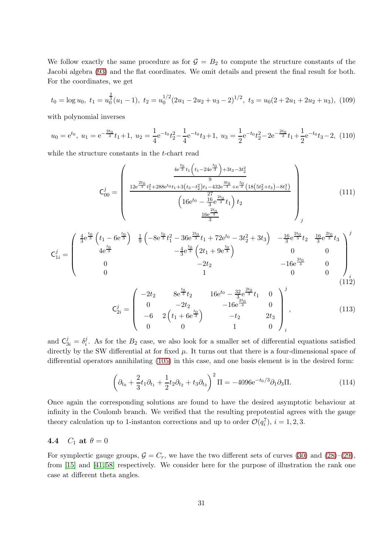We follow exactly the same procedure as for  $G = B_2$  to compute the structure constants of the Jacobi algebra [\(93\)](#page-25-3) and the flat coordinates. We omit details and present the final result for both. For the coordinates, we get

$$
t_0 = \log u_0, \ t_1 = u_0^{\frac{2}{3}}(u_1 - 1), \ t_2 = u_0^{1/2}(2u_1 - 2u_2 + u_3 - 2)^{1/2}, \ t_3 = u_0(2 + 2u_1 + 2u_2 + u_3), \ (109)
$$

with polynomial inverses

$$
u_0 = e^{t_0}, u_1 = e^{-\frac{2t_0}{3}}t_1 + 1, u_2 = \frac{1}{4}e^{-t_0}t_2^2 - \frac{1}{4}e^{-t_0}t_3 + 1, u_3 = \frac{1}{2}e^{-t_0}t_2^2 - 2e^{-\frac{2t_0}{3}}t_1 + \frac{1}{2}e^{-t_0}t_3 - 2, (110)
$$

while the structure constants in the t-chart read

$$
C_{00}^{j} = \begin{pmatrix} \frac{4e^{\frac{t_{0}}{3}}t_{1}\left(t_{1}-24e^{\frac{t_{0}}{3}}\right)+3t_{3}-3t_{2}^{2}}{9} \\ \frac{12e^{\frac{2t_{0}}{3}}t_{1}^{2}+288e^{t_{0}}t_{1}+3(t_{3}-t_{2}^{2})t_{1}-432e^{\frac{4t_{0}}{3}}+e^{\frac{t_{0}}{3}}(18(5t_{2}^{2}+t_{3})-8t_{1}^{3})}{(16e^{t_{0}}-\frac{17}{3}e^{\frac{2t_{0}}{3}}t_{1})t_{2} \\ \frac{16e^{\frac{2t_{0}}{3}}}{3} \end{pmatrix}_{j}
$$
(111)

$$
\mathbf{C}_{1i}^{j} = \begin{pmatrix} \frac{4}{3}e^{\frac{t_{0}}{3}}\left(t_{1} - 6e^{\frac{t_{0}}{3}}\right) & \frac{1}{9}\left(-8e^{\frac{t_{0}}{3}}t_{1}^{2} - 36e^{\frac{2t_{0}}{3}}t_{1} + 72e^{t_{0}} - 3t_{2}^{2} + 3t_{3}\right) & -\frac{16}{3}e^{\frac{2t_{0}}{3}}t_{2} & \frac{16}{3}e^{\frac{2t_{0}}{3}}t_{3} \\ 4e^{\frac{t_{0}}{3}} & -\frac{4}{3}e^{\frac{t_{0}}{3}}\left(2t_{1} + 9e^{\frac{t_{0}}{3}}\right) & 0 & 0 \\ 0 & -2t_{2} & -16e^{\frac{2t_{0}}{3}} & 0 \\ 0 & 1 & 0 & 0 \end{pmatrix}_{i}
$$
\n
$$
(112)
$$

$$
\mathbf{C}_{2i}^{j} = \begin{pmatrix} -2t_2 & 8e^{\frac{t_0}{3}}t_2 & 16e^{t_0} - \frac{32}{3}e^{\frac{2t_0}{3}}t_1 & 0\\ 0 & -2t_2 & -16e^{\frac{2t_0}{3}} & 0\\ -6 & 2\left(t_1 + 6e^{\frac{t_0}{3}}\right) & -t_2 & 2t_3\\ 0 & 0 & 1 & 0 \end{pmatrix}_{i}^{j}, \qquad (113)
$$

and  $C_{3i}^j = \delta_i^j$ <sup>*i*</sup>. As for the  $B_2$  case, we also look for a smaller set of differential equations satisfied directly by the SW differential at for fixed  $\mu$ . It turns out that there is a four-dimensional space of differential operators annihilating [\(105\)](#page-29-1) in this case, and one basis element is in the desired form:

$$
\left(\partial_{t_0} + \frac{2}{3}t_1\partial_{t_1} + \frac{1}{2}t_2\partial_{t_2} + t_3\partial_{t_3}\right)^2 \Pi = -4096e^{-t_0/3}\partial_1\partial_3\Pi.
$$
 (114)

Once again the corresponding solutions are found to have the desired asymptotic behaviour at infinity in the Coulomb branch. We verified that the resulting prepotential agrees with the gauge theory calculation up to 1-instanton corrections and up to order  $\mathcal{O}(q_i^7)$ ,  $i = 1, 2, 3$ .

# <span id="page-30-0"></span>4.4  $C_1$  at  $\theta = 0$

For symplectic gauge groups,  $G = C_r$ , we have the two different sets of curves [\(30\)](#page-12-3) and [\(28\)](#page-12-4)–[\(29\)](#page-12-4), from [\[15\]](#page-38-7) and [\[41,](#page-39-11) [58\]](#page-40-13) respectively. We consider here for the purpose of illustration the rank one case at different theta angles.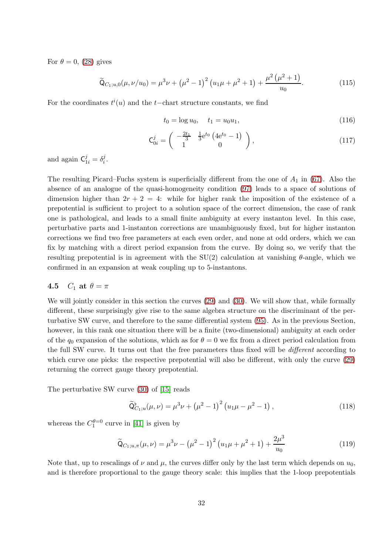For  $\theta = 0$ , [\(28\)](#page-12-4) gives

$$
\widetilde{\mathsf{Q}}_{C_1;u,0}(\mu,\nu/u_0) = \mu^3 \nu + \left(\mu^2 - 1\right)^2 \left(u_1 \mu + \mu^2 + 1\right) + \frac{\mu^2 \left(\mu^2 + 1\right)}{u_0}.\tag{115}
$$

For the coordinates  $t^i(u)$  and the t-chart structure constants, we find

$$
t_0 = \log u_0, \quad t_1 = u_0 u_1,\tag{116}
$$

$$
\mathbf{C}_{0i}^j = \begin{pmatrix} -\frac{2t_1}{3} & \frac{1}{3} e^{t_0} \left( 4 e^{t_0} - 1 \right) \\ 1 & 0 \end{pmatrix},\tag{117}
$$

and again  $C_{1i}^j = \delta_i^j$  $\frac{j}{i}$ .

The resulting Picard–Fuchs system is superficially different from the one of  $A_1$  in [\(67\)](#page-20-3). Also the absence of an analogue of the quasi-homogeneity condition [\(97\)](#page-27-0) leads to a space of solutions of dimension higher than  $2r + 2 = 4$ : while for higher rank the imposition of the existence of a prepotential is sufficient to project to a solution space of the correct dimension, the case of rank one is pathological, and leads to a small finite ambiguity at every instanton level. In this case, perturbative parts and 1-instanton corrections are unambiguously fixed, but for higher instanton corrections we find two free parameters at each even order, and none at odd orders, which we can fix by matching with a direct period expansion from the curve. By doing so, we verify that the resulting prepotential is in agreement with the  $SU(2)$  calculation at vanishing  $\theta$ -angle, which we confirmed in an expansion at weak coupling up to 5-instantons.

# <span id="page-31-0"></span>4.5  $C_1$  at  $\theta = \pi$

We will jointly consider in this section the curves  $(29)$  and  $(30)$ . We will show that, while formally different, these surprisingly give rise to the same algebra structure on the discriminant of the perturbative SW curve, and therefore to the same differential system [\(95\)](#page-26-0). As in the previous Section, however, in this rank one situation there will be a finite (two-dimensional) ambiguity at each order of the  $q_0$  expansion of the solutions, which as for  $\theta = 0$  we fix from a direct period calculation from the full SW curve. It turns out that the free parameters thus fixed will be different according to which curve one picks: the respective prepotential will also be different, with only the curve [\(29\)](#page-12-4) returning the correct gauge theory prepotential.

The perturbative SW curve [\(30\)](#page-12-3) of [\[15\]](#page-38-7) reads

$$
\widetilde{Q}_{C_1;u}^{\flat}(\mu,\nu) = \mu^3 \nu + (\mu^2 - 1)^2 (u_1 \mu - \mu^2 - 1), \qquad (118)
$$

whereas the  $C_1^{\theta=0}$  curve in [\[41\]](#page-39-11) is given by

$$
\widetilde{Q}_{C_1;u,\pi}(\mu,\nu) = \mu^3 \nu - (\mu^2 - 1)^2 (u_1 \mu + \mu^2 + 1) + \frac{2\mu^3}{u_0}
$$
\n(119)

Note that, up to rescalings of  $\nu$  and  $\mu$ , the curves differ only by the last term which depends on  $u_0$ , and is therefore proportional to the gauge theory scale: this implies that the 1-loop prepotentials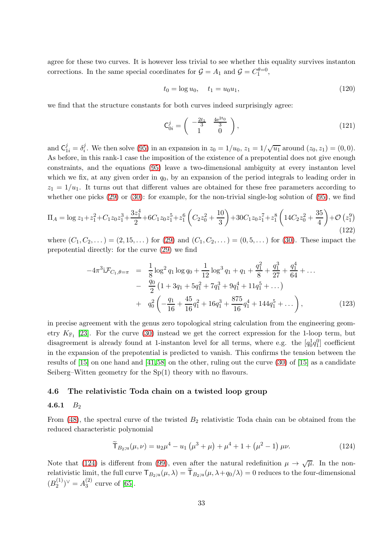agree for these two curves. It is however less trivial to see whether this equality survives instanton corrections. In the same special coordinates for  $\mathcal{G} = A_1$  and  $\mathcal{G} = C_1^{\theta=0}$ ,

$$
t_0 = \log u_0, \quad t_1 = u_0 u_1,\tag{120}
$$

we find that the structure constants for both curves indeed surprisingly agree:

$$
\mathsf{C}_{0i}^j = \begin{pmatrix} -\frac{2t_1}{3} & \frac{4e^{2t_0}}{3} \\ 1 & 0 \end{pmatrix},\tag{121}
$$

and  $C_{1i}^j = \delta_i^j$ <sup>j</sup>. We then solve [\(95\)](#page-26-0) in an expansion in  $z_0 = 1/u_0$ ,  $z_1 = 1/\sqrt{u_1}$  around  $(z_0, z_1) = (0, 0)$ . As before, in this rank-1 case the imposition of the existence of a prepotential does not give enough constraints, and the equations [\(95\)](#page-26-0) leave a two-dimensional ambiguity at every instanton level which we fix, at any given order in  $q_0$ , by an expansion of the period integrals to leading order in  $z_1 = 1/u_1$ . It turns out that different values are obtained for these free parameters according to whether one picks [\(29\)](#page-12-4) or [\(30\)](#page-12-3): for example, for the non-trivial single-log solution of [\(95\)](#page-26-0), we find

$$
\Pi_A = \log z_1 + z_1^2 + C_1 z_0 z_1^3 + \frac{3z_1^4}{2} + 6C_1 z_0 z_1^5 + z_1^6 \left( C_2 z_0^2 + \frac{10}{3} \right) + 30 C_1 z_0 z_1^7 + z_1^8 \left( 14 C_2 z_0^2 + \frac{35}{4} \right) + \mathcal{O} \left( z_1^9 \right)
$$
\n(122)

where  $(C_1, C_2, ...)$  =  $(2, 15, ...)$  for  $(29)$  and  $(C_1, C_2, ...)$  =  $(0, 5, ...)$  for  $(30)$ . These impact the prepotential directly: for the curve [\(29\)](#page-12-4) we find

$$
-4\pi^{3}i\mathcal{F}_{C_{1},\theta=\pi} = \frac{1}{8}\log^{2}q_{1}\log q_{0} + \frac{1}{12}\log^{3}q_{1} + q_{1} + \frac{q_{1}^{2}}{8} + \frac{q_{1}^{3}}{27} + \frac{q_{1}^{4}}{64} + \dots
$$

$$
- \frac{q_{0}}{2}\left(1 + 3q_{1} + 5q_{1}^{2} + 7q_{1}^{3} + 9q_{1}^{4} + 11q_{1}^{5} + \dots\right)
$$

$$
+ q_{0}^{2}\left(-\frac{q_{1}}{16} + \frac{45}{16}q_{1}^{2} + 16q_{1}^{3} + \frac{875}{16}q_{1}^{4} + 144q_{1}^{5} + \dots\right), \qquad (123)
$$

in precise agreement with the genus zero topological string calculation from the engineering geometry  $K_{\mathbb{F}_1}$  [\[23\]](#page-38-15). For the curve [\(30\)](#page-12-3) instead we get the correct expression for the 1-loop term, but disagreement is already found at 1-instanton level for all terms, where e.g. the  $[q_0^1q_1^0]$  coefficient in the expansion of the prepotential is predicted to vanish. This confirms the tension between the results of [\[15\]](#page-38-7) on one hand and [\[41,](#page-39-11) [58\]](#page-40-13) on the other, ruling out the curve [\(30\)](#page-12-3) of [\[15\]](#page-38-7) as a candidate Seiberg–Witten geometry for the Sp(1) theory with no flavours.

## <span id="page-32-1"></span><span id="page-32-0"></span>4.6 The relativistic Toda chain on a twisted loop group

### 4.6.1  $B_2$

From  $(48)$ , the spectral curve of the twisted  $B_2$  relativistic Toda chain can be obtained from the reduced characteristic polynomial

<span id="page-32-2"></span>
$$
\widetilde{\mathsf{T}}_{B_2;u}(\mu,\nu) = u_2\mu^4 - u_1\left(\mu^3 + \mu\right) + \mu^4 + 1 + \left(\mu^2 - 1\right)\mu\nu. \tag{124}
$$

Note that [\(124\)](#page-32-2) is different from [\(99\)](#page-28-1), even after the natural redefinition  $\mu \to \sqrt{\mu}$ . In the nonrelativistic limit, the full curve  $\mathsf{T}_{B_2;u}(\mu,\lambda) = \widetilde{\mathsf{T}}_{B_2;u}(\mu,\lambda+q_0/\lambda) = 0$  reduces to the four-dimensional  $(B_2^{(1)}$  $\binom{1}{2}$ <sup> $\vee$ </sup> =  $A_3^{(2)}$  $_3^{(2)}$  curve of [\[65\]](#page-40-9).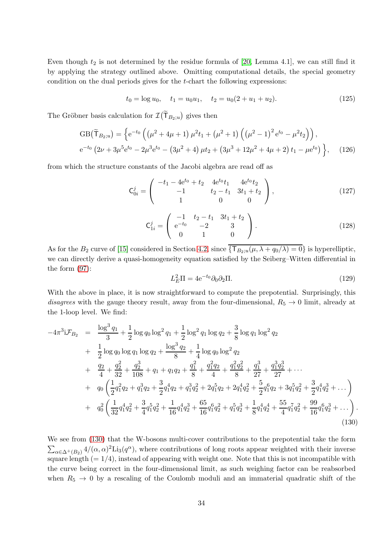Even though  $t_2$  is not determined by the residue formula of [\[20,](#page-38-9) Lemma 4.1], we can still find it by applying the strategy outlined above. Omitting computational details, the special geometry condition on the dual periods gives for the t-chart the following expressions:

$$
t_0 = \log u_0, \quad t_1 = u_0 u_1, \quad t_2 = u_0 (2 + u_1 + u_2). \tag{125}
$$

The Gröbner basis calculation for  $\mathcal{I}(\widetilde{\mathsf{T}}_{B_2;u})$  gives then

$$
GB(\widetilde{T}_{B_2;u}) = \left\{ e^{-t_0} \left( \left( \mu^2 + 4\mu + 1 \right) \mu^2 t_1 + \left( \mu^2 + 1 \right) \left( \left( \mu^2 - 1 \right)^2 e^{t_0} - \mu^2 t_2 \right) \right), \right. e^{-t_0} \left( 2\nu + 3\mu^5 e^{t_0} - 2\mu^3 e^{t_0} - \left( 3\mu^2 + 4 \right) \mu t_2 + \left( 3\mu^3 + 12\mu^2 + 4\mu + 2 \right) t_1 - \mu e^{t_0} \right) \right\}, \quad (126)
$$

from which the structure constants of the Jacobi algebra are read off as

$$
\mathbf{C}_{0i}^{j} = \begin{pmatrix} -t_1 - 4e^{t_0} + t_2 & 4e^{t_0}t_1 & 4e^{t_0}t_2 \\ -1 & t_2 - t_1 & 3t_1 + t_2 \\ 1 & 0 & 0 \end{pmatrix},
$$
(127)

$$
\mathsf{C}_{1i}^{j} = \left( \begin{array}{ccc} -1 & t_2 - t_1 & 3t_1 + t_2 \\ e^{-t_0} & -2 & 3 \\ 0 & 1 & 0 \end{array} \right). \tag{128}
$$

As for the  $B_2$  curve of [\[15\]](#page-38-7) considered in Section [4.2,](#page-28-0) since  $\{\mathsf{T}_{B_2;u}(\mu, \lambda + q_0/\lambda) = 0\}$  is hyperelliptic, we can directly derive a quasi-homogeneity equation satisfied by the Seiberg–Witten differential in the form [\(97\)](#page-27-0):

$$
L_E^2 \Pi = 4e^{-t_0} \partial_0 \partial_2 \Pi. \tag{129}
$$

With the above in place, it is now straightforward to compute the prepotential. Surprisingly, this disagrees with the gauge theory result, away from the four-dimensional,  $R_5 \rightarrow 0$  limit, already at the 1-loop level. We find:

<span id="page-33-0"></span>
$$
-4\pi^{3}i\mathcal{F}_{B_{2}} = \frac{\log^{3}q_{1}}{3} + \frac{1}{2}\log q_{0}\log^{2}q_{1} + \frac{1}{2}\log^{2}q_{1}\log q_{2} + \frac{3}{8}\log q_{1}\log^{2}q_{2}
$$
  
+ 
$$
\frac{1}{2}\log q_{0}\log q_{1}\log q_{2} + \frac{\log^{3}q_{2}}{8} + \frac{1}{4}\log q_{0}\log^{2}q_{2}
$$
  
+ 
$$
\frac{q_{2}}{4} + \frac{q_{2}^{2}}{32} + \frac{q_{2}^{3}}{108} + q_{1} + q_{1}q_{2} + \frac{q_{1}^{2}}{8} + \frac{q_{1}^{2}q_{2}}{4} + \frac{q_{1}^{2}q_{2}^{2}}{8} + \frac{q_{1}^{3}}{27} + \frac{q_{1}^{3}q_{2}^{3}}{27} + \cdots
$$
  
+ 
$$
q_{0}\left(\frac{1}{2}q_{1}^{2}q_{2} + q_{1}^{3}q_{2} + \frac{3}{2}q_{1}^{4}q_{2} + q_{1}^{3}q_{2}^{2} + 2q_{1}^{5}q_{2} + 2q_{1}^{4}q_{2}^{2} + \frac{5}{2}q_{1}^{6}q_{2} + 3q_{1}^{5}q_{2}^{2} + \frac{3}{2}q_{1}^{4}q_{2}^{3} + \cdots\right)
$$
  
+ 
$$
q_{0}^{2}\left(\frac{1}{32}q_{1}^{4}q_{2}^{2} + \frac{3}{4}q_{1}^{5}q_{2}^{2} + \frac{1}{16}q_{1}^{4}q_{2}^{3} + \frac{65}{16}q_{1}^{6}q_{2}^{2} + q_{1}^{5}q_{2}^{3} + \frac{1}{8}q_{1}^{4}q_{2}^{4} + \frac{55}{4}q_{1}^{7}q_{2}^{2} + \frac{99}{16}q_{1}^{6}q_{2}^{3} + \cdots\right)
$$
(130)

We see from [\(130\)](#page-33-0) that the W-bosons multi-cover contributions to the prepotential take the form  $\sum_{\alpha\in\Delta^+(B_2)}\frac{4}{(\alpha,\alpha)^2}\text{Li}_3(q^{\alpha})$ , where contributions of long roots appear weighted with their inverse square length  $(= 1/4)$ , instead of appearing with weight one. Note that this is not incompatible with the curve being correct in the four-dimensional limit, as such weighing factor can be reabsorbed when  $R_5 \rightarrow 0$  by a rescaling of the Coulomb moduli and an immaterial quadratic shift of the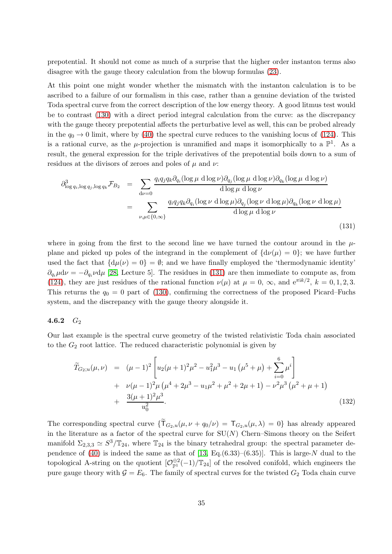prepotential. It should not come as much of a surprise that the higher order instanton terms also disagree with the gauge theory calculation from the blowup formulas [\(23\)](#page-10-2).

At this point one might wonder whether the mismatch with the instanton calculation is to be ascribed to a failure of our formalism in this case, rather than a genuine deviation of the twisted Toda spectral curve from the correct description of the low energy theory. A good litmus test would be to contrast [\(130\)](#page-33-0) with a direct period integral calculation from the curve: as the discrepancy with the gauge theory prepotential affects the perturbative level as well, this can be probed already in the  $q_0 \to 0$  limit, where by [\(40\)](#page-15-0) the spectral curve reduces to the vanishing locus of [\(124\)](#page-32-2). This is a rational curve, as the  $\mu$ -projection is unramified and maps it isomorphically to a  $\mathbb{P}^1$ . As a result, the general expression for the triple derivatives of the prepotential boils down to a sum of residues at the divisors of zeroes and poles of  $\mu$  and  $\nu$ :

<span id="page-34-1"></span>
$$
\partial_{\log q_i, \log q_j, \log q_k}^3 \mathcal{F}_{B_2} = \sum_{d\nu=0} \frac{q_i q_j q_k \partial_{q_i} (\log \mu \, d \log \nu) \partial_{q_j} (\log \mu \, d \log \nu) \partial_{q_k} (\log \mu \, d \log \nu)}{\text{d}\log \mu \, \text{d}\log \nu}
$$
\n
$$
= \sum_{\nu, \mu \in \{0, \infty\}} \frac{q_i q_j q_k \partial_{q_i} (\log \nu \, d \log \mu) \partial_{q_j} (\log \nu \, d \log \mu) \partial_{q_k} (\log \nu \, d \log \mu)}{\text{d}\log \mu \, \text{d}\log \nu}
$$
\n(131)

where in going from the first to the second line we have turned the contour around in the  $\mu$ plane and picked up poles of the integrand in the complement of  $\{d\nu(\mu) = 0\}$ ; we have further used the fact that  $\{d\mu(\nu) = 0\} = \emptyset$ ; and we have finally employed the 'thermodynamic identity'  $\partial_{q_i}\mu d\nu = -\partial_{q_i}\nu d\mu$  [\[28,](#page-39-19) Lecture 5]. The residues in [\(131\)](#page-34-1) are then immediate to compute as, from [\(124\)](#page-32-2), they are just residues of the rational function  $\nu(\mu)$  at  $\mu = 0$ ,  $\infty$ , and  $e^{\pi i k/2}$ ,  $k = 0, 1, 2, 3$ . This returns the  $q_0 = 0$  part of [\(130\)](#page-33-0), confirming the correctness of the proposed Picard–Fuchs system, and the discrepancy with the gauge theory alongside it.

### <span id="page-34-0"></span>4.6.2  $G_2$

Our last example is the spectral curve geometry of the twisted relativistic Toda chain associated to the  $G_2$  root lattice. The reduced characteristic polynomial is given by

$$
\widetilde{T}_{G_2;u}(\mu,\nu) = (\mu-1)^2 \left[ u_2(\mu+1)^2 \mu^2 - u_1^2 \mu^3 - u_1 (\mu^5 + \mu) + \sum_{i=0}^6 \mu^i \right] \n+ \nu(\mu-1)^2 \mu (\mu^4 + 2\mu^3 - u_1 \mu^2 + \mu^2 + 2\mu + 1) - \nu^2 \mu^3 (\mu^2 + \mu + 1) \n+ \frac{3(\mu+1)^2 \mu^3}{u_0^2}.
$$
\n(132)

The corresponding spectral curve  $\{\widetilde{\mathsf{T}}_{G_2,u}(\mu,\nu+q_0/\nu)=\mathsf{T}_{G_2,u}(\mu,\lambda)=0\}$  has already appeared in the literature as a factor of the spectral curve for  $SU(N)$  Chern–Simons theory on the Seifert manifold  $\Sigma_{2,3,3} \simeq S^3/\mathbb{T}_{24}$ , where  $\mathbb{T}_{24}$  is the binary tetrahedral group: the spectral parameter de-pendence of [\(40\)](#page-15-0) is indeed the same as that of  $[13, Eq.(6.33)–(6.35)].$  This is large-N dual to the topological A-string on the quotient  $[\mathcal{O}_{\mathbb{P}^1}^{\oplus 2}(-1)/\mathbb{T}_{24}]$  of the resolved conifold, which engineers the pure gauge theory with  $G = E_6$ . The family of spectral curves for the twisted  $G_2$  Toda chain curve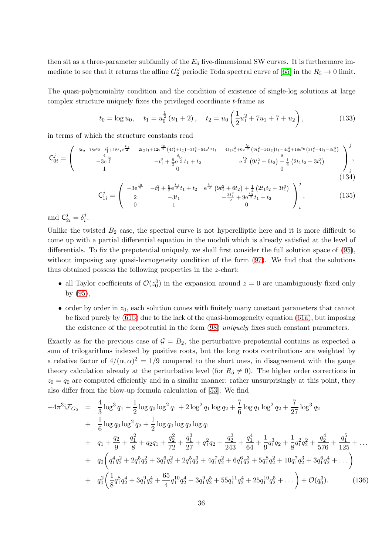then sit as a three-parameter subfamily of the  $E_6$  five-dimensional SW curves. It is furthermore immediate to see that it returns the affine  $G_2^{\vee}$  periodic Toda spectral curve of [\[65\]](#page-40-9) in the  $R_5 \to 0$  limit.

The quasi-polynomiality condition and the condition of existence of single-log solutions at large complex structure uniquely fixes the privileged coordinate t-frame as

$$
t_0 = \log u_0
$$
,  $t_1 = u_0^{\frac{1}{2}} (u_1 + 2)$ ,  $t_2 = u_0 \left( \frac{1}{2} u_1^2 + 7u_1 + 7 + u_2 \right)$ , (133)

in terms of which the structure constants read

$$
\mathbf{C}_{0i}^{j} = \begin{pmatrix} \frac{6t_{2} + 18e^{t_{0}} - t_{1}^{2} + 18t_{1}e^{\frac{t_{0}}{2}}}{4} & \frac{2t_{2}t_{1} + 12e^{\frac{t_{0}}{2}}(4t_{1}^{2} + t_{2}) - 3t_{1}^{3} - 54e^{t_{0}}t_{1}}{8} & \frac{4t_{2}t_{1}^{2} + 6e^{\frac{t_{0}}{2}}(9t_{1}^{2} + 14t_{2})t_{1} - 4t_{2}^{2} + 18e^{t_{0}}(3t_{1}^{2} - 4t_{2} - 3t_{1}^{4})}{8} \\ -3e^{\frac{t_{0}}{2}} & -t_{1}^{2} + \frac{9}{2}e^{\frac{t_{0}}{2}}t_{1} + t_{2} & e^{\frac{t_{0}}{2}}(9t_{1}^{2} + 6t_{2}) + \frac{1}{4}(2t_{1}t_{2} - 3t_{1}^{3}) \\ 0 & 0 & 0 \end{pmatrix}, \tag{134}
$$

$$
\mathsf{C}_{1i}^{j} = \begin{pmatrix} -3e^{\frac{t_{0}}{2}} & -t_{1}^{2} + \frac{9}{2}e^{\frac{t_{0}}{2}}t_{1} + t_{2} & e^{\frac{t_{0}}{2}}\left(9t_{1}^{2} + 6t_{2}\right) + \frac{1}{4}\left(2t_{1}t_{2} - 3t_{1}^{3}\right) \\ 2 & -3t_{1} & -\frac{3t_{1}^{2}}{2} + 9e^{\frac{t_{0}}{2}}t_{1} - t_{2} \\ 0 & 1 & 0 \end{pmatrix}_{i}^{j},\tag{135}
$$

and  $C_{2i}^j = \delta_i^j$  $\frac{j}{i}$ .

Unlike the twisted  $B_2$  case, the spectral curve is not hyperelliptic here and it is more difficult to come up with a partial differential equation in the moduli which is already satisfied at the level of differentials. To fix the prepotential uniquely, we shall first consider the full solution space of [\(95\)](#page-26-0), without imposing any quasi-homogeneity condition of the form [\(97\)](#page-27-0). We find that the solutions thus obtained possess the following properties in the z-chart:

- all Taylor coefficients of  $\mathcal{O}(z_0^0)$  in the expansion around  $z = 0$  are unambiguously fixed only by [\(95\)](#page-26-0),
- order by order in  $z_0$ , each solution comes with finitely many constant parameters that cannot be fixed purely by [\(61b\)](#page-19-3) due to the lack of the quasi-homogeneity equation [\(61a\)](#page-19-2), but imposing the existence of the prepotential in the form [\(98\)](#page-28-2) uniquely fixes such constant parameters.

Exactly as for the previous case of  $G = B_2$ , the perturbative prepotential contains as expected a sum of trilogarithms indexed by positive roots, but the long roots contributions are weighted by a relative factor of  $4/(\alpha, \alpha)^2 = 1/9$  compared to the short ones, in disagreement with the gauge theory calculation already at the perturbative level (for  $R_5 \neq 0$ ). The higher order corrections in  $z_0 = q_0$  are computed efficiently and in a similar manner: rather unsurprisingly at this point, they also differ from the blow-up formula calculation of [\[53\]](#page-40-14). We find

$$
-4\pi^{3}i\mathcal{F}_{G_{2}} = \frac{4}{3}\log^{3}q_{1} + \frac{1}{2}\log q_{0}\log^{2}q_{1} + 2\log^{2}q_{1}\log q_{2} + \frac{7}{6}\log q_{1}\log^{2}q_{2} + \frac{7}{27}\log^{3}q_{2}
$$
  
+ 
$$
\frac{1}{6}\log q_{0}\log^{2}q_{2} + \frac{1}{2}\log q_{0}\log q_{2}\log q_{1}
$$
  
+ 
$$
q_{1} + \frac{q_{2}}{9} + \frac{q_{1}^{2}}{8} + q_{2}q_{1} + \frac{q_{2}^{2}}{72} + \frac{q_{1}^{3}}{27} + q_{1}^{2}q_{2} + \frac{q_{2}^{3}}{243} + \frac{q_{1}^{4}}{64} + \frac{1}{9}q_{1}^{3}q_{2} + \frac{1}{8}q_{1}^{2}q_{2}^{2} + \frac{q_{2}^{4}}{576} + \frac{q_{1}^{5}}{125} + \cdots
$$
  
+ 
$$
q_{0}\left(q_{1}^{4}q_{2}^{2} + 2q_{1}^{5}q_{2}^{2} + 3q_{1}^{6}q_{2}^{2} + 2q_{1}^{5}q_{2}^{3} + 4q_{1}^{7}q_{2}^{2} + 6q_{1}^{6}q_{2}^{3} + 5q_{1}^{8}q_{2}^{2} + 10q_{1}^{7}q_{2}^{3} + 3q_{1}^{6}q_{2}^{4} + \cdots\right)
$$
  
+ 
$$
q_{0}^{2}\left(\frac{1}{8}q_{1}^{8}q_{2}^{4} + 3q_{1}^{9}q_{2}^{4} + \frac{65}{4}q_{1}^{10}q_{2}^{4} + 3q_{1}^{9}q_{2}^{5} + 55q_{1}^{11}q_{2}^{4} + 25q_{1}^{10}q_{2}^{5} + \cdots\right) + \mathcal{O}(q_{0}^{3}).
$$
 (136)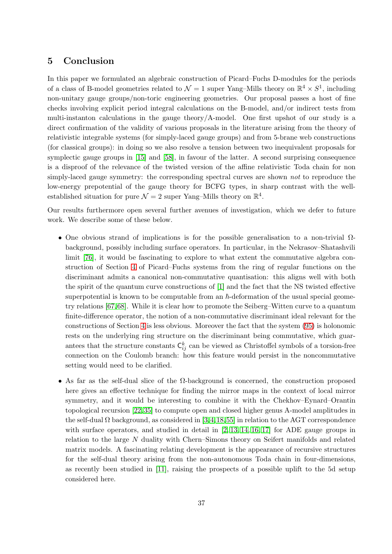# <span id="page-36-0"></span>5 Conclusion

In this paper we formulated an algebraic construction of Picard–Fuchs D-modules for the periods of a class of B-model geometries related to  $\mathcal{N}=1$  super Yang–Mills theory on  $\mathbb{R}^4 \times S^1$ , including non-unitary gauge groups/non-toric engineering geometries. Our proposal passes a host of fine checks involving explicit period integral calculations on the B-model, and/or indirect tests from multi-instanton calculations in the gauge theory/A-model. One first upshot of our study is a direct confirmation of the validity of various proposals in the literature arising from the theory of relativistic integrable systems (for simply-laced gauge groups) and from 5-brane web constructions (for classical groups): in doing so we also resolve a tension between two inequivalent proposals for symplectic gauge groups in [\[15\]](#page-38-7) and [\[58\]](#page-40-13), in favour of the latter. A second surprising consequence is a disproof of the relevance of the twisted version of the affine relativistic Toda chain for non simply-laced gauge symmetry: the corresponding spectral curves are shown not to reproduce the low-energy prepotential of the gauge theory for BCFG types, in sharp contrast with the wellestablished situation for pure  $\mathcal{N} = 2$  super Yang–Mills theory on  $\mathbb{R}^4$ .

Our results furthermore open several further avenues of investigation, which we defer to future work. We describe some of these below.

- One obvious strand of implications is for the possible generalisation to a non-trivial  $\Omega$ background, possibly including surface operators. In particular, in the Nekrasov–Shatashvili limit [\[76\]](#page-40-22), it would be fascinating to explore to what extent the commutative algebra construction of Section [4](#page-24-0) of Picard–Fuchs systems from the ring of regular functions on the discriminant admits a canonical non-commutative quantisation: this aligns well with both the spirit of the quantum curve constructions of [\[1\]](#page-38-16) and the fact that the NS twisted effective superpotential is known to be computable from an  $\hbar$ -deformation of the usual special geometry relations [\[67,](#page-40-23)[68\]](#page-40-24). While it is clear how to promote the Seiberg–Witten curve to a quantum finite-difference operator, the notion of a non-commutative discriminant ideal relevant for the constructions of Section [4](#page-24-0) is less obvious. Moreover the fact that the system [\(95\)](#page-26-0) is holonomic rests on the underlying ring structure on the discriminant being commutative, which guarantees that the structure constants  $\mathsf{C}_{ij}^k$  can be viewed as Christoffel symbols of a torsion-free connection on the Coulomb branch: how this feature would persist in the noncommutative setting would need to be clarified.
- As far as the self-dual slice of the  $\Omega$ -background is concerned, the construction proposed here gives an effective technique for finding the mirror maps in the context of local mirror symmetry, and it would be interesting to combine it with the Chekhov–Eynard–Orantin topological recursion [\[22,](#page-38-17) [35\]](#page-39-26) to compute open and closed higher genus A-model amplitudes in the self-dual  $\Omega$  background, as considered in [\[3,](#page-38-18)[4,](#page-38-19)[18,](#page-38-20)[55\]](#page-40-25) in relation to the AGT correspondence with surface operators, and studied in detail in  $[2, 13, 14, 16, 17]$  $[2, 13, 14, 16, 17]$  $[2, 13, 14, 16, 17]$  $[2, 13, 14, 16, 17]$  $[2, 13, 14, 16, 17]$  for ADE gauge groups in relation to the large N duality with Chern–Simons theory on Seifert manifolds and related matrix models. A fascinating relating development is the appearance of recursive structures for the self-dual theory arising from the non-autonomous Toda chain in four-dimensions, as recently been studied in [\[11\]](#page-38-22), raising the prospects of a possible uplift to the 5d setup considered here.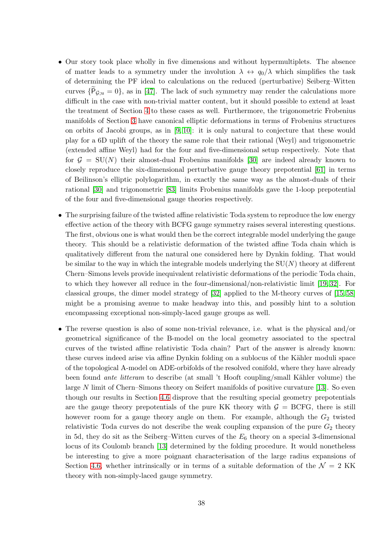- Our story took place wholly in five dimensions and without hypermultiplets. The absence of matter leads to a symmetry under the involution  $\lambda \leftrightarrow q_0/\lambda$  which simplifies the task of determining the PF ideal to calculations on the reduced (perturbative) Seiberg–Witten curves  $\{P_{\mathcal{G};u}=0\}$ , as in [\[47\]](#page-39-8). The lack of such symmetry may render the calculations more difficult in the case with non-trivial matter content, but it should possible to extend at least the treatment of Section [4](#page-24-0) to these cases as well. Furthermore, the trigonometric Frobenius manifolds of Section [3](#page-17-0) have canonical elliptic deformations in terms of Frobenius structures on orbits of Jacobi groups, as in [\[9,](#page-38-23) [10\]](#page-38-24): it is only natural to conjecture that these would play for a 6D uplift of the theory the same role that their rational (Weyl) and trigonometric (extended affine Weyl) had for the four and five-dimensional setup respectively. Note that for  $\mathcal{G} = SU(N)$  their almost-dual Frobenius manifolds [\[30\]](#page-39-5) are indeed already known to closely reproduce the six-dimensional perturbative gauge theory prepotential [\[61\]](#page-40-26) in terms of Beilinson's elliptic polylogarithm, in exactly the same way as the almost-duals of their rational [\[30\]](#page-39-5) and trigonometric [\[83\]](#page-41-8) limits Frobenius manifolds gave the 1-loop prepotential of the four and five-dimensional gauge theories respectively.
- The surprising failure of the twisted affine relativistic Toda system to reproduce the low energy effective action of the theory with BCFG gauge symmetry raises several interesting questions. The first, obvious one is what would then be the correct integrable model underlying the gauge theory. This should be a relativistic deformation of the twisted affine Toda chain which is qualitatively different from the natural one considered here by Dynkin folding. That would be similar to the way in which the integrable models underlying the  $SU(N)$  theory at different Chern–Simons levels provide inequivalent relativistic deformations of the periodic Toda chain, to which they however all reduce in the four-dimensional/non-relativistic limit [\[19,](#page-38-10) [32\]](#page-39-18). For classical groups, the dimer model strategy of [\[32\]](#page-39-18) applied to the M-theory curves of [\[15,](#page-38-7) [58\]](#page-40-13) might be a promising avenue to make headway into this, and possibly hint to a solution encompassing exceptional non-simply-laced gauge groups as well.
- The reverse question is also of some non-trivial relevance, i.e. what is the physical and/or geometrical significance of the B-model on the local geometry associated to the spectral curves of the twisted affine relativistic Toda chain? Part of the answer is already known: these curves indeed arise via affine Dynkin folding on a sublocus of the Kähler moduli space of the topological A-model on ADE-orbifolds of the resolved conifold, where they have already been found *ante litteram* to describe (at small 't Hooft coupling/small Kähler volume) the large N limit of Chern–Simons theory on Seifert manifolds of positive curvature [\[13\]](#page-38-2). So even though our results in Section [4.6](#page-32-0) disprove that the resulting special geometry prepotentials are the gauge theory prepotentials of the pure KK theory with  $G = BCFG$ , there is still however room for a gauge theory angle on them. For example, although the  $G_2$  twisted relativistic Toda curves do not describe the weak coupling expansion of the pure  $G_2$  theory in 5d, they do sit as the Seiberg–Witten curves of the  $E_6$  theory on a special 3-dimensional locus of its Coulomb branch [\[13\]](#page-38-2) determined by the folding procedure. It would nonetheless be interesting to give a more poignant characterisation of the large radius expansions of Section [4.6,](#page-32-0) whether intrinsically or in terms of a suitable deformation of the  $\mathcal{N} = 2$  KK theory with non-simply-laced gauge symmetry.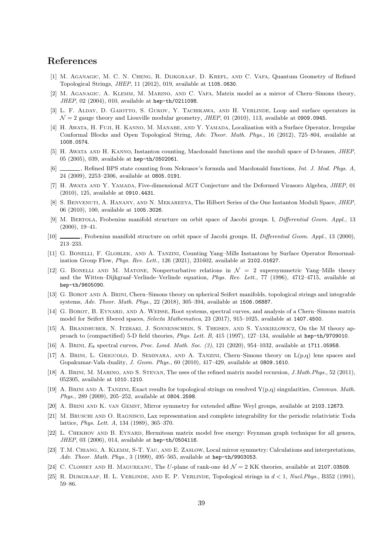# References

- <span id="page-38-16"></span>[1] M. Aganagic, M. C. N. Cheng, R. Dijkgraaf, D. Krefl, and C. Vafa, Quantum Geometry of Refined Topological Strings, JHEP, 11 (2012), 019, available at 1105.0630.
- <span id="page-38-1"></span>[2] M. Aganagic, A. Klemm, M. Marino, and C. Vafa, Matrix model as a mirror of Chern–Simons theory, JHEP, 02 (2004), 010, available at hep-th/0211098.
- <span id="page-38-18"></span>[3] L. F. ALDAY, D. GAIOTTO, S. GUKOV, Y. TACHIKAWA, AND H. VERLINDE, Loop and surface operators in  $\mathcal{N}=2$  gauge theory and Liouville modular geometry, JHEP, 01 (2010), 113, available at 0909.0945.
- <span id="page-38-19"></span>[4] H. Awata, H. Fuji, H. Kanno, M. Manabe, and Y. Yamada, Localization with a Surface Operator, Irregular Conformal Blocks and Open Topological String, Adv. Theor. Math. Phys., 16 (2012), 725–804, available at 1008.0574.
- <span id="page-38-4"></span>[5] H. Awata and H. Kanno, Instanton counting, Macdonald functions and the moduli space of D-branes, JHEP, 05 (2005), 039, available at hep-th/0502061.
- <span id="page-38-5"></span>[6] \_\_\_\_, Refined BPS state counting from Nekrasov's formula and Macdonald functions, Int. J. Mod. Phys. A, 24 (2009), 2253–2306, available at 0805.0191.
- <span id="page-38-0"></span>[7] H. Awata and Y. Yamada, Five-dimensional AGT Conjecture and the Deformed Virasoro Algebra, JHEP, 01 (2010), 125, available at 0910.4431.
- <span id="page-38-12"></span>[8] S. Benvenuti, A. Hanany, and N. Mekareeya, The Hilbert Series of the One Instanton Moduli Space, JHEP, 06 (2010), 100, available at 1005.3026.
- <span id="page-38-23"></span>[9] M. Bertola, Frobenius manifold structure on orbit space of Jacobi groups. I, Differential Geom. Appl., 13 (2000), 19–41.
- <span id="page-38-24"></span>[10] , Frobenius manifold structure on orbit space of Jacobi groups. II, *Differential Geom. Appl.*, 13 (2000), 213–233.
- <span id="page-38-22"></span>[11] G. BONELLI, F. GLOBLEK, AND A. TANZINI, Counting Yang–Mills Instantons by Surface Operator Renormalization Group Flow, Phys. Rev. Lett., 126 (2021), 231602, available at 2102.01627.
- <span id="page-38-11"></span>[12] G. BONELLI AND M. MATONE, Nonperturbative relations in  $\mathcal{N} = 2$  supersymmetric Yang–Mills theory and the Witten–Dijkgraaf–Verlinde–Verlinde equation, Phys. Rev. Lett., 77 (1996), 4712–4715, available at hep-th/9605090.
- <span id="page-38-2"></span>[13] G. Borot and A. Brini, Chern–Simons theory on spherical Seifert manifolds, topological strings and integrable systems, Adv. Theor. Math. Phys., 22 (2018), 305–394, available at 1506.06887.
- <span id="page-38-3"></span>[14] G. Borot, B. Eynard, and A. Weisse, Root systems, spectral curves, and analysis of a Chern–Simons matrix model for Seifert fibered spaces, Selecta Mathematica, 23 (2017), 915–1025, available at 1407.4500.
- <span id="page-38-7"></span>[15] A. BRANDHUBER, N. ITZHAKI, J. SONNENSCHEIN, S. THEISEN, AND S. YANKIELOWICZ, On the M theory approach to (compactified) 5-D field theories, *Phys. Lett. B*, 415 (1997), 127–134, available at hep-th/9709010.
- <span id="page-38-6"></span>[16] A. BRINI,  $E_8$  spectral curves, *Proc. Lond. Math. Soc.* (3), 121 (2020), 954–1032, available at 1711.05958.
- <span id="page-38-21"></span>[17] A. Brini, L. Griguolo, D. Seminara, and A. Tanzini, Chern–Simons theory on L(p,q) lens spaces and Gopakumar-Vafa duality, J. Geom. Phys., 60 (2010), 417–429, available at 0809.1610.
- <span id="page-38-20"></span>[18] A. BRINI, M. MARINO, AND S. STEVAN, The uses of the refined matrix model recursion, J.Math.Phys., 52 (2011), 052305, available at 1010.1210.
- <span id="page-38-10"></span>[19] A. BRINI AND A. TANZINI, Exact results for topological strings on resolved  $Y(p,q)$  singularities, Commun. Math. Phys., 289 (2009), 205–252, available at 0804.2598.
- <span id="page-38-9"></span>[20] A. BRINI AND K. VAN GEMST, Mirror symmetry for extended affine Weyl groups, available at 2103.12673.
- <span id="page-38-13"></span>[21] M. Bruschi and O. Ragnisco, Lax representation and complete integrability for the periodic relativistic Toda lattice, Phys. Lett. A, 134 (1989), 365–370.
- <span id="page-38-17"></span>[22] L. CHEKHOV AND B. EYNARD, Hermitean matrix model free energy: Feynman graph technique for all genera, JHEP, 03 (2006), 014, available at hep-th/0504116.
- <span id="page-38-15"></span>[23] T.M. Chiang, A. Klemm, S-T. Yau, and E. Zaslow, Local mirror symmetry: Calculations and interpretations, Adv. Theor. Math. Phys., 3 (1999), 495–565, available at hep-th/9903053.
- <span id="page-38-8"></span>[24] C. CLOSSET AND H. MAGUREANU, The U-plane of rank-one 4d  $\mathcal{N}=2$  KK theories, available at 2107.03509.
- <span id="page-38-14"></span>[25] R. DIJKGRAAF, H. L. VERLINDE, AND E. P. VERLINDE, Topological strings in  $d < 1$ , Nucl. Phys., B352 (1991), 59–86.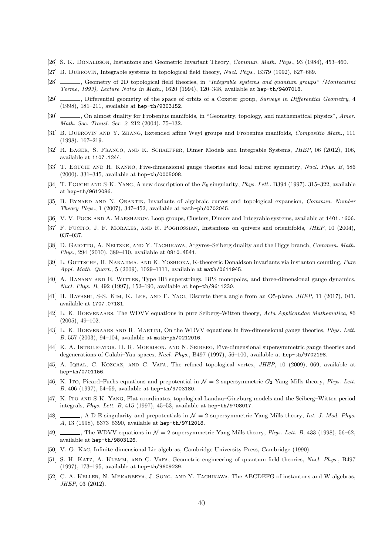- <span id="page-39-12"></span>[26] S. K. Donaldson, Instantons and Geometric Invariant Theory, Commun. Math. Phys., 93 (1984), 453–460.
- <span id="page-39-25"></span>[27] B. DUBROVIN, Integrable systems in topological field theory, Nucl. Phys., B379 (1992), 627–689.
- <span id="page-39-19"></span>[28] , Geometry of 2D topological field theories, in "Integrable systems and quantum groups" (Montecatini Terme, 1993), Lecture Notes in Math., 1620 (1994), 120–348, available at hep-th/9407018.
- <span id="page-39-20"></span>[29] , Differential geometry of the space of orbits of a Coxeter group, Surveys in Differential Geometry, 4 (1998), 181–211, available at hep-th/9303152.
- <span id="page-39-5"></span>[30] , On almost duality for Frobenius manifolds, in "Geometry, topology, and mathematical physics", Amer. Math. Soc. Transl. Ser. 2, 212 (2004), 75–132.
- <span id="page-39-6"></span>[31] B. DUBROVIN AND Y. ZHANG, Extended affine Weyl groups and Frobenius manifolds, Compositio Math., 111 (1998), 167–219.
- <span id="page-39-18"></span>[32] R. Eager, S. Franco, and K. Schaeffer, Dimer Models and Integrable Systems, JHEP, 06 (2012), 106, available at 1107.1244.
- <span id="page-39-4"></span>[33] T. Eguchi and H. Kanno, Five-dimensional gauge theories and local mirror symmetry, Nucl. Phys. B, 586 (2000), 331–345, available at hep-th/0005008.
- <span id="page-39-7"></span>[34] T. EGUCHI AND S-K. YANG, A new description of the  $E_6$  singularity, *Phys. Lett.*, B394 (1997), 315–322, available at hep-th/9612086.
- <span id="page-39-26"></span>[35] B. EYNARD AND N. ORANTIN, Invariants of algebraic curves and topological expansion, Commun. Number Theory Phys., 1 (2007), 347–452, available at math-ph/0702045.
- <span id="page-39-2"></span>[36] V. V. FOCK AND A. MARSHAKOV, Loop groups, Clusters, Dimers and Integrable systems, available at 1401.1606.
- <span id="page-39-13"></span>[37] F. Fucito, J. F. Morales, and R. Poghossian, Instantons on quivers and orientifolds, JHEP, 10 (2004), 037–037.
- <span id="page-39-14"></span>[38] D. GAIOTTO, A. NEITZKE, AND Y. TACHIKAWA, Argyres–Seiberg duality and the Higgs branch, Commun. Math. Phys., 294 (2010), 389–410, available at 0810.4541.
- <span id="page-39-22"></span>[39] L. GOTTSCHE, H. NAKAJIMA, AND K. YOSHIOKA, K-theoretic Donaldson invariants via instanton counting, Pure Appl. Math. Quart., 5 (2009), 1029–1111, available at math/0611945.
- <span id="page-39-16"></span>[40] A. HANANY AND E. WITTEN, Type IIB superstrings, BPS monopoles, and three-dimensional gauge dynamics, Nucl. Phys. B, 492 (1997), 152–190, available at hep-th/9611230.
- <span id="page-39-11"></span>[41] H. Hayashi, S-S. Kim, K. Lee, and F. Yagi, Discrete theta angle from an O5-plane, JHEP, 11 (2017), 041, available at 1707.07181.
- <span id="page-39-23"></span>[42] L. K. Hoevenaars, The WDVV equations in pure Seiberg–Witten theory, Acta Applicandae Mathematica, 86 (2005), 49–102.
- <span id="page-39-24"></span>[43] L. K. Hoevenaars and R. Martini, On the WDVV equations in five-dimensional gauge theories, Phys. Lett. B, 557 (2003), 94–104, available at math-ph/0212016.
- <span id="page-39-0"></span>[44] K. A. Intriligator, D. R. Morrison, and N. Seiberg, Five-dimensional supersymmetric gauge theories and degenerations of Calabi–Yau spaces, Nucl. Phys., B497 (1997), 56–100, available at hep-th/9702198.
- <span id="page-39-3"></span>[45] A. IQBAL, C. KOZCAZ, AND C. VAFA, The refined topological vertex, *JHEP*, 10 (2009), 069, available at hep-th/0701156.
- <span id="page-39-9"></span>[46] K. Ito, Picard–Fuchs equations and prepotential in  $\mathcal{N} = 2$  supersymmetric  $G_2$  Yang-Mills theory, Phys. Lett. B, 406 (1997), 54–59, available at hep-th/9703180.
- <span id="page-39-8"></span>[47] K. ITO AND S-K. YANG, Flat coordinates, topological Landau–Ginzburg models and the Seiberg–Witten period integrals, Phys. Lett. B, 415 (1997), 45–53, available at hep-th/9708017.
- <span id="page-39-21"></span>[48]  $\_\_\_\_\$  A-D-E singularity and prepotentials in  $\mathcal{N}=2$  supersymmetric Yang-Mills theory, Int. J. Mod. Phys. A, 13 (1998), 5373–5390, available at hep-th/9712018.
- <span id="page-39-10"></span>[49] , The WDVV equations in  $\mathcal{N} = 2$  supersymmetric Yang-Mills theory, *Phys. Lett. B*, 433 (1998), 56–62, available at hep-th/9803126.
- <span id="page-39-17"></span>[50] V. G. Kac, Infinite-dimensional Lie algebras, Cambridge University Press, Cambridge (1990).
- <span id="page-39-1"></span>[51] S. H. KATZ, A. KLEMM, AND C. VAFA, Geometric engineering of quantum field theories, Nucl. Phys., B497 (1997), 173–195, available at hep-th/9609239.
- <span id="page-39-15"></span>[52] C. A. KELLER, N. MEKAREEYA, J. SONG, AND Y. TACHIKAWA, The ABCDEFG of instantons and W-algebras, JHEP, 03 (2012).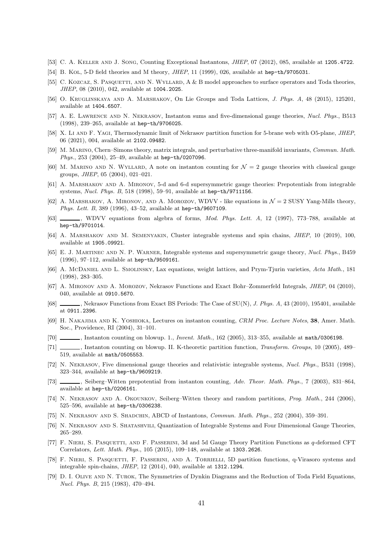- <span id="page-40-14"></span>[53] C. A. Keller and J. Song, Counting Exceptional Instantons, JHEP, 07 (2012), 085, available at 1205.4722.
- <span id="page-40-10"></span>[54] B. Kol, 5-D field theories and M theory, *JHEP*, 11 (1999), 026, available at hep-th/9705031.
- <span id="page-40-25"></span>[55] C. KOZCAZ, S. PASQUETTI, AND N. WYLLARD, A & B model approaches to surface operators and Toda theories, JHEP, 08 (2010), 042, available at 1004.2025.
- <span id="page-40-18"></span>[56] O. Kruglinskaya and A. Marshakov, On Lie Groups and Toda Lattices, J. Phys. A, 48 (2015), 125201, available at 1404.6507.
- <span id="page-40-0"></span>[57] A. E. Lawrence and N. Nekrasov, Instanton sums and five-dimensional gauge theories, Nucl. Phys., B513 (1998), 239–265, available at hep-th/9706025.
- <span id="page-40-13"></span>[58] X. Li AND F. YAGI, Thermodynamic limit of Nekrasov partition function for 5-brane web with O5-plane, JHEP, 06 (2021), 004, available at 2102.09482.
- <span id="page-40-4"></span>[59] M. MARINO, Chern–Simons theory, matrix integrals, and perturbative three-manifold invariants, Commun. Math. Phys., 253 (2004), 25–49, available at hep-th/0207096.
- <span id="page-40-16"></span>[60] M. MARINO AND N. WYLLARD, A note on instanton counting for  $\mathcal{N}=2$  gauge theories with classical gauge groups, JHEP, 05 (2004), 021–021.
- <span id="page-40-26"></span>[61] A. Marshakov and A. Mironov, 5-d and 6-d supersymmetric gauge theories: Prepotentials from integrable systems, Nucl. Phys. B, 518 (1998), 59–91, available at hep-th/9711156.
- <span id="page-40-11"></span>[62] A. MARSHAKOV, A. MIRONOV, AND A. MOROZOV, WDVV - like equations in  $\mathcal{N}=2$  SUSY Yang-Mills theory, Phys. Lett. B, 389 (1996), 43–52, available at hep-th/9607109.
- <span id="page-40-12"></span>[63] WDVV equations from algebra of forms, *Mod. Phys. Lett. A*, 12 (1997), 773–788, available at hep-th/9701014.
- <span id="page-40-20"></span>[64] A. Marshakov and M. Semenyakin, Cluster integrable systems and spin chains, JHEP, 10 (2019), 100, available at 1905.09921.
- <span id="page-40-9"></span>[65] E. J. Martinec and N. P. Warner, Integrable systems and supersymmetric gauge theory, Nucl. Phys., B459 (1996), 97–112, available at hep-th/9509161.
- <span id="page-40-21"></span>[66] A. McDaniel and L. Smolinsky, Lax equations, weight lattices, and Prym-Tjurin varieties, Acta Math., 181 (1998), 283–305.
- <span id="page-40-23"></span>[67] A. MIRONOV AND A. MOROZOV, Nekrasov Functions and Exact Bohr–Zommerfeld Integrals, *JHEP*, 04 (2010), 040, available at 0910.5670.
- <span id="page-40-24"></span>[68] , Nekrasov Functions from Exact BS Periods: The Case of SU(N), J. Phys. A, 43 (2010), 195401, available at 0911.2396.
- <span id="page-40-15"></span>[69] H. Nakajima and K. Yoshioka, Lectures on instanton counting, CRM Proc. Lecture Notes, 38, Amer. Math. Soc., Providence, RI (2004), 31–101.
- <span id="page-40-5"></span>[70] , Instanton counting on blowup. 1., *Invent. Math.*, 162 (2005), 313–355, available at math/0306198.
- <span id="page-40-6"></span>[71] , Instanton counting on blowup. II. K-theoretic partition function, Transform. Groups, 10 (2005), 489– 519, available at math/0505553.
- <span id="page-40-1"></span>[72] N. Nekrasov, Five dimensional gauge theories and relativistic integrable systems, Nucl. Phys., B531 (1998), 323–344, available at hep-th/9609219.
- <span id="page-40-7"></span>[73] , Seiberg–Witten prepotential from instanton counting, Adv. Theor. Math. Phys., 7 (2003), 831–864, available at hep-th/0206161.
- <span id="page-40-8"></span>[74] N. NEKRASOV AND A. OKOUNKOV, Seiberg–Witten theory and random partitions, Prog. Math., 244 (2006), 525–596, available at hep-th/0306238.
- <span id="page-40-17"></span>[75] N. Nekrasov and S. Shadchin, ABCD of Instantons, Commun. Math. Phys., 252 (2004), 359–391.
- <span id="page-40-22"></span>[76] N. Nekrasov and S. Shatashvili, Quantization of Integrable Systems and Four Dimensional Gauge Theories, 265–289.
- <span id="page-40-2"></span>[77] F. Nieri, S. Pasquetti, and F. Passerini, 3d and 5d Gauge Theory Partition Functions as q-deformed CFT Correlators, Lett. Math. Phys., 105 (2015), 109–148, available at 1303.2626.
- <span id="page-40-3"></span>[78] F. Nieri, S. Pasquetti, F. Passerini, and A. Torrielli, 5D partition functions, q-Virasoro systems and integrable spin-chains, JHEP, 12 (2014), 040, available at 1312.1294.
- <span id="page-40-19"></span>[79] D. I. OLIVE AND N. TUROK, The Symmetries of Dynkin Diagrams and the Reduction of Toda Field Equations, Nucl. Phys. B, 215 (1983), 470–494.